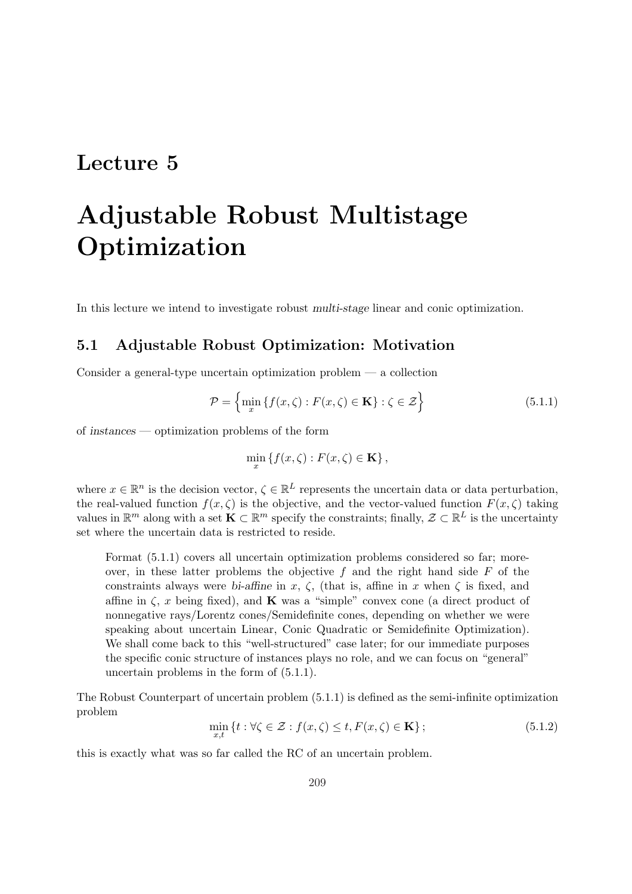# Lecture 5

# Adjustable Robust Multistage Optimization

In this lecture we intend to investigate robust multi-stage linear and conic optimization.

# 5.1 Adjustable Robust Optimization: Motivation

Consider a general-type uncertain optimization problem  $-$  a collection

$$
\mathcal{P} = \left\{ \min_{x} \left\{ f(x,\zeta) : F(x,\zeta) \in \mathbf{K} \right\} : \zeta \in \mathcal{Z} \right\}
$$
\n(5.1.1)

of instances — optimization problems of the form

$$
\min_{x} \{ f(x,\zeta) : F(x,\zeta) \in \mathbf{K} \},
$$

where  $x \in \mathbb{R}^n$  is the decision vector,  $\zeta \in \mathbb{R}^L$  represents the uncertain data or data perturbation, the real-valued function  $f(x, \zeta)$  is the objective, and the vector-valued function  $F(x, \zeta)$  taking values in  $\mathbb{R}^m$  along with a set  $\mathbf{K} \subset \mathbb{R}^m$  specify the constraints; finally,  $\mathcal{Z} \subset \mathbb{R}^L$  is the uncertainty set where the uncertain data is restricted to reside.

Format (5.1.1) covers all uncertain optimization problems considered so far; moreover, in these latter problems the objective  $f$  and the right hand side  $F$  of the constraints always were bi-affine in x,  $\zeta$ , (that is, affine in x when  $\zeta$  is fixed, and affine in  $\zeta$ , x being fixed), and **K** was a "simple" convex cone (a direct product of nonnegative rays/Lorentz cones/Semidefinite cones, depending on whether we were speaking about uncertain Linear, Conic Quadratic or Semidefinite Optimization). We shall come back to this "well-structured" case later; for our immediate purposes the specific conic structure of instances plays no role, and we can focus on "general" uncertain problems in the form of (5.1.1).

The Robust Counterpart of uncertain problem (5.1.1) is defined as the semi-infinite optimization problem

$$
\min_{x,t} \left\{ t : \forall \zeta \in \mathcal{Z} : f(x,\zeta) \le t, F(x,\zeta) \in \mathbf{K} \right\};\tag{5.1.2}
$$

this is exactly what was so far called the RC of an uncertain problem.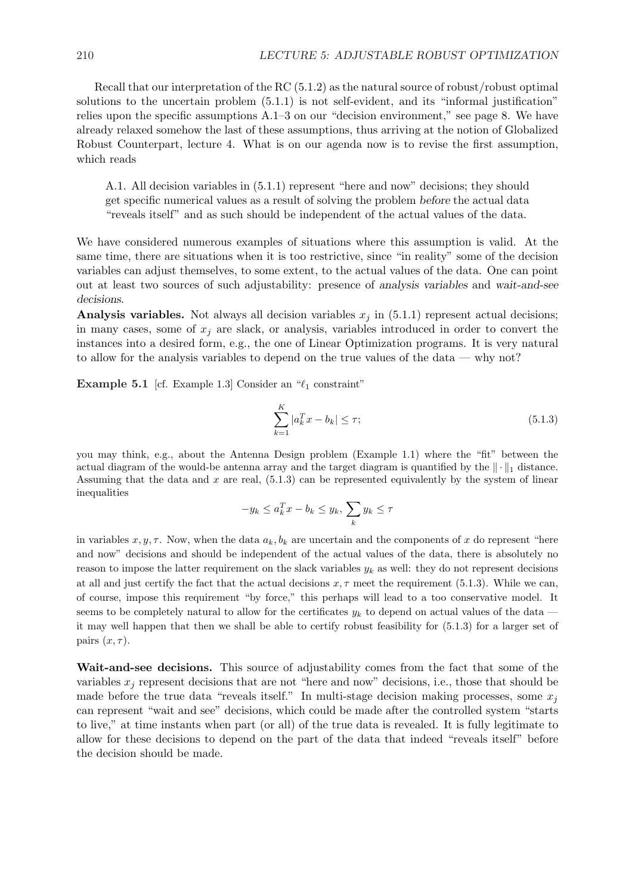Recall that our interpretation of the RC (5.1.2) as the natural source of robust/robust optimal solutions to the uncertain problem (5.1.1) is not self-evident, and its "informal justification" relies upon the specific assumptions A.1–3 on our "decision environment," see page 8. We have already relaxed somehow the last of these assumptions, thus arriving at the notion of Globalized Robust Counterpart, lecture 4. What is on our agenda now is to revise the first assumption, which reads

A.1. All decision variables in (5.1.1) represent "here and now" decisions; they should get specific numerical values as a result of solving the problem before the actual data "reveals itself" and as such should be independent of the actual values of the data.

We have considered numerous examples of situations where this assumption is valid. At the same time, there are situations when it is too restrictive, since "in reality" some of the decision variables can adjust themselves, to some extent, to the actual values of the data. One can point out at least two sources of such adjustability: presence of analysis variables and wait-and-see decisions.

Analysis variables. Not always all decision variables  $x_j$  in (5.1.1) represent actual decisions; in many cases, some of  $x_i$  are slack, or analysis, variables introduced in order to convert the instances into a desired form, e.g., the one of Linear Optimization programs. It is very natural to allow for the analysis variables to depend on the true values of the data — why not?

Example 5.1 [cf. Example 1.3] Consider an  $\mathscr{C}_1$  constraint"

$$
\sum_{k=1}^{K} |a_k^T x - b_k| \le \tau;
$$
\n(5.1.3)

you may think, e.g., about the Antenna Design problem (Example 1.1) where the "fit" between the actual diagram of the would-be antenna array and the target diagram is quantified by the  $\|\cdot\|_1$  distance. Assuming that the data and  $x$  are real,  $(5.1.3)$  can be represented equivalently by the system of linear inequalities  $\overline{\phantom{a}}$ 

$$
-y_k \le a_k^T x - b_k \le y_k, \sum_k y_k \le \tau
$$

in variables  $x, y, \tau$ . Now, when the data  $a_k, b_k$  are uncertain and the components of x do represent "here and now" decisions and should be independent of the actual values of the data, there is absolutely no reason to impose the latter requirement on the slack variables  $y_k$  as well: they do not represent decisions at all and just certify the fact that the actual decisions  $x, \tau$  meet the requirement (5.1.3). While we can, of course, impose this requirement "by force," this perhaps will lead to a too conservative model. It seems to be completely natural to allow for the certificates  $y_k$  to depend on actual values of the data it may well happen that then we shall be able to certify robust feasibility for (5.1.3) for a larger set of pairs  $(x, \tau)$ .

Wait-and-see decisions. This source of adjustability comes from the fact that some of the variables  $x_i$  represent decisions that are not "here and now" decisions, i.e., those that should be made before the true data "reveals itself." In multi-stage decision making processes, some  $x_i$ can represent "wait and see" decisions, which could be made after the controlled system "starts to live," at time instants when part (or all) of the true data is revealed. It is fully legitimate to allow for these decisions to depend on the part of the data that indeed "reveals itself" before the decision should be made.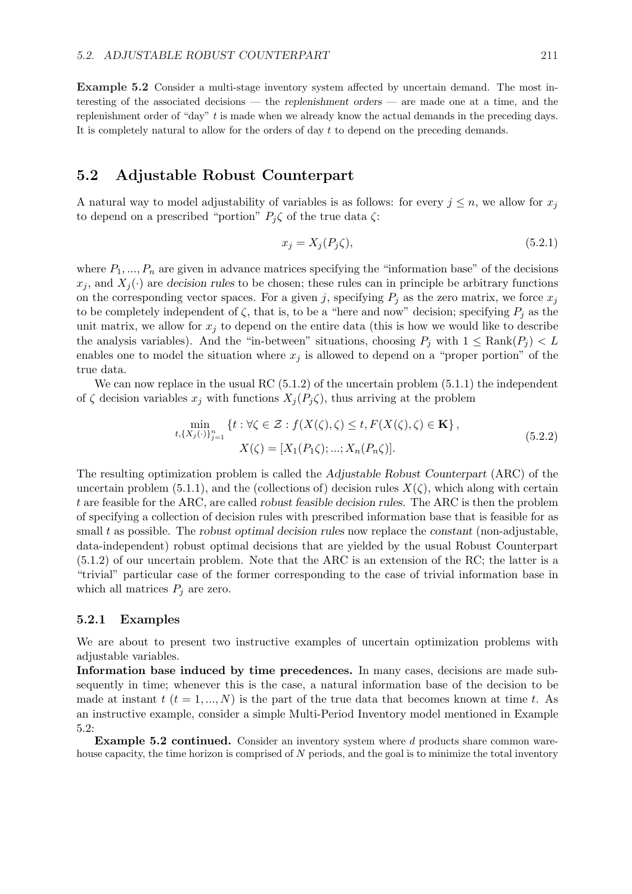Example 5.2 Consider a multi-stage inventory system affected by uncertain demand. The most interesting of the associated decisions — the replenishment orders — are made one at a time, and the replenishment order of "day" t is made when we already know the actual demands in the preceding days. It is completely natural to allow for the orders of day t to depend on the preceding demands.

## 5.2 Adjustable Robust Counterpart

A natural way to model adjustability of variables is as follows: for every  $j \leq n$ , we allow for  $x_j$ to depend on a prescribed "portion"  $P_i \zeta$  of the true data  $\zeta$ :

$$
x_j = X_j(P_j\zeta),\tag{5.2.1}
$$

where  $P_1, ..., P_n$  are given in advance matrices specifying the "information base" of the decisions  $x_j$ , and  $X_j(\cdot)$  are decision rules to be chosen; these rules can in principle be arbitrary functions on the corresponding vector spaces. For a given j, specifying  $P_j$  as the zero matrix, we force  $x_j$ to be completely independent of  $\zeta$ , that is, to be a "here and now" decision; specifying  $P_i$  as the unit matrix, we allow for  $x_i$  to depend on the entire data (this is how we would like to describe the analysis variables). And the "in-between" situations, choosing  $P_i$  with  $1 \leq \text{Rank}(P_i) < L$ enables one to model the situation where  $x_j$  is allowed to depend on a "proper portion" of the true data.

We can now replace in the usual RC  $(5.1.2)$  of the uncertain problem  $(5.1.1)$  the independent of  $\zeta$  decision variables  $x_j$  with functions  $X_j(P_j\zeta)$ , thus arriving at the problem

$$
\min_{t, \{X_j(\cdot)\}_{j=1}^n} \{ t : \forall \zeta \in \mathcal{Z} : f(X(\zeta), \zeta) \le t, F(X(\zeta), \zeta) \in \mathbf{K} \},\
$$
\n
$$
X(\zeta) = [X_1(P_1\zeta); \dots; X_n(P_n\zeta)].
$$
\n(5.2.2)

The resulting optimization problem is called the Adjustable Robust Counterpart (ARC) of the uncertain problem (5.1.1), and the (collections of) decision rules  $X(\zeta)$ , which along with certain t are feasible for the ARC, are called robust feasible decision rules. The ARC is then the problem of specifying a collection of decision rules with prescribed information base that is feasible for as small  $t$  as possible. The robust optimal decision rules now replace the constant (non-adjustable, data-independent) robust optimal decisions that are yielded by the usual Robust Counterpart (5.1.2) of our uncertain problem. Note that the ARC is an extension of the RC; the latter is a "trivial" particular case of the former corresponding to the case of trivial information base in which all matrices  $P_j$  are zero.

#### 5.2.1 Examples

We are about to present two instructive examples of uncertain optimization problems with adjustable variables.

Information base induced by time precedences. In many cases, decisions are made subsequently in time; whenever this is the case, a natural information base of the decision to be made at instant  $t$  ( $t = 1, ..., N$ ) is the part of the true data that becomes known at time t. As an instructive example, consider a simple Multi-Period Inventory model mentioned in Example 5.2:

**Example 5.2 continued.** Consider an inventory system where d products share common warehouse capacity, the time horizon is comprised of  $N$  periods, and the goal is to minimize the total inventory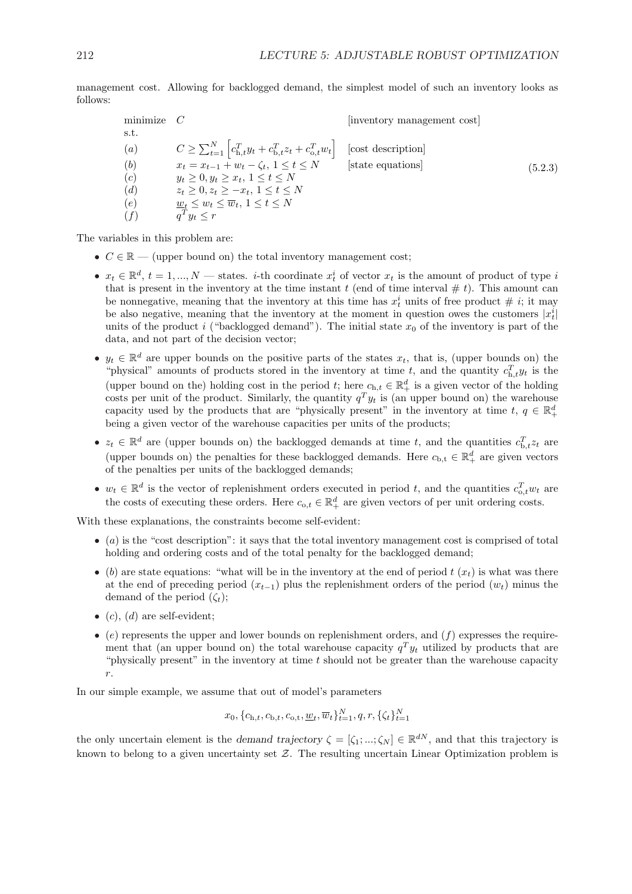management cost. Allowing for backlogged demand, the simplest model of such an inventory looks as follows:

minimize 
$$
C
$$
 [inventory management cost]  
\ns.t.  
\n(a)  $C \ge \sum_{t=1}^{N} \left[ c_{\text{h},t}^{T} y_t + c_{\text{b},t}^{T} z_t + c_{\text{o},t}^{T} w_t \right]$  [cost description]  
\n(b)  $x_t = x_{t-1} + w_t - \zeta_t, 1 \le t \le N$  [state equations]  
\n(c)  $y_t \ge 0, y_t \ge x_t, 1 \le t \le N$   
\n(d)  $z_t \ge 0, z_t \ge -x_t, 1 \le t \le N$   
\n(e)  $\underbrace{w_t}_{q} \le w_t \le \overline{w}_t, 1 \le t \le N$   
\n(f)  $\underbrace{q^T} y_t \le r$ 

The variables in this problem are:

- $C \in \mathbb{R}$  (upper bound on) the total inventory management cost;
- $x_t \in \mathbb{R}^d$ ,  $t = 1, ..., N$  states. *i*-th coordinate  $x_t^i$  of vector  $x_t$  is the amount of product of type i that is present in the inventory at the time instant  $t$  (end of time interval  $\# t$ ). This amount can be nonnegative, meaning that the inventory at this time has  $x_t^i$  units of free product  $\#$  *i*; it may be also negative, meaning that the inventory at the moment in question owes the customers  $|x_t^i|$ units of the product i ("backlogged demand"). The initial state  $x_0$  of the inventory is part of the data, and not part of the decision vector;
- $y_t \in \mathbb{R}^d$  are upper bounds on the positive parts of the states  $x_t$ , that is, (upper bounds on) the "physical" amounts of products stored in the inventory at time t, and the quantity  $c_{\text{h},t}^T y_t$  is the (upper bound on the) holding cost in the period t; here  $c_{h,t} \in \mathbb{R}^d_+$  is a given vector of the holding costs per unit of the product. Similarly, the quantity  $q^T y_t$  is (an upper bound on) the warehouse capacity used by the products that are "physically present" in the inventory at time  $t, q \in \mathbb{R}^d_+$ being a given vector of the warehouse capacities per units of the products;
- $z_t \in \mathbb{R}^d$  are (upper bounds on) the backlogged demands at time t, and the quantities  $c_{\text{b},t}^T z_t$  are (upper bounds on) the penalties for these backlogged demands. Here  $c_{b,t} \in \mathbb{R}^d_+$  are given vectors of the penalties per units of the backlogged demands;
- $w_t \in \mathbb{R}^d$  is the vector of replenishment orders executed in period t, and the quantities  $c_{0,t}^T w_t$  are the costs of executing these orders. Here  $c_{0,t} \in \mathbb{R}^d_+$  are given vectors of per unit ordering costs.

With these explanations, the constraints become self-evident:

- $\bullet$  (a) is the "cost description": it says that the total inventory management cost is comprised of total holding and ordering costs and of the total penalty for the backlogged demand;
- (b) are state equations: "what will be in the inventory at the end of period  $t(x_t)$  is what was there at the end of preceding period  $(x_{t-1})$  plus the replenishment orders of the period  $(w_t)$  minus the demand of the period  $(\zeta_t)$ ;
- (c), (d) are self-evident;
- (e) represents the upper and lower bounds on replenishment orders, and  $(f)$  expresses the requirement that (an upper bound on) the total warehouse capacity  $q^T y_t$  utilized by products that are "physically present" in the inventory at time  $t$  should not be greater than the warehouse capacity r.

In our simple example, we assume that out of model's parameters

$$
x_0, \{c_{h,t}, c_{b,t}, c_{o,t}, \underline{w}_t, \overline{w}_t\}_{t=1}^N, q, r, \{\zeta_t\}_{t=1}^N
$$

the only uncertain element is the demand trajectory  $\zeta = [\zeta_1; \dots; \zeta_N] \in \mathbb{R}^{dN}$ , and that this trajectory is known to belong to a given uncertainty set  $\mathcal{Z}$ . The resulting uncertain Linear Optimization problem is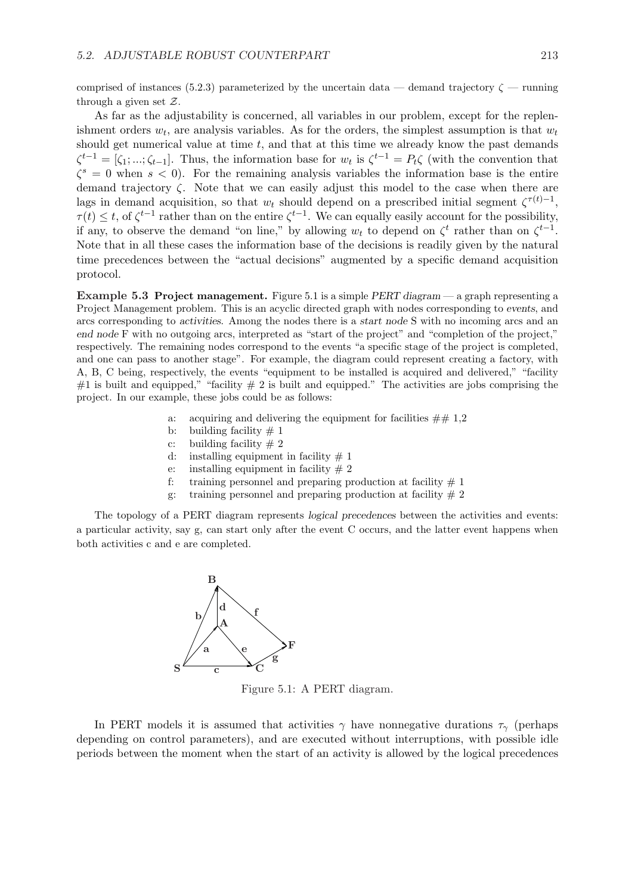comprised of instances (5.2.3) parameterized by the uncertain data — demand trajectory  $\zeta$  — running through a given set Z.

As far as the adjustability is concerned, all variables in our problem, except for the replenishment orders  $w_t$ , are analysis variables. As for the orders, the simplest assumption is that  $w_t$ should get numerical value at time  $t$ , and that at this time we already know the past demands  $\zeta^{t-1} = [\zeta_1; \dots; \zeta_{t-1}]$ . Thus, the information base for  $w_t$  is  $\zeta^{t-1} = P_t \zeta$  (with the convention that  $\zeta^s = 0$  when  $s < 0$ ). For the remaining analysis variables the information base is the entire demand trajectory ζ. Note that we can easily adjust this model to the case when there are lags in demand acquisition, so that  $w_t$  should depend on a prescribed initial segment  $\zeta^{\tau(t)-1}$ ,  $\tau(t) \leq t$ , of  $\zeta^{t-1}$  rather than on the entire  $\zeta^{t-1}$ . We can equally easily account for the possibility, if any, to observe the demand "on line," by allowing  $w_t$  to depend on  $\zeta^t$  rather than on  $\zeta^{t-1}$ . Note that in all these cases the information base of the decisions is readily given by the natural time precedences between the "actual decisions" augmented by a specific demand acquisition protocol.

Example 5.3 Project management. Figure 5.1 is a simple PERT diagram — a graph representing a Project Management problem. This is an acyclic directed graph with nodes corresponding to events, and arcs corresponding to activities. Among the nodes there is a start node S with no incoming arcs and an end node F with no outgoing arcs, interpreted as "start of the project" and "completion of the project," respectively. The remaining nodes correspond to the events "a specific stage of the project is completed, and one can pass to another stage". For example, the diagram could represent creating a factory, with A, B, C being, respectively, the events "equipment to be installed is acquired and delivered," "facility #1 is built and equipped," "facility  $# 2$  is built and equipped." The activities are jobs comprising the project. In our example, these jobs could be as follows:

- a: acquiring and delivering the equipment for facilities  $\#\# 1,2$
- b: building facility  $\# 1$
- c: building facility  $\# 2$
- d: installing equipment in facility  $# 1$
- e: installing equipment in facility  $\# 2$
- f: training personnel and preparing production at facility  $# 1$
- g: training personnel and preparing production at facility  $\# 2$

The topology of a PERT diagram represents logical precedences between the activities and events: a particular activity, say g, can start only after the event C occurs, and the latter event happens when both activities c and e are completed.



Figure 5.1: A PERT diagram.

In PERT models it is assumed that activities  $\gamma$  have nonnegative durations  $\tau_{\gamma}$  (perhaps depending on control parameters), and are executed without interruptions, with possible idle periods between the moment when the start of an activity is allowed by the logical precedences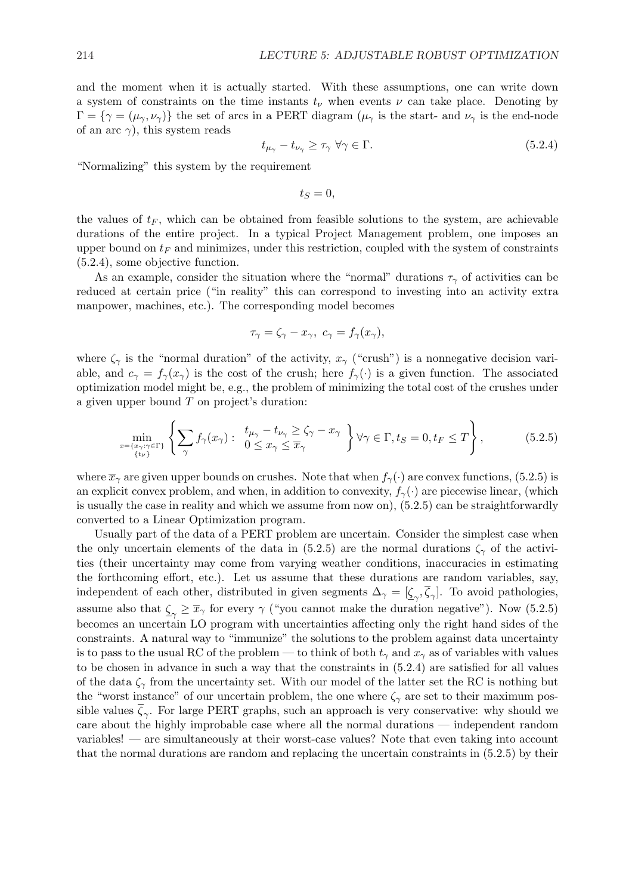and the moment when it is actually started. With these assumptions, one can write down a system of constraints on the time instants  $t_{\nu}$  when events  $\nu$  can take place. Denoting by  $\Gamma = {\gamma = (\mu_{\gamma}, \nu_{\gamma})}$  the set of arcs in a PERT diagram  $(\mu_{\gamma})$  is the start- and  $\nu_{\gamma}$  is the end-node of an arc  $\gamma$ ), this system reads

$$
t_{\mu_{\gamma}} - t_{\nu_{\gamma}} \ge \tau_{\gamma} \,\forall \gamma \in \Gamma. \tag{5.2.4}
$$

"Normalizing" this system by the requirement

 $t_s = 0$ .

the values of  $t_F$ , which can be obtained from feasible solutions to the system, are achievable durations of the entire project. In a typical Project Management problem, one imposes an upper bound on  $t_F$  and minimizes, under this restriction, coupled with the system of constraints (5.2.4), some objective function.

As an example, consider the situation where the "normal" durations  $\tau_{\gamma}$  of activities can be reduced at certain price ("in reality" this can correspond to investing into an activity extra manpower, machines, etc.). The corresponding model becomes

$$
\tau_{\gamma} = \zeta_{\gamma} - x_{\gamma}, \ c_{\gamma} = f_{\gamma}(x_{\gamma}),
$$

where  $\zeta_{\gamma}$  is the "normal duration" of the activity,  $x_{\gamma}$  ("crush") is a nonnegative decision variable, and  $c_{\gamma} = f_{\gamma}(x_{\gamma})$  is the cost of the crush; here  $f_{\gamma}(\cdot)$  is a given function. The associated optimization model might be, e.g., the problem of minimizing the total cost of the crushes under a given upper bound  $T$  on project's duration:

$$
\min_{\substack{x=\{x_{\gamma}: \gamma \in \Gamma\} \\ \{t_{\nu}\}}} \left\{ \sum_{\gamma} f_{\gamma}(x_{\gamma}) : \begin{array}{l} t_{\mu_{\gamma}} - t_{\nu_{\gamma}} \geq \zeta_{\gamma} - x_{\gamma} \\ 0 \leq x_{\gamma} \leq \overline{x}_{\gamma} \end{array} \right\} \forall \gamma \in \Gamma, t_{S} = 0, t_{F} \leq T \right\},\tag{5.2.5}
$$

where  $\bar{x}_{\gamma}$  are given upper bounds on crushes. Note that when  $f_{\gamma}(\cdot)$  are convex functions, (5.2.5) is an explicit convex problem, and when, in addition to convexity,  $f_{\gamma}(\cdot)$  are piecewise linear, (which is usually the case in reality and which we assume from now on), (5.2.5) can be straightforwardly converted to a Linear Optimization program.

Usually part of the data of a PERT problem are uncertain. Consider the simplest case when the only uncertain elements of the data in (5.2.5) are the normal durations  $\zeta_{\gamma}$  of the activities (their uncertainty may come from varying weather conditions, inaccuracies in estimating the forthcoming effort, etc.). Let us assume that these durations are random variables, say, independent of each other, distributed in given segments  $\Delta_{\gamma} = [\underline{\zeta}_{\gamma}, \overline{\zeta}_{\gamma}]$ . To avoid pathologies, assume also that  $\zeta_{\gamma} \ge \overline{x}_{\gamma}$  for every  $\gamma$  ("you cannot make the duration negative"). Now (5.2.5) becomes an uncertain LO program with uncertainties affecting only the right hand sides of the constraints. A natural way to "immunize" the solutions to the problem against data uncertainty is to pass to the usual RC of the problem — to think of both  $t<sub>\gamma</sub>$  and  $x<sub>\gamma</sub>$  as of variables with values to be chosen in advance in such a way that the constraints in (5.2.4) are satisfied for all values of the data  $\zeta$  from the uncertainty set. With our model of the latter set the RC is nothing but the "worst instance" of our uncertain problem, the one where  $\zeta_{\gamma}$  are set to their maximum possible values  $\overline{\zeta}_{\gamma}$ . For large PERT graphs, such an approach is very conservative: why should we care about the highly improbable case where all the normal durations — independent random variables! — are simultaneously at their worst-case values? Note that even taking into account that the normal durations are random and replacing the uncertain constraints in (5.2.5) by their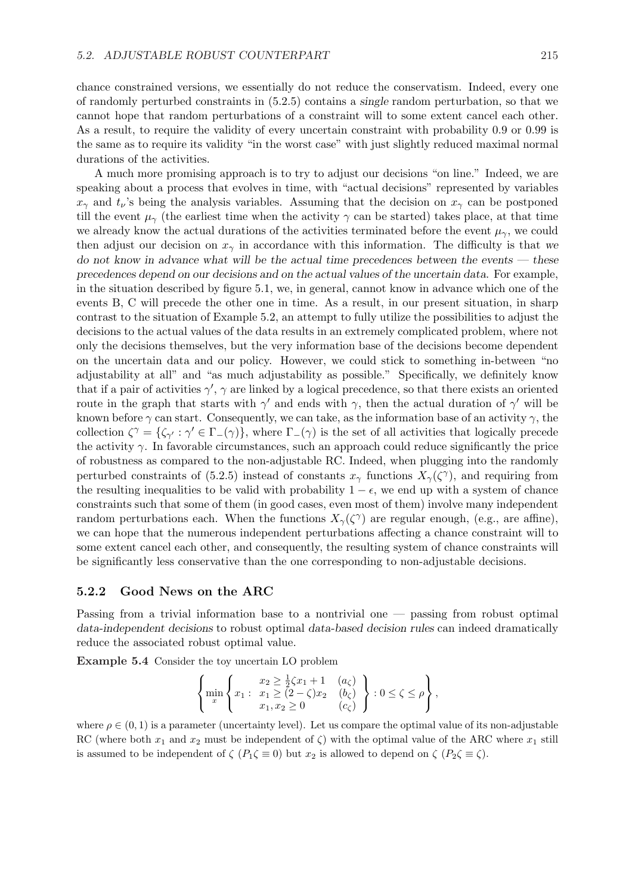chance constrained versions, we essentially do not reduce the conservatism. Indeed, every one of randomly perturbed constraints in (5.2.5) contains a single random perturbation, so that we cannot hope that random perturbations of a constraint will to some extent cancel each other. As a result, to require the validity of every uncertain constraint with probability 0.9 or 0.99 is the same as to require its validity "in the worst case" with just slightly reduced maximal normal durations of the activities.

A much more promising approach is to try to adjust our decisions "on line." Indeed, we are speaking about a process that evolves in time, with "actual decisions" represented by variables  $x_{\gamma}$  and  $t_{\nu}$ 's being the analysis variables. Assuming that the decision on  $x_{\gamma}$  can be postponed till the event  $\mu_{\gamma}$  (the earliest time when the activity  $\gamma$  can be started) takes place, at that time we already know the actual durations of the activities terminated before the event  $\mu_{\gamma}$ , we could then adjust our decision on  $x_{\gamma}$  in accordance with this information. The difficulty is that we do not know in advance what will be the actual time precedences between the events — these precedences depend on our decisions and on the actual values of the uncertain data. For example, in the situation described by figure 5.1, we, in general, cannot know in advance which one of the events B, C will precede the other one in time. As a result, in our present situation, in sharp contrast to the situation of Example 5.2, an attempt to fully utilize the possibilities to adjust the decisions to the actual values of the data results in an extremely complicated problem, where not only the decisions themselves, but the very information base of the decisions become dependent on the uncertain data and our policy. However, we could stick to something in-between "no adjustability at all" and "as much adjustability as possible." Specifically, we definitely know that if a pair of activities  $\gamma'$ ,  $\gamma$  are linked by a logical precedence, so that there exists an oriented route in the graph that starts with  $\gamma'$  and ends with  $\gamma$ , then the actual duration of  $\gamma'$  will be known before  $\gamma$  can start. Consequently, we can take, as the information base of an activity  $\gamma$ , the collection  $\zeta^{\gamma} = {\zeta_{\gamma'} : \gamma' \in \Gamma_-(\gamma)}$ , where  $\Gamma_-(\gamma)$  is the set of all activities that logically precede the activity  $\gamma$ . In favorable circumstances, such an approach could reduce significantly the price of robustness as compared to the non-adjustable RC. Indeed, when plugging into the randomly perturbed constraints of (5.2.5) instead of constants  $x_{\gamma}$  functions  $X_{\gamma}(\zeta^{\gamma})$ , and requiring from the resulting inequalities to be valid with probability  $1 - \epsilon$ , we end up with a system of chance constraints such that some of them (in good cases, even most of them) involve many independent random perturbations each. When the functions  $X_{\gamma}(\zeta^{\gamma})$  are regular enough, (e.g., are affine), we can hope that the numerous independent perturbations affecting a chance constraint will to some extent cancel each other, and consequently, the resulting system of chance constraints will be significantly less conservative than the one corresponding to non-adjustable decisions.

#### 5.2.2 Good News on the ARC

Passing from a trivial information base to a nontrivial one — passing from robust optimal data-independent decisions to robust optimal data-based decision rules can indeed dramatically reduce the associated robust optimal value.

Example 5.4 Consider the toy uncertain LO problem

$$
\left\{\min_{x} \left\{x_1 : \begin{array}{ll} x_2 \geq \frac{1}{2}\zeta x_1 + 1 & (a_{\zeta}) \\ x_1 \geq (2 - \zeta)x_2 & (b_{\zeta}) \\ x_1, x_2 \geq 0 & (c_{\zeta}) \end{array}\right\} : 0 \leq \zeta \leq \rho \right\},\right.
$$

where  $\rho \in (0, 1)$  is a parameter (uncertainty level). Let us compare the optimal value of its non-adjustable RC (where both  $x_1$  and  $x_2$  must be independent of  $\zeta$ ) with the optimal value of the ARC where  $x_1$  still is assumed to be independent of  $\zeta$  ( $P_1\zeta \equiv 0$ ) but  $x_2$  is allowed to depend on  $\zeta$  ( $P_2\zeta \equiv \zeta$ ).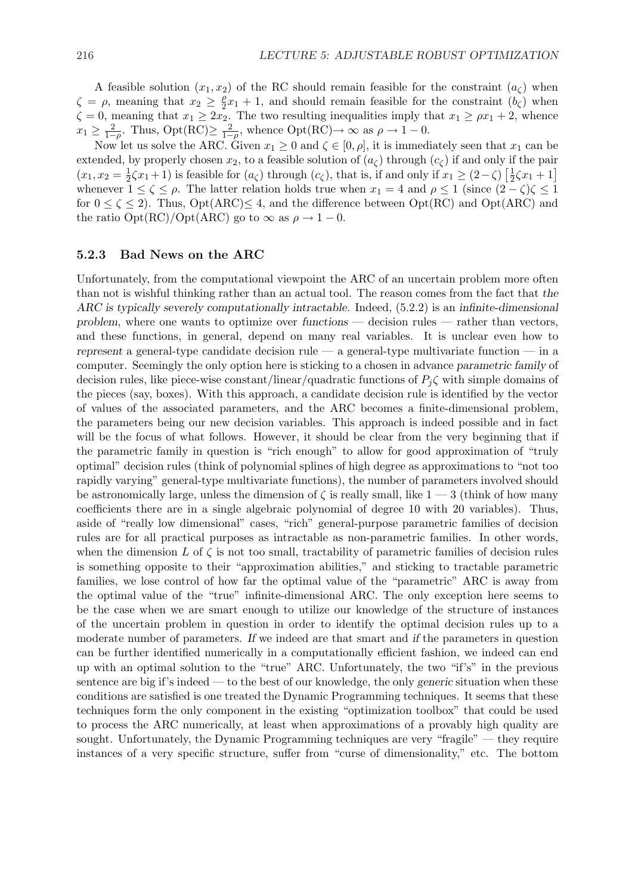A feasible solution  $(x_1, x_2)$  of the RC should remain feasible for the constraint  $(a<sub>c</sub>)$  when  $\zeta = \rho$ , meaning that  $x_2 \geq \frac{\rho}{2}$  $\frac{\rho}{2}x_1 + 1$ , and should remain feasible for the constraint  $(b_{\zeta})$  when  $\zeta = 0$ , meaning that  $x_1 \geq 2x_2$ . The two resulting inequalities imply that  $x_1 \geq \rho x_1 + 2$ , whence  $x_1 \geq \frac{2}{1-}$  $\frac{2}{1-\rho}$ . Thus, Opt(RC) $\geq \frac{2}{1-\rho}$  $\frac{2}{1-\rho}$ , whence Opt(RC) $\rightarrow \infty$  as  $\rho \rightarrow 1-0$ .

Now let us solve the ARC. Given  $x_1 \geq 0$  and  $\zeta \in [0, \rho]$ , it is immediately seen that  $x_1$  can be extended, by properly chosen  $x_2$ , to a feasible solution of  $(a_\zeta)$  through  $(c_\zeta)$  if and only if the pair  $(x_1, x_2 = \frac{1}{2})$  $\frac{1}{2}\zeta x_1 + 1$ ) is feasible for  $(a_{\zeta})$  through  $(c_{\zeta})$ , that is, if and only if  $x_1 \geq (2-\zeta) \left[\frac{1}{2}\right]$  $\frac{1}{2}\zeta x_1 + 1$ whenever  $1 \le \zeta \le \rho$ . The latter relation holds true when  $x_1 = 4$  and  $\rho \le 1$  (since  $(2 - \zeta)\zeta \le 1$ ) for  $0 \le \zeta \le 2$ . Thus,  $Opt(ARC) \le 4$ , and the difference between  $Opt(RC)$  and  $Opt(ARC)$  and the ratio  $Opt(RC)/Opt(ARC)$  go to  $\infty$  as  $\rho \to 1-0$ .

#### 5.2.3 Bad News on the ARC

Unfortunately, from the computational viewpoint the ARC of an uncertain problem more often than not is wishful thinking rather than an actual tool. The reason comes from the fact that the ARC is typically severely computationally intractable. Indeed, (5.2.2) is an infinite-dimensional problem, where one wants to optimize over functions — decision rules — rather than vectors, and these functions, in general, depend on many real variables. It is unclear even how to represent a general-type candidate decision rule — a general-type multivariate function — in a computer. Seemingly the only option here is sticking to a chosen in advance parametric family of decision rules, like piece-wise constant/linear/quadratic functions of  $P_i\zeta$  with simple domains of the pieces (say, boxes). With this approach, a candidate decision rule is identified by the vector of values of the associated parameters, and the ARC becomes a finite-dimensional problem, the parameters being our new decision variables. This approach is indeed possible and in fact will be the focus of what follows. However, it should be clear from the very beginning that if the parametric family in question is "rich enough" to allow for good approximation of "truly optimal" decision rules (think of polynomial splines of high degree as approximations to "not too rapidly varying" general-type multivariate functions), the number of parameters involved should be astronomically large, unless the dimension of  $\zeta$  is really small, like  $1 - 3$  (think of how many coefficients there are in a single algebraic polynomial of degree 10 with 20 variables). Thus, aside of "really low dimensional" cases, "rich" general-purpose parametric families of decision rules are for all practical purposes as intractable as non-parametric families. In other words, when the dimension L of  $\zeta$  is not too small, tractability of parametric families of decision rules is something opposite to their "approximation abilities," and sticking to tractable parametric families, we lose control of how far the optimal value of the "parametric" ARC is away from the optimal value of the "true" infinite-dimensional ARC. The only exception here seems to be the case when we are smart enough to utilize our knowledge of the structure of instances of the uncertain problem in question in order to identify the optimal decision rules up to a moderate number of parameters. If we indeed are that smart and if the parameters in question can be further identified numerically in a computationally efficient fashion, we indeed can end up with an optimal solution to the "true" ARC. Unfortunately, the two "if's" in the previous sentence are big if's indeed — to the best of our knowledge, the only generic situation when these conditions are satisfied is one treated the Dynamic Programming techniques. It seems that these techniques form the only component in the existing "optimization toolbox" that could be used to process the ARC numerically, at least when approximations of a provably high quality are sought. Unfortunately, the Dynamic Programming techniques are very "fragile" — they require instances of a very specific structure, suffer from "curse of dimensionality," etc. The bottom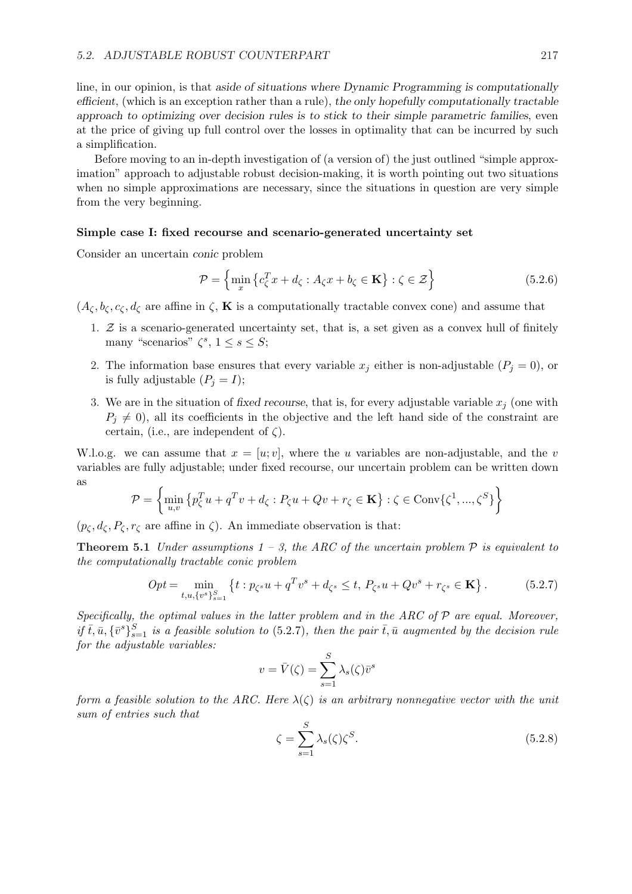line, in our opinion, is that aside of situations where Dynamic Programming is computationally efficient, (which is an exception rather than a rule), the only hopefully computationally tractable approach to optimizing over decision rules is to stick to their simple parametric families, even at the price of giving up full control over the losses in optimality that can be incurred by such a simplification.

Before moving to an in-depth investigation of (a version of) the just outlined "simple approximation" approach to adjustable robust decision-making, it is worth pointing out two situations when no simple approximations are necessary, since the situations in question are very simple from the very beginning.

#### Simple case I: fixed recourse and scenario-generated uncertainty set

Consider an uncertain conic problem

$$
\mathcal{P} = \left\{ \min_{x} \left\{ c_{\zeta}^{T} x + d_{\zeta} : A_{\zeta} x + b_{\zeta} \in \mathbf{K} \right\} : \zeta \in \mathcal{Z} \right\}
$$
(5.2.6)

 $(A_\zeta, b_\zeta, c_\zeta, d_\zeta)$  are affine in  $\zeta$ , **K** is a computationally tractable convex cone) and assume that

- 1.  $Z$  is a scenario-generated uncertainty set, that is, a set given as a convex hull of finitely many "scenarios"  $\zeta^s$ ,  $1 \leq s \leq S$ ;
- 2. The information base ensures that every variable  $x_j$  either is non-adjustable  $(P_j = 0)$ , or is fully adjustable  $(P_j = I);$
- 3. We are in the situation of fixed recourse, that is, for every adjustable variable  $x_i$  (one with  $P_i \neq 0$ , all its coefficients in the objective and the left hand side of the constraint are certain, (i.e., are independent of  $\zeta$ ).

W.l.o.g. we can assume that  $x = [u, v]$ , where the u variables are non-adjustable, and the v variables are fully adjustable; under fixed recourse, our uncertain problem can be written down as ½  $\mathbf{A}^{\dagger}$ 

$$
\mathcal{P} = \left\{ \min_{u,v} \left\{ p_{\zeta}^T u + q^T v + d_{\zeta} : P_{\zeta} u + Qv + r_{\zeta} \in \mathbf{K} \right\} : \zeta \in \text{Conv}\{\zeta^1, ..., \zeta^S\} \right\}
$$

 $(p_{\zeta}, d_{\zeta}, P_{\zeta}, r_{\zeta})$  are affine in  $\zeta$ ). An immediate observation is that:

**Theorem 5.1** Under assumptions  $1 - 3$ , the ARC of the uncertain problem  $\mathcal P$  is equivalent to the computationally tractable conic problem

$$
Opt = \min_{t, u, \{v^s\}_{s=1}^S} \left\{ t : p_{\zeta^s} u + q^T v^s + d_{\zeta^s} \le t, \ P_{\zeta^s} u + Q v^s + r_{\zeta^s} \in \mathbf{K} \right\}.
$$
 (5.2.7)

Specifically, the optimal values in the latter problem and in the ARC of  $P$  are equal. Moreover, if  $\bar{t}, \bar{u}, {\bar{v}}^s\}_{s=1}^S$  is a feasible solution to (5.2.7), then the pair  $\bar{t}, \bar{u}$  augmented by the decision rule for the adjustable variables:

$$
v = \bar{V}(\zeta) = \sum_{s=1}^{S} \lambda_s(\zeta) \bar{v}^s
$$

form a feasible solution to the ARC. Here  $\lambda(\zeta)$  is an arbitrary nonnegative vector with the unit sum of entries such that

$$
\zeta = \sum_{s=1}^{S} \lambda_s(\zeta) \zeta^S. \tag{5.2.8}
$$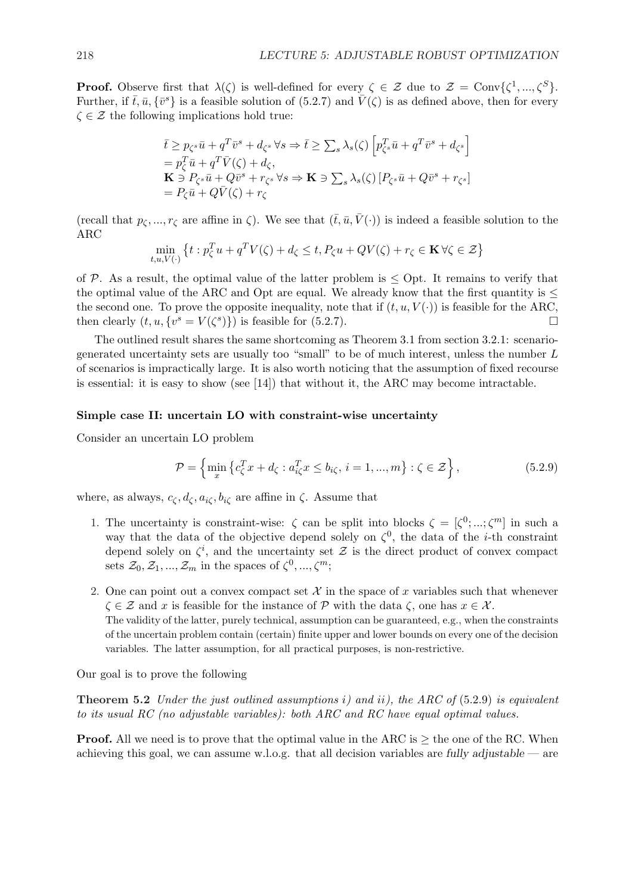**Proof.** Observe first that  $\lambda(\zeta)$  is well-defined for every  $\zeta \in \mathcal{Z}$  due to  $\mathcal{Z} = \text{Conv}\{\zeta^1, ..., \zeta^S\}$ . Further, if  $\bar{t}, \bar{u}, {\bar{v}^s}$  is a feasible solution of (5.2.7) and  $\bar{V}(\zeta)$  is as defined above, then for every  $\zeta \in \mathcal{Z}$  the following implications hold true:

$$
\bar{t} \ge p_{\zeta^s} \bar{u} + q^T \bar{v}^s + d_{\zeta^s} \forall s \Rightarrow \bar{t} \ge \sum_s \lambda_s(\zeta) \left[ p_{\zeta^s}^T \bar{u} + q^T \bar{v}^s + d_{\zeta^s} \right]
$$
\n
$$
= p_{\zeta}^T \bar{u} + q^T \bar{V}(\zeta) + d_{\zeta},
$$
\n
$$
\mathbf{K} \ni P_{\zeta^s} \bar{u} + Q \bar{v}^s + r_{\zeta^s} \forall s \Rightarrow \mathbf{K} \ni \sum_s \lambda_s(\zeta) \left[ P_{\zeta^s} \bar{u} + Q \bar{v}^s + r_{\zeta^s} \right]
$$
\n
$$
= P_{\zeta} \bar{u} + Q \bar{V}(\zeta) + r_{\zeta}
$$

(recall that  $p_{\zeta},...,r_{\zeta}$  are affine in  $\zeta$ ). We see that  $(\bar{t},\bar{u},\bar{V}(\cdot))$  is indeed a feasible solution to the ARC  $\epsilon$ 

$$
\min_{t, u, V(\cdot)} \left\{ t : p_{\zeta}^T u + q^T V(\zeta) + d_{\zeta} \le t, P_{\zeta} u + QV(\zeta) + r_{\zeta} \in \mathbf{K} \,\forall \zeta \in \mathcal{Z} \right\}
$$

of P. As a result, the optimal value of the latter problem is  $\leq$  Opt. It remains to verify that the optimal value of the ARC and Opt are equal. We already know that the first quantity is  $\leq$ the second one. To prove the opposite inequality, note that if  $(t, u, V(\cdot))$  is feasible for the ARC, then clearly  $(t, u, \{v^s = V(\zeta^s)\})$  is feasible for (5.2.7).

The outlined result shares the same shortcoming as Theorem 3.1 from section 3.2.1: scenariogenerated uncertainty sets are usually too "small" to be of much interest, unless the number  $L$ of scenarios is impractically large. It is also worth noticing that the assumption of fixed recourse is essential: it is easy to show (see [14]) that without it, the ARC may become intractable.

#### Simple case II: uncertain LO with constraint-wise uncertainty

Consider an uncertain LO problem

$$
\mathcal{P} = \left\{ \min_{x} \left\{ c_{\zeta}^{T} x + d_{\zeta} : a_{i\zeta}^{T} x \le b_{i\zeta}, i = 1, ..., m \right\} : \zeta \in \mathcal{Z} \right\},\tag{5.2.9}
$$

where, as always,  $c_{\zeta}, d_{\zeta}, a_{i\zeta}, b_{i\zeta}$  are affine in  $\zeta$ . Assume that

- 1. The uncertainty is constraint-wise:  $\zeta$  can be split into blocks  $\zeta = [\zeta^0; \dots; \zeta^m]$  in such a way that the data of the objective depend solely on  $\zeta^0$ , the data of the *i*-th constraint depend solely on  $\zeta^i$ , and the uncertainty set  $\mathcal Z$  is the direct product of convex compact sets  $\mathcal{Z}_0, \mathcal{Z}_1, ..., \mathcal{Z}_m$  in the spaces of  $\zeta^0, ..., \zeta^m$ ;
- 2. One can point out a convex compact set  $\mathcal X$  in the space of x variables such that whenever  $\zeta \in \mathcal{Z}$  and x is feasible for the instance of P with the data  $\zeta$ , one has  $x \in \mathcal{X}$ . The validity of the latter, purely technical, assumption can be guaranteed, e.g., when the constraints of the uncertain problem contain (certain) finite upper and lower bounds on every one of the decision variables. The latter assumption, for all practical purposes, is non-restrictive.

Our goal is to prove the following

**Theorem 5.2** Under the just outlined assumptions i) and ii), the ARC of  $(5.2.9)$  is equivalent to its usual RC (no adjustable variables): both ARC and RC have equal optimal values.

**Proof.** All we need is to prove that the optimal value in the ARC is  $>$  the one of the RC. When achieving this goal, we can assume w.l.o.g. that all decision variables are fully adjustable — are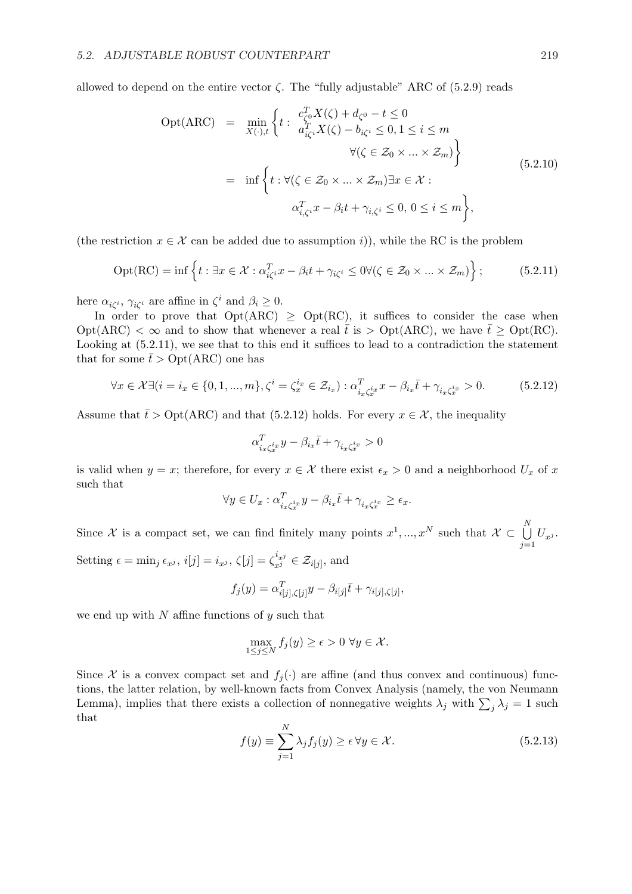allowed to depend on the entire vector  $\zeta$ . The "fully adjustable" ARC of (5.2.9) reads

$$
Opt(ARC) = \min_{X(\cdot),t} \left\{ t : \begin{aligned} c_{\zeta^0}^T X(\zeta) + d_{\zeta^0} - t &\le 0 \\ a_{i\zeta^i}^T X(\zeta) - b_{i\zeta^i} &\le 0, 1 \le i \le m \\ \forall (\zeta \in \mathcal{Z}_0 \times \ldots \times \mathcal{Z}_m) \right\} \\ = \inf \left\{ t : \forall (\zeta \in \mathcal{Z}_0 \times \ldots \times \mathcal{Z}_m) \exists x \in \mathcal{X} : \\ \alpha_{i,\zeta^i}^T x - \beta_i t + \gamma_{i,\zeta^i} &\le 0, 0 \le i \le m \right\}, \end{aligned} \tag{5.2.10}
$$

(the restriction  $x \in \mathcal{X}$  can be added due to assumption i)), while the RC is the problem

$$
Opt(RC) = \inf \left\{ t : \exists x \in \mathcal{X} : \alpha_{i\zeta}^T x - \beta_i t + \gamma_{i\zeta^i} \le 0 \forall (\zeta \in \mathcal{Z}_0 \times ... \times \mathcal{Z}_m) \right\};\tag{5.2.11}
$$

here  $\alpha_{i\zeta^{i}}$ ,  $\gamma_{i\zeta^{i}}$  are affine in  $\zeta^{i}$  and  $\beta_{i} \geq 0$ .

In order to prove that  $Opt(ARC) \ge Opt(RC)$ , it suffices to consider the case when  $\mathrm{Opt}(\mathrm{ARC}) < \infty$  and to show that whenever a real  $\bar{t}$  is  $> \mathrm{Opt}(\mathrm{ARC})$ , we have  $\bar{t} \geq \mathrm{Opt}(\mathrm{RC})$ . Looking at (5.2.11), we see that to this end it suffices to lead to a contradiction the statement that for some  $\bar{t} > \text{Opt}(ARC)$  one has

$$
\forall x \in \mathcal{X} \exists (i = i_x \in \{0, 1, ..., m\}, \zeta^i = \zeta_x^{i_x} \in \mathcal{Z}_{i_x}) : \alpha_{i_x \zeta_x^{i_x}}^T x - \beta_{i_x} \bar{t} + \gamma_{i_x \zeta_x^{i_x}} > 0. \tag{5.2.12}
$$

Assume that  $\bar{t} > \text{Opt}(ARC)$  and that (5.2.12) holds. For every  $x \in \mathcal{X}$ , the inequality

$$
\alpha_{i_x\zeta_x^{i_x}}^Ty-\beta_{i_x}\bar t+\gamma_{i_x\zeta_x^{i_x}}>0
$$

is valid when  $y = x$ ; therefore, for every  $x \in \mathcal{X}$  there exist  $\epsilon_x > 0$  and a neighborhood  $U_x$  of x such that

$$
\forall y \in U_x : \alpha_{i_x \zeta_x^{i_x}}^T y - \beta_{i_x} \overline{t} + \gamma_{i_x \zeta_x^{i_x}} \ge \epsilon_x.
$$

Since X is a compact set, we can find finitely many points  $x^1, ..., x^N$  such that  $\mathcal{X} \subset \bigcup^N$  $\bigcup_{j=1} U_{x^j}.$ Setting  $\epsilon = \min_j \epsilon_{x^j}$ ,  $i[j] = i_{x^j}$ ,  $\zeta[j] = \zeta_{x^j}^{i_{x^j}} \in \mathcal{Z}_{i[j]}$ , and

$$
\lim_{\nu \to \infty} c_{x,\nu}, \, c_{\nu} = c_{x,\nu}, \, s_{\nu} = s_{x,\nu} \in \mathbb{Z}_{\{0\}}, \, \text{and}
$$

$$
f_j(y) = \alpha_{i[j],\zeta[j]}^T y - \beta_{i[j]}\bar{t} + \gamma_{i[j],\zeta[j]},
$$

we end up with  $N$  affine functions of  $y$  such that

$$
\max_{1 \le j \le N} f_j(y) \ge \epsilon > 0 \,\,\forall y \in \mathcal{X}.
$$

Since X is a convex compact set and  $f_i(\cdot)$  are affine (and thus convex and continuous) functions, the latter relation, by well-known facts from Convex Analysis (namely, the von Neumann Lemma), implies that there exists a collection of nonnegative weights  $\lambda_j$  with  $\sum_j \lambda_j = 1$  such that

$$
f(y) \equiv \sum_{j=1}^{N} \lambda_j f_j(y) \ge \epsilon \,\forall y \in \mathcal{X}.\tag{5.2.13}
$$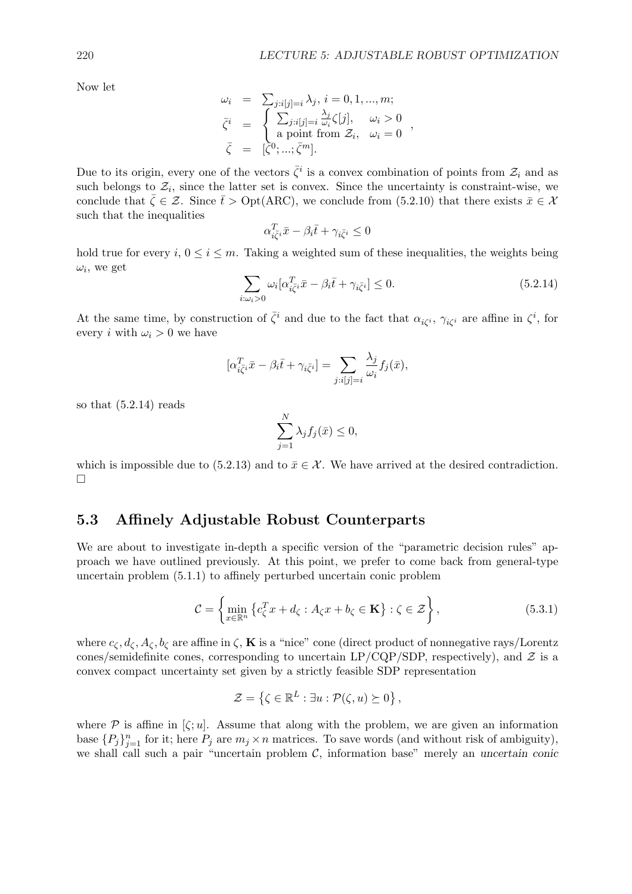Now let

$$
\omega_i = \sum_{j:i[j]=i} \lambda_j, i = 0, 1, ..., m;
$$
  
\n
$$
\bar{\zeta}^i = \begin{cases}\n\sum_{j:i[j]=i} \frac{\lambda_j}{\omega_i} \zeta[j], & \omega_i > 0 \\
\text{a point from } \mathcal{Z}_i, & \omega_i = 0\n\end{cases},
$$
  
\n
$$
\bar{\zeta} = [\bar{\zeta}^0; \dots; \bar{\zeta}^m].
$$

Due to its origin, every one of the vectors  $\bar{\zeta}^i$  is a convex combination of points from  $\mathcal{Z}_i$  and as such belongs to  $\mathcal{Z}_i$ , since the latter set is convex. Since the uncertainty is constraint-wise, we conclude that  $\bar{\zeta} \in \mathcal{Z}$ . Since  $\bar{t} > \text{Opt}(ARC)$ , we conclude from (5.2.10) that there exists  $\bar{x} \in \mathcal{X}$ such that the inequalities

$$
\alpha_{i\bar{\zeta}^i}^T\bar{x}-\beta_i\bar{t}+\gamma_{i\bar{\zeta}^i}\leq 0
$$

hold true for every i,  $0 \le i \le m$ . Taking a weighted sum of these inequalities, the weights being  $\omega_i$ , we get  $\overline{\phantom{a}}$ 

$$
\sum_{i:\omega_i>0} \omega_i [\alpha_{i\overline{\zeta}^i}^T \bar{x} - \beta_i \bar{t} + \gamma_{i\overline{\zeta}^i}] \le 0.
$$
\n(5.2.14)

At the same time, by construction of  $\bar{\zeta}^i$  and due to the fact that  $\alpha_{i\zeta^i}$ ,  $\gamma_{i\zeta^i}$  are affine in  $\zeta^i$ , for every *i* with  $\omega_i > 0$  we have

$$
[\alpha_{i\overline{\zeta}i}^T \overline{x} - \beta_i \overline{t} + \gamma_{i\overline{\zeta}i}] = \sum_{j:i[j]=i} \frac{\lambda_j}{\omega_i} f_j(\overline{x}),
$$

so that (5.2.14) reads

$$
\sum_{j=1}^{N} \lambda_j f_j(\bar{x}) \le 0,
$$

which is impossible due to  $(5.2.13)$  and to  $\bar{x} \in \mathcal{X}$ . We have arrived at the desired contradiction. ¤

## 5.3 Affinely Adjustable Robust Counterparts

We are about to investigate in-depth a specific version of the "parametric decision rules" approach we have outlined previously. At this point, we prefer to come back from general-type uncertain problem (5.1.1) to affinely perturbed uncertain conic problem

$$
\mathcal{C} = \left\{ \min_{x \in \mathbb{R}^n} \left\{ c_{\zeta}^T x + d_{\zeta} : A_{\zeta} x + b_{\zeta} \in \mathbf{K} \right\} : \zeta \in \mathcal{Z} \right\},\tag{5.3.1}
$$

where  $c_{\zeta}, d_{\zeta}, A_{\zeta}, b_{\zeta}$  are affine in  $\zeta$ , **K** is a "nice" cone (direct product of nonnegative rays/Lorentz cones/semidefinite cones, corresponding to uncertain  $LP/CQP/SDP$ , respectively), and  $\mathcal Z$  is a convex compact uncertainty set given by a strictly feasible SDP representation

$$
\mathcal{Z} = \{ \zeta \in \mathbb{R}^L : \exists u : \mathcal{P}(\zeta, u) \succeq 0 \},
$$

where  $P$  is affine in  $[\zeta; u]$ . Assume that along with the problem, we are given an information base  ${P_j}_{j=1}^n$  for it; here  $P_j$  are  $m_j \times n$  matrices. To save words (and without risk of ambiguity), we shall call such a pair "uncertain problem  $C$ , information base" merely an uncertain conic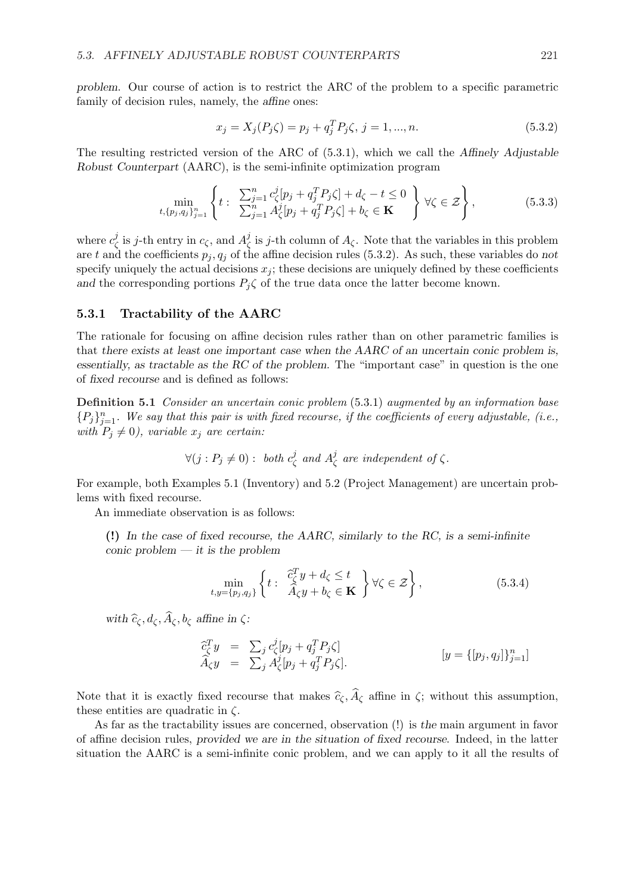problem. Our course of action is to restrict the ARC of the problem to a specific parametric family of decision rules, namely, the *affine* ones:

$$
x_j = X_j(P_j \zeta) = p_j + q_j^T P_j \zeta, \ j = 1, ..., n. \tag{5.3.2}
$$

The resulting restricted version of the ARC of (5.3.1), which we call the Affinely Adjustable Robust Counterpart (AARC), is the semi-infinite optimization program

$$
\min_{t, \{p_j, q_j\}_{j=1}^n} \left\{ t : \sum_{j=1}^n c_{\zeta}^j [p_j + q_j^T P_j \zeta] + d_{\zeta} - t \le 0 \atop \sum_{j=1}^n A_{\zeta}^j [p_j + q_j^T P_j \zeta] + b_{\zeta} \in \mathbf{K} \right\} \forall \zeta \in \mathcal{Z} \right\},
$$
\n(5.3.3)

where  $c^j_c$  $j(\sigma)$  is j-th entry in  $c_{\zeta}$ , and  $A_{\zeta}^{j}$ <sup>*j*</sup> is *j*-th column of  $A_{\zeta}$ . Note that the variables in this problem are t and the coefficients  $p_j, q_j$  of the affine decision rules (5.3.2). As such, these variables do not specify uniquely the actual decisions  $x_j$ ; these decisions are uniquely defined by these coefficients and the corresponding portions  $P_i \zeta$  of the true data once the latter become known.

#### 5.3.1 Tractability of the AARC

The rationale for focusing on affine decision rules rather than on other parametric families is that there exists at least one important case when the AARC of an uncertain conic problem is, essentially, as tractable as the RC of the problem. The "important case" in question is the one of fixed recourse and is defined as follows:

Definition 5.1 Consider an uncertain conic problem (5.3.1) augmented by an information base  ${P_j}_{j=1}^n$ . We say that this pair is with fixed recourse, if the coefficients of every adjustable, (i.e., with  $P_j \neq 0$ ), variable  $x_j$  are certain:

$$
\forall (j : P_j \neq 0) : \text{ both } c_{\zeta}^j \text{ and } A_{\zeta}^j \text{ are independent of } \zeta.
$$

For example, both Examples 5.1 (Inventory) and 5.2 (Project Management) are uncertain problems with fixed recourse.

An immediate observation is as follows:

(!) In the case of fixed recourse, the AARC, similarly to the RC, is a semi-infinite conic problem  $-$  it is the problem

$$
\min_{t,y=\{p_j,q_j\}}\left\{t:\begin{array}{c}\hat{c}_\zeta^T y + d_\zeta \le t\\ \hat{A}_\zeta y + b_\zeta \in \mathbf{K}\end{array}\right\} \forall \zeta \in \mathcal{Z}\right\},\tag{5.3.4}
$$

with  $\widehat{c}_{\zeta}, d_{\zeta}, \widehat{A}_{\zeta}, b_{\zeta}$  affine in  $\zeta$ :

$$
\begin{array}{rcl}\n\widehat{c}_\zeta^T y & = & \sum_j c_\zeta^j [p_j + q_j^T P_j \zeta] \\
\widehat{A}_\zeta y & = & \sum_j A_\zeta^j [p_j + q_j^T P_j \zeta].\n\end{array} \qquad \qquad [y = \{[p_j, q_j]\}_{j=1}^n]
$$

Note that it is exactly fixed recourse that makes  $\hat{c}_\zeta$ ,  $\hat{A}_\zeta$  affine in  $\zeta$ ; without this assumption, these entities are quadratic in  $\zeta$ .

As far as the tractability issues are concerned, observation (!) is the main argument in favor of affine decision rules, provided we are in the situation of fixed recourse. Indeed, in the latter situation the AARC is a semi-infinite conic problem, and we can apply to it all the results of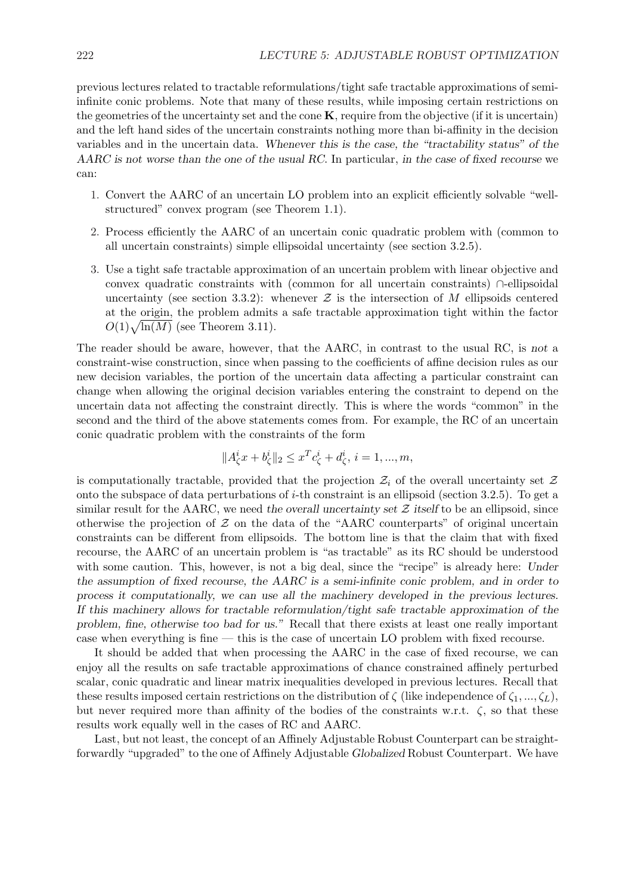previous lectures related to tractable reformulations/tight safe tractable approximations of semiinfinite conic problems. Note that many of these results, while imposing certain restrictions on the geometries of the uncertainty set and the cone  $K$ , require from the objective (if it is uncertain) and the left hand sides of the uncertain constraints nothing more than bi-affinity in the decision variables and in the uncertain data. Whenever this is the case, the "tractability status" of the AARC is not worse than the one of the usual RC. In particular, in the case of fixed recourse we can:

- 1. Convert the AARC of an uncertain LO problem into an explicit efficiently solvable "wellstructured" convex program (see Theorem 1.1).
- 2. Process efficiently the AARC of an uncertain conic quadratic problem with (common to all uncertain constraints) simple ellipsoidal uncertainty (see section 3.2.5).
- 3. Use a tight safe tractable approximation of an uncertain problem with linear objective and convex quadratic constraints with (common for all uncertain constraints) ∩-ellipsoidal uncertainty (see section 3.3.2): whenever  $\mathcal Z$  is the intersection of M ellipsoids centered at the origin, the problem admits a safe tractable approximation tight within the factor at the origin, the problem admits<br> $O(1)\sqrt{\ln(M)}$  (see Theorem 3.11).

The reader should be aware, however, that the AARC, in contrast to the usual RC, is not a constraint-wise construction, since when passing to the coefficients of affine decision rules as our new decision variables, the portion of the uncertain data affecting a particular constraint can change when allowing the original decision variables entering the constraint to depend on the uncertain data not affecting the constraint directly. This is where the words "common" in the second and the third of the above statements comes from. For example, the RC of an uncertain conic quadratic problem with the constraints of the form

$$
||A_{\zeta}^{i}x+b_{\zeta}^{i}||_{2}\leq x^{T}c_{\zeta}^{i}+d_{\zeta}^{i},\,i=1,...,m,
$$

is computationally tractable, provided that the projection  $\mathcal{Z}_i$  of the overall uncertainty set  $\mathcal Z$ onto the subspace of data perturbations of  $i$ -th constraint is an ellipsoid (section 3.2.5). To get a similar result for the AARC, we need the overall uncertainty set  $\mathcal Z$  itself to be an ellipsoid, since otherwise the projection of  $\mathcal Z$  on the data of the "AARC counterparts" of original uncertain constraints can be different from ellipsoids. The bottom line is that the claim that with fixed recourse, the AARC of an uncertain problem is "as tractable" as its RC should be understood with some caution. This, however, is not a big deal, since the "recipe" is already here: Under the assumption of fixed recourse, the AARC is a semi-infinite conic problem, and in order to process it computationally, we can use all the machinery developed in the previous lectures. If this machinery allows for tractable reformulation/tight safe tractable approximation of the problem, fine, otherwise too bad for us." Recall that there exists at least one really important case when everything is fine — this is the case of uncertain LO problem with fixed recourse.

It should be added that when processing the AARC in the case of fixed recourse, we can enjoy all the results on safe tractable approximations of chance constrained affinely perturbed scalar, conic quadratic and linear matrix inequalities developed in previous lectures. Recall that these results imposed certain restrictions on the distribution of  $\zeta$  (like independence of  $\zeta_1, ..., \zeta_L$ ), but never required more than affinity of the bodies of the constraints w.r.t.  $\zeta$ , so that these results work equally well in the cases of RC and AARC.

Last, but not least, the concept of an Affinely Adjustable Robust Counterpart can be straightforwardly "upgraded" to the one of Affinely Adjustable Globalized Robust Counterpart. We have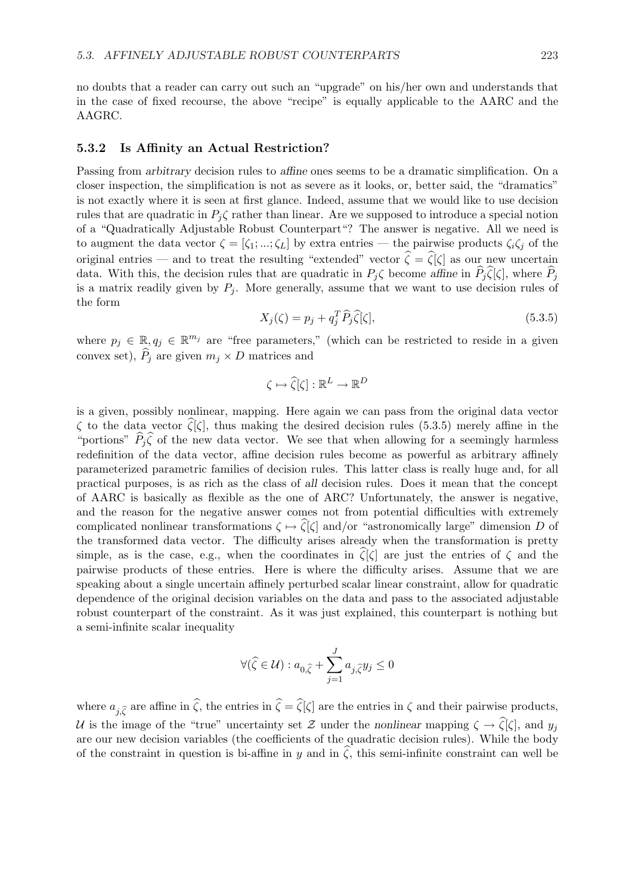no doubts that a reader can carry out such an "upgrade" on his/her own and understands that in the case of fixed recourse, the above "recipe" is equally applicable to the AARC and the AAGRC.

#### 5.3.2 Is Affinity an Actual Restriction?

Passing from arbitrary decision rules to affine ones seems to be a dramatic simplification. On a closer inspection, the simplification is not as severe as it looks, or, better said, the "dramatics" is not exactly where it is seen at first glance. Indeed, assume that we would like to use decision rules that are quadratic in  $P_i \zeta$  rather than linear. Are we supposed to introduce a special notion of a "Quadratically Adjustable Robust Counterpart"? The answer is negative. All we need is to augment the data vector  $\zeta = [\zeta_1; \dots; \zeta_L]$  by extra entries — the pairwise products  $\zeta_i \zeta_j$  of the original entries — and to treat the resulting "extended" vector  $\hat{\zeta} = \hat{\zeta}[\zeta]$  as our new uncertain data. With this, the decision rules that are quadratic in  $P_i\zeta$  become affine in  $\hat{P}_i\hat{\zeta}[\zeta]$ , where  $\hat{P}_i$ is a matrix readily given by  $P_i$ . More generally, assume that we want to use decision rules of the form

$$
X_j(\zeta) = p_j + q_j^T \widehat{P}_j \widehat{\zeta}[\zeta],\tag{5.3.5}
$$

where  $p_j \in \mathbb{R}, q_j \in \mathbb{R}^{m_j}$  are "free parameters," (which can be restricted to reside in a given convex set),  $\widehat{P}_j$  are given  $m_j \times D$  matrices and

$$
\zeta\mapsto\widehat{\zeta}[\zeta]:\mathbb{R}^L\to\mathbb{R}^D
$$

is a given, possibly nonlinear, mapping. Here again we can pass from the original data vector  $\zeta$  to the data vector  $\zeta[\zeta]$ , thus making the desired decision rules (5.3.5) merely affine in the "portions"  $\hat{P}_j\hat{\zeta}$  of the new data vector. We see that when allowing for a seemingly harmless redefinition of the data vector, affine decision rules become as powerful as arbitrary affinely parameterized parametric families of decision rules. This latter class is really huge and, for all practical purposes, is as rich as the class of all decision rules. Does it mean that the concept of AARC is basically as flexible as the one of ARC? Unfortunately, the answer is negative, and the reason for the negative answer comes not from potential difficulties with extremely complicated nonlinear transformations  $\zeta \mapsto \tilde{\zeta}[\zeta]$  and/or "astronomically large" dimension D of the transformed data vector. The difficulty arises already when the transformation is pretty simple, as is the case, e.g., when the coordinates in  $\zeta[\zeta]$  are just the entries of  $\zeta$  and the pairwise products of these entries. Here is where the difficulty arises. Assume that we are speaking about a single uncertain affinely perturbed scalar linear constraint, allow for quadratic dependence of the original decision variables on the data and pass to the associated adjustable robust counterpart of the constraint. As it was just explained, this counterpart is nothing but a semi-infinite scalar inequality

$$
\forall (\widehat{\zeta} \in \mathcal{U}): a_{0, \widehat{\zeta}} + \sum_{j=1}^J a_{j, \widehat{\zeta}} y_j \leq 0
$$

where  $a_{i,\hat{\zeta}}$  are affine in  $\hat{\zeta}$ , the entries in  $\hat{\zeta} = \hat{\zeta}[\zeta]$  are the entries in  $\zeta$  and their pairwise products, U is the image of the "true" uncertainty set Z under the nonlinear mapping  $\zeta \to \hat{\zeta}[\zeta]$ , and  $y_i$ are our new decision variables (the coefficients of the quadratic decision rules). While the body of the constraint in question is bi-affine in y and in  $\zeta$ , this semi-infinite constraint can well be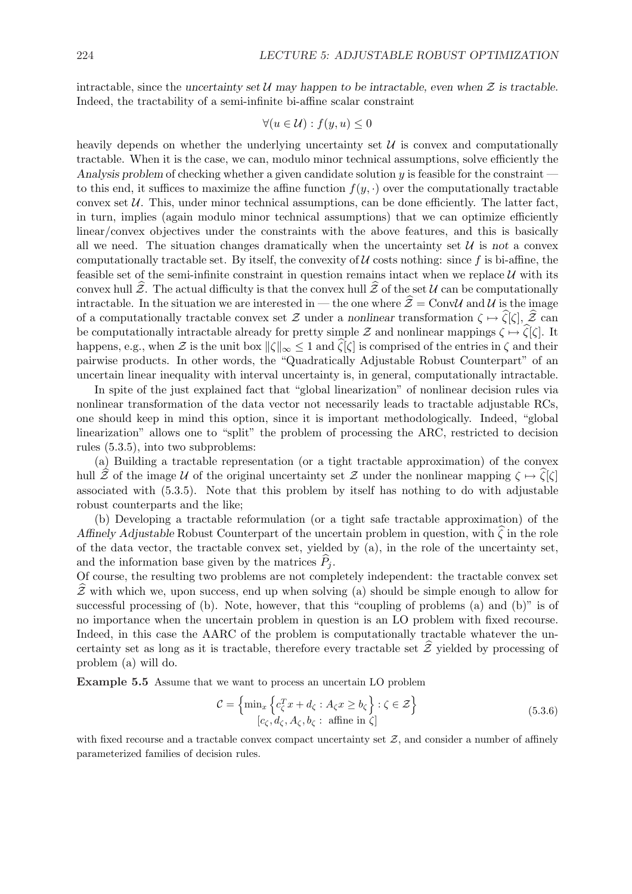intractable, since the uncertainty set U may happen to be intractable, even when  $\mathcal Z$  is tractable. Indeed, the tractability of a semi-infinite bi-affine scalar constraint

$$
\forall (u \in \mathcal{U}) : f(y, u) \leq 0
$$

heavily depends on whether the underlying uncertainty set  $\mathcal U$  is convex and computationally tractable. When it is the case, we can, modulo minor technical assumptions, solve efficiently the Analysis problem of checking whether a given candidate solution  $y$  is feasible for the constraint to this end, it suffices to maximize the affine function  $f(y, \cdot)$  over the computationally tractable convex set  $U$ . This, under minor technical assumptions, can be done efficiently. The latter fact, in turn, implies (again modulo minor technical assumptions) that we can optimize efficiently linear/convex objectives under the constraints with the above features, and this is basically all we need. The situation changes dramatically when the uncertainty set  $\mathcal{U}$  is not a convex computationally tractable set. By itself, the convexity of  $U$  costs nothing: since f is bi-affine, the feasible set of the semi-infinite constraint in question remains intact when we replace  $U$  with its convex hull  $\tilde{Z}$ . The actual difficulty is that the convex hull  $\tilde{Z}$  of the set U can be computationally intractable. In the situation we are interested in — the one where  $\hat{z} = \text{ConvU}$  and U is the image of a computationally tractable convex set  $\mathcal Z$  under a nonlinear transformation  $\zeta \mapsto \hat{\zeta}[\zeta], \hat{\mathcal Z}$  can be computationally intractable already for pretty simple Z and nonlinear mappings  $\zeta \mapsto \hat{\zeta}[\zeta]$ . It happens, e.g., when Z is the unit box  $\|\zeta\|_{\infty} \leq 1$  and  $\widehat{\zeta}[\zeta]$  is comprised of the entries in  $\zeta$  and their pairwise products. In other words, the "Quadratically Adjustable Robust Counterpart" of an uncertain linear inequality with interval uncertainty is, in general, computationally intractable.

In spite of the just explained fact that "global linearization" of nonlinear decision rules via nonlinear transformation of the data vector not necessarily leads to tractable adjustable RCs, one should keep in mind this option, since it is important methodologically. Indeed, "global linearization" allows one to "split" the problem of processing the ARC, restricted to decision rules (5.3.5), into two subproblems:

(a) Building a tractable representation (or a tight tractable approximation) of the convex hull  $\mathcal{\tilde{Z}}$  of the image U of the original uncertainty set Z under the nonlinear mapping  $\zeta \mapsto \zeta[\zeta]$ associated with (5.3.5). Note that this problem by itself has nothing to do with adjustable robust counterparts and the like;

(b) Developing a tractable reformulation (or a tight safe tractable approximation) of the Affinely Adjustable Robust Counterpart of the uncertain problem in question, with  $\zeta$  in the role of the data vector, the tractable convex set, yielded by (a), in the role of the uncertainty set, and the information base given by the matrices  $\hat{P}_i$ .

Of course, the resulting two problems are not completely independent: the tractable convex set  $\mathcal{\tilde{Z}}$  with which we, upon success, end up when solving (a) should be simple enough to allow for successful processing of (b). Note, however, that this "coupling of problems (a) and (b)" is of no importance when the uncertain problem in question is an LO problem with fixed recourse. Indeed, in this case the AARC of the problem is computationally tractable whatever the uncertainty set as long as it is tractable, therefore every tractable set  $\hat{\mathcal{Z}}$  yielded by processing of problem (a) will do.

Example 5.5 Assume that we want to process an uncertain LO problem

$$
\mathcal{C} = \left\{ \min_{x} \left\{ c_{\zeta}^{T} x + d_{\zeta} : A_{\zeta} x \ge b_{\zeta} \right\} : \zeta \in \mathcal{Z} \right\}
$$
\n
$$
[c_{\zeta}, d_{\zeta}, A_{\zeta}, b_{\zeta} : \text{affine in } \zeta] \tag{5.3.6}
$$

with fixed recourse and a tractable convex compact uncertainty set  $Z$ , and consider a number of affinely parameterized families of decision rules.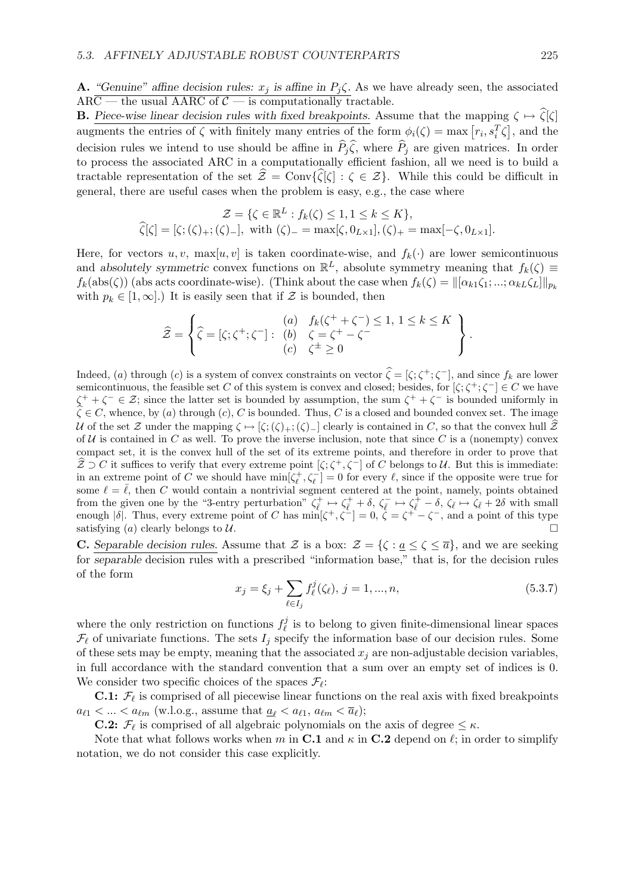A. "Genuine" affine decision rules:  $x_j$  is affine in  $P_j \zeta$ . As we have already seen, the associated  $AR\overline{C}$  — the usual AARC of  $\overline{C}$  — is computationally tractable.

**B.** Piece-wise linear decision rules with fixed breakpoints. Assume that the mapping  $\zeta \mapsto \hat{\zeta}[\zeta]$ **B.** These-wise linear decision rules with fixed breakpoints. Assume that the mapping  $\zeta \to \zeta[\zeta]$  and the augments the entries of  $\zeta$  with finitely many entries of the form  $\phi_i(\zeta) = \max [r_i, s_i^T \zeta]$ , and the decision rules we intend to use should be affine in  $\hat{P}_j\hat{\zeta}$ , where  $\hat{P}_j$  are given matrices. In order to process the associated ARC in a computationally efficient fashion, all we need is to build a tractable representation of the set  $\hat{\mathcal{Z}} = \text{Conv}\{\hat{\zeta}[\zeta] : \zeta \in \mathcal{Z}\}\$ . While this could be difficult in general, there are useful cases when the problem is easy, e.g., the case where

$$
\mathcal{Z} = \{ \zeta \in \mathbb{R}^L : f_k(\zeta) \le 1, 1 \le k \le K \},
$$
  

$$
\widehat{\zeta}[\zeta] = [\zeta; (\zeta)_+; (\zeta)_-], \text{ with } (\zeta)_- = \max[\zeta, 0_{L \times 1}], (\zeta)_+ = \max[-\zeta, 0_{L \times 1}].
$$

Here, for vectors  $u, v$ ,  $\max[u, v]$  is taken coordinate-wise, and  $f_k(\cdot)$  are lower semicontinuous and absolutely symmetric convex functions on  $\mathbb{R}^L$ , absolute symmetry meaning that  $f_k(\zeta) \equiv$  $f_k(\text{abs}(\zeta))$  (abs acts coordinate-wise). (Think about the case when  $f_k(\zeta) = ||[\alpha_{k1}\zeta_1; \dots; \alpha_{kL}\zeta_L]||_{p_k}$ with  $p_k \in [1,\infty]$ .) It is easily seen that if  $\mathcal Z$  is bounded, then

$$
\widehat{\mathcal{Z}} = \left\{ \widehat{\zeta} = [\zeta; \zeta^+; \zeta^-]: \begin{array}{c} (a) \quad f_k(\zeta^+ + \zeta^-) \leq 1, \ 1 \leq k \leq K \\ (b) \quad \zeta = \zeta^+ - \zeta^- \\ (c) \quad \zeta^{\pm} \geq 0 \end{array} \right\}.
$$

Indeed, (a) through (c) is a system of convex constraints on vector  $\hat{\zeta} = [\zeta; \zeta^+; \zeta^-]$ , and since  $f_k$  are lower semicontinuous, the feasible set C of this system is convex and closed; besides, for  $[\zeta; \zeta^+; \zeta^-] \in C$  we have  $\zeta^+ + \zeta^- \in \mathcal{Z}$ ; since the latter set is bounded by assumption, the sum  $\zeta^+ + \zeta^-$  is bounded uniformly in  $\zeta \in C$ , whence, by (a) through (c), C is bounded. Thus, C is a closed and bounded convex set. The image U of the set Z under the mapping  $\zeta \mapsto [\zeta; (\zeta)_+; (\zeta)_-]$  clearly is contained in C, so that the convex hull  $\tilde{Z}$ of U is contained in C as well. To prove the inverse inclusion, note that since C is a (nonempty) convex compact set, it is the convex hull of the set of its extreme points, and therefore in order to prove that  $\mathcal{Z} \supset C$  it suffices to verify that every extreme point  $[\zeta; \zeta^+, \zeta^-]$  of C belongs to U. But this is immediate: in an extreme point of C we should have  $\min[\zeta_\ell^+, \zeta_\ell^-] = 0$  for every  $\ell$ , since if the opposite were true for some  $\ell = \overline{\ell}$ , then C would contain a nontrivial segment centered at the point, namely, points obtained from the given one by the "3-entry perturbation"  $\zeta_{\bar{\ell}}^+ \mapsto \zeta_{\bar{\ell}}^+ + \delta$ ,  $\zeta_{\bar{\ell}}^- \mapsto \zeta_{\bar{\ell}}^+ - \delta$ ,  $\zeta_{\bar{\ell}} \mapsto \zeta_{\bar{\ell}} + 2\delta$  with small enough  $|\delta|$ . Thus, every extreme point of C has  $\min[\zeta^+, \zeta^-] = 0$ ,  $\zeta = \zeta^+ - \zeta^-$ , and a point of this type satisfying (a) clearly belongs to U.  $\Box$ 

**C.** Separable decision rules. Assume that Z is a box:  $\mathcal{Z} = \{\zeta : \underline{a} \leq \zeta \leq \overline{a}\}\)$ , and we are seeking for separable decision rules with a prescribed "information base," that is, for the decision rules of the form  $\overline{\phantom{a}}$ 

$$
x_j = \xi_j + \sum_{\ell \in I_j} f_{\ell}^j(\zeta_{\ell}), \ j = 1, ..., n,
$$
\n(5.3.7)

where the only restriction on functions  $f_{\ell}^{j}$  $\ell$  is to belong to given finite-dimensional linear spaces  $\mathcal{F}_{\ell}$  of univariate functions. The sets  $I_j$  specify the information base of our decision rules. Some of these sets may be empty, meaning that the associated  $x_j$  are non-adjustable decision variables, in full accordance with the standard convention that a sum over an empty set of indices is 0. We consider two specific choices of the spaces  $\mathcal{F}_{\ell}$ :

**C.1:**  $\mathcal{F}_{\ell}$  is comprised of all piecewise linear functions on the real axis with fixed breakpoints  $a_{\ell 1} < ... < a_{\ell m}$  (w.l.o.g., assume that  $\underline{a}_{\ell} < a_{\ell 1}, a_{\ell m} < \overline{a}_{\ell}$ );

**C.2:**  $\mathcal{F}_{\ell}$  is comprised of all algebraic polynomials on the axis of degree  $\leq \kappa$ .

Note that what follows works when m in C.1 and  $\kappa$  in C.2 depend on  $\ell$ ; in order to simplify notation, we do not consider this case explicitly.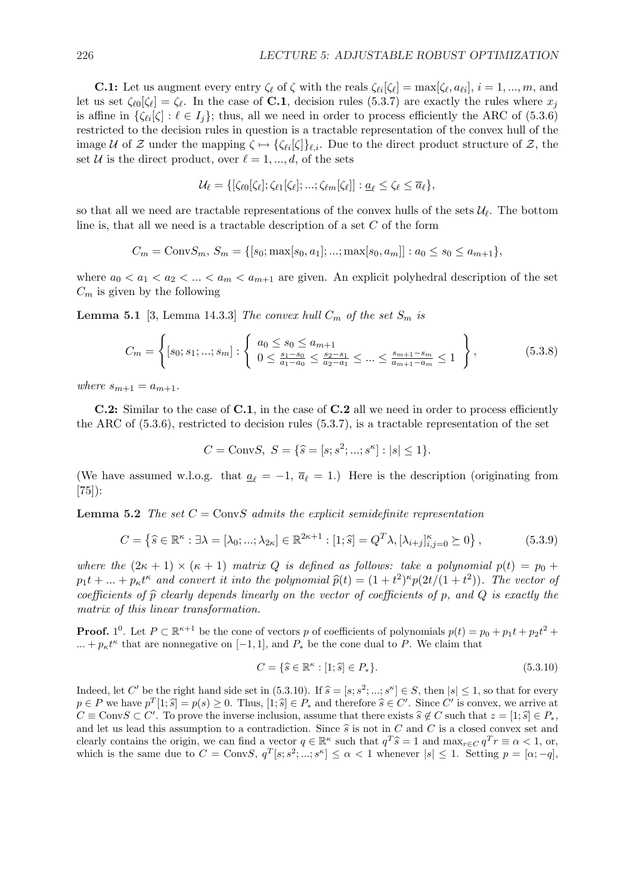**C.1:** Let us augment every entry  $\zeta_{\ell}$  of  $\zeta$  with the reals  $\zeta_{\ell i}[\zeta_{\ell}] = \max[\zeta_{\ell}, a_{\ell i}], i = 1, ..., m$ , and let us set  $\zeta_{\ell 0}[\zeta_{\ell}] = \zeta_{\ell}$ . In the case of **C.1**, decision rules (5.3.7) are exactly the rules where  $x_j$ is affine in  $\{\zeta_{\ell i}[\zeta] : \ell \in I_i\}$ ; thus, all we need in order to process efficiently the ARC of (5.3.6) restricted to the decision rules in question is a tractable representation of the convex hull of the image U of Z under the mapping  $\zeta \mapsto {\zeta_{\ell i}[\zeta]}_{\ell,i}$ . Due to the direct product structure of Z, the set U is the direct product, over  $\ell = 1, ..., d$ , of the sets

$$
\mathcal{U}_{\ell} = \{ [\zeta_{\ell 0}[\zeta_{\ell}]; \zeta_{\ell 1}[\zeta_{\ell}];...; \zeta_{\ell m}[\zeta_{\ell}]] : \underline{a}_{\ell} \leq \zeta_{\ell} \leq \overline{a}_{\ell} \},
$$

so that all we need are tractable representations of the convex hulls of the sets  $\mathcal{U}_{\ell}$ . The bottom line is, that all we need is a tractable description of a set  $C$  of the form

$$
C_m = \text{Conv}S_m, \, S_m = \{ [s_0; \max[s_0, a_1]; ...; \max[s_0, a_m]] : a_0 \le s_0 \le a_{m+1} \},
$$

where  $a_0 < a_1 < a_2 < ... < a_m < a_{m+1}$  are given. An explicit polyhedral description of the set  $C_m$  is given by the following

**Lemma 5.1** [3, Lemma 14.3.3] The convex hull  $C_m$  of the set  $S_m$  is

$$
C_m = \left\{ [s_0; s_1; ...; s_m] : \left\{ \begin{array}{l} a_0 \le s_0 \le a_{m+1} \\ 0 \le \frac{s_1 - s_0}{a_1 - a_0} \le \frac{s_2 - s_1}{a_2 - a_1} \le ... \le \frac{s_{m+1} - s_m}{a_{m+1} - a_m} \le 1 \end{array} \right\},\tag{5.3.8}
$$

where  $s_{m+1} = a_{m+1}$ .

C.2: Similar to the case of C.1, in the case of C.2 all we need in order to process efficiently the ARC of (5.3.6), restricted to decision rules (5.3.7), is a tractable representation of the set

$$
C = \text{ConvS}, \ S = \{\hat{s} = [s; s^2; \dots; s^{\kappa}] : |s| \le 1\}.
$$

(We have assumed w.l.o.g. that  $\underline{a}_{\ell} = -1$ ,  $\overline{a}_{\ell} = 1$ .) Here is the description (originating from  $|75|$ :

**Lemma 5.2** The set  $C = ConvS$  admits the explicit semidefinite representation

$$
C = \left\{ \widehat{s} \in \mathbb{R}^{\kappa} : \exists \lambda = [\lambda_0; \dots; \lambda_{2\kappa}] \in \mathbb{R}^{2\kappa + 1} : [1; \widehat{s}] = Q^T \lambda, [\lambda_{i+j}]_{i,j=0}^{\kappa} \succeq 0 \right\},
$$
(5.3.9)

where the  $(2\kappa + 1) \times (\kappa + 1)$  matrix Q is defined as follows: take a polynomial  $p(t) = p_0 +$  $p_1t + ... + p_kt^k$  and convert it into the polynomial  $\hat{p}(t) = (1+t^2)^k p(2t/(1+t^2))$ . The vector of coefficients of  $\hat{p}$  clearly depends linearly on the vector of coefficients of p, and Q is exactly the matrix of this linear transformation.

**Proof.** 1<sup>0</sup>. Let  $P \subset \mathbb{R}^{k+1}$  be the cone of vectors p of coefficients of polynomials  $p(t) = p_0 + p_1 t + p_2 t^2 +$  $\dots + p_k t^k$  that are nonnegative on [-1, 1], and  $P_*$  be the cone dual to P. We claim that

$$
C = \{ \hat{s} \in \mathbb{R}^{\kappa} : [1; \hat{s}] \in P_* \}. \tag{5.3.10}
$$

Indeed, let C' be the right hand side set in  $(5.3.10)$ . If  $\hat{s} = [s; s^2; \dots; s^{\kappa}] \in S$ , then  $|s| \leq 1$ , so that for every  $p \in P$  we have  $p^T[1;\hat{s}] = p(s) \ge 0$ . Thus,  $[1;\hat{s}] \in P_*$  and therefore  $\hat{s} \in C'$ . Since  $C'$  is convex, we arrive at  $C \equiv \text{ConvS} \subset C'$ . To prove the inverse inclusion, assume that there exists  $\hat{s} \notin C$  such that  $z = [1; \hat{s}] \in P_*,$ and let us lead this assumption to a contradiction. Since  $\hat{s}$  is not in C and C is a closed convex set and clearly contains the origin, we can find a vector  $q \in \mathbb{R}^{\kappa}$  such that  $q^T \hat{s} = 1$  and  $\max_{r \in C} q^T r \equiv \alpha < 1$ , or, which is the same due to  $C = \text{Conv}S, q^T[s; s^2; \dots; s^{\kappa}] \leq \alpha < 1$  whenever  $|s| \leq 1$ . Setting  $p = [\alpha; -q]$ ,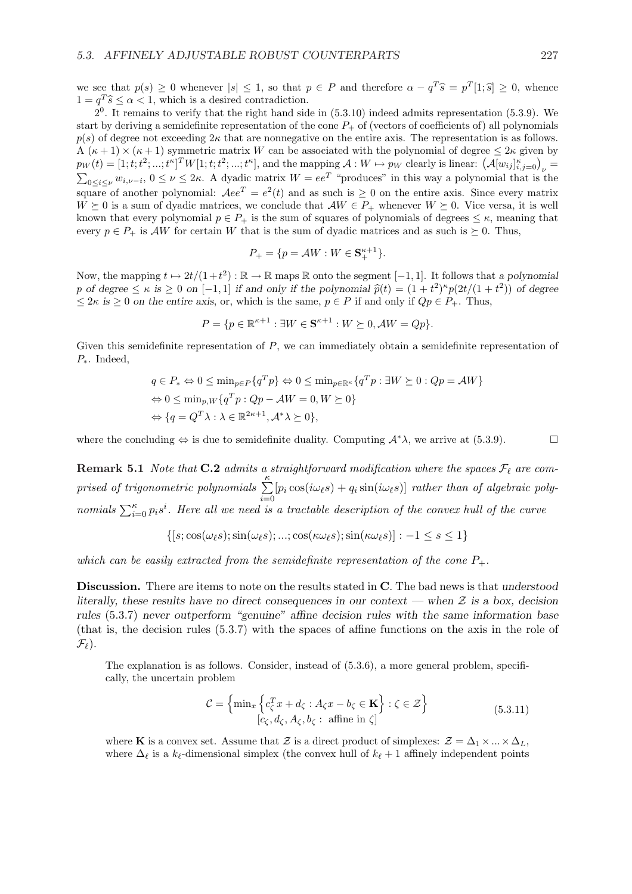we see that  $p(s) \geq 0$  whenever  $|s| \leq 1$ , so that  $p \in P$  and therefore  $\alpha - q^T \hat{s} = p^T[1; \hat{s}] \geq 0$ , whence  $1 = q^T \hat{s} \leq \alpha < 1$ , which is a desired contradiction.

 $2<sup>0</sup>$ . It remains to verify that the right hand side in  $(5.3.10)$  indeed admits representation  $(5.3.9)$ . We start by deriving a semidefinite representation of the cone  $P_+$  of (vectors of coefficients of) all polynomials  $p(s)$  of degree not exceeding  $2\kappa$  that are nonnegative on the entire axis. The representation is as follows.  $A(\kappa+1) \times (\kappa+1)$  symmetric matrix W can be associated with the polynomial of degree  $\leq 2\kappa$  given by  $p_W(t) = [1; t; t^2; ...; t^{\kappa}]^T W[1; t; t^2; ...; t^{\kappa}],$  and the mapping  $A: W \mapsto p_W$  clearly is linear:  $(A[w_{ij}]_{i,j=0}^{\kappa})_{\nu} =$  $0 \le i \le \nu$   $w_{i,\nu-i}$ ,  $0 \le \nu \le 2\kappa$ . A dyadic matrix  $W = ee^T$  "produces" in this way a polynomial that is the square of another polynomial:  $Aee^{T} = e^{2}(t)$  and as such is  $\geq 0$  on the entire axis. Since every matrix  $W \succeq 0$  is a sum of dyadic matrices, we conclude that  $\mathcal{A}W \in P_+$  whenever  $W \succeq 0$ . Vice versa, it is well known that every polynomial  $p \in P_+$  is the sum of squares of polynomials of degrees  $\leq \kappa$ , meaning that every  $p \in P_+$  is AW for certain W that is the sum of dyadic matrices and as such is  $\succeq 0$ . Thus,

$$
P_+ = \{ p = \mathcal{A}W : W \in \mathbf{S}_+^{\kappa+1} \}.
$$

Now, the mapping  $t \mapsto 2t/(1+t^2) : \mathbb{R} \to \mathbb{R}$  maps  $\mathbb R$  onto the segment  $[-1, 1]$ . It follows that a polynomial p of degree  $\leq \kappa$  is  $\geq 0$  on  $[-1,1]$  if and only if the polynomial  $\hat{p}(t) = (1+t^2)^{\kappa}p(2t/(1+t^2))$  of degree  $\leq 2\kappa$  is  $\geq 0$  on the entire axis, or, which is the same,  $p \in P$  if and only if  $Qp \in P_+$ . Thus,

$$
P = \{ p \in \mathbb{R}^{\kappa+1} : \exists W \in \mathbf{S}^{\kappa+1} : W \succeq 0, \mathcal{A}W = Qp \}.
$$

Given this semidefinite representation of P, we can immediately obtain a semidefinite representation of P∗. Indeed,

$$
q \in P_* \Leftrightarrow 0 \le \min_{p \in P} \{q^T p\} \Leftrightarrow 0 \le \min_{p \in \mathbb{R}^{\kappa}} \{q^T p : \exists W \succeq 0 : Qp = \mathcal{A}W\}
$$
  
\n
$$
\Leftrightarrow 0 \le \min_{p,W} \{q^T p : Qp - \mathcal{A}W = 0, W \succeq 0\}
$$
  
\n
$$
\Leftrightarrow \{q = Q^T \lambda : \lambda \in \mathbb{R}^{2\kappa + 1}, \mathcal{A}^* \lambda \succeq 0\},
$$

where the concluding  $\Leftrightarrow$  is due to semidefinite duality. Computing  $\mathcal{A}^*\lambda$ , we arrive at (5.3.9).  $\Box$ 

**Remark 5.1** Note that C.2 admits a straightforward modification where the spaces  $\mathcal{F}_{\ell}$  are comprised of trigonometric polynomials  $\sum_{k=1}^{\kappa}$  $i=0$  $[p_i \cos(i\omega_\ell s) + q_i \sin(i\omega_\ell s)]$  rather than of algebraic poly- $\sum_{i=0}^{\kappa} p_i s^i$ . Here all we need is a tractable description of the convex hull of the curve

$$
\{ [s; \cos(\omega_{\ell}s); \sin(\omega_{\ell}s); ...; \cos(\kappa \omega_{\ell}s); \sin(\kappa \omega_{\ell}s)] : -1 \le s \le 1 \}
$$

which can be easily extracted from the semidefinite representation of the cone  $P_+$ .

Discussion. There are items to note on the results stated in C. The bad news is that understood literally, these results have no direct consequences in our context — when  $\mathcal Z$  is a box, decision rules (5.3.7) never outperform "genuine" affine decision rules with the same information base (that is, the decision rules (5.3.7) with the spaces of affine functions on the axis in the role of  $\mathcal{F}_{\ell}$ ).

The explanation is as follows. Consider, instead of (5.3.6), a more general problem, specifically, the uncertain problem

$$
\mathcal{C} = \left\{ \min_{x} \left\{ c_{\zeta}^{T} x + d_{\zeta} : A_{\zeta} x - b_{\zeta} \in \mathbf{K} \right\} : \zeta \in \mathcal{Z} \right\}
$$
\n
$$
[c_{\zeta}, d_{\zeta}, A_{\zeta}, b_{\zeta} : \text{affine in } \zeta]
$$
\n
$$
(5.3.11)
$$

where K is a convex set. Assume that Z is a direct product of simplexes:  $\mathcal{Z} = \Delta_1 \times ... \times \Delta_L$ where  $\Delta_{\ell}$  is a k<sub> $\ell$ </sub>-dimensional simplex (the convex hull of k $_{\ell} + 1$  affinely independent points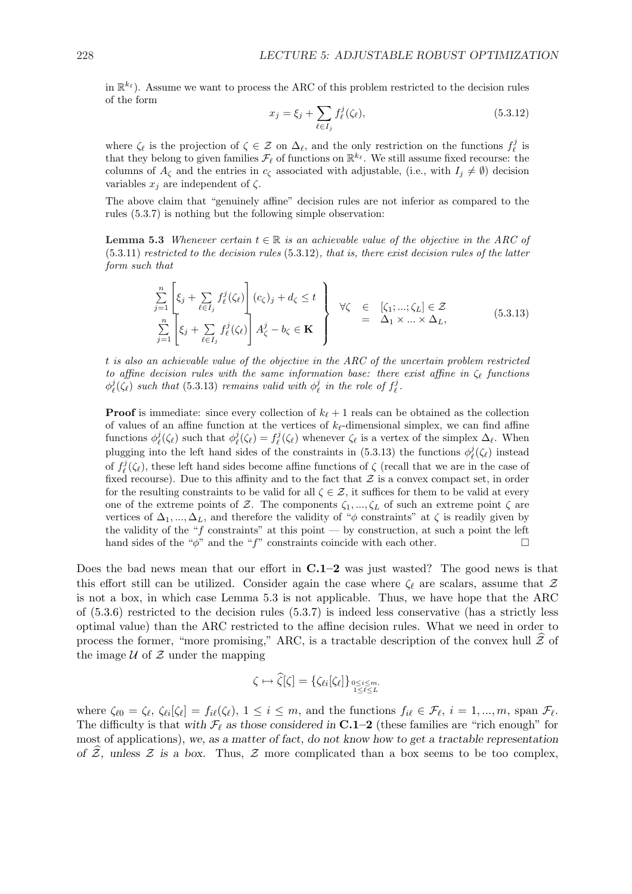in  $\mathbb{R}^{k_{\ell}}$ ). Assume we want to process the ARC of this problem restricted to the decision rules of the form  $\overline{\phantom{a}}$ 

$$
x_j = \xi_j + \sum_{\ell \in I_j} f_{\ell}^j(\zeta_{\ell}),
$$
\n(5.3.12)

where  $\zeta_{\ell}$  is the projection of  $\zeta \in \mathcal{Z}$  on  $\Delta_{\ell}$ , and the only restriction on the functions  $f_{\ell}^{j}$  is that they belong to given families  $\mathcal{F}_{\ell}$  of functions on  $\mathbb{R}^{k_{\ell}}$ . We still assume fixed recourse: the columns of  $A_{\zeta}$  and the entries in  $c_{\zeta}$  associated with adjustable, (i.e., with  $I_i \neq \emptyset$ ) decision variables  $x_i$  are independent of  $\zeta$ .

The above claim that "genuinely affine" decision rules are not inferior as compared to the rules (5.3.7) is nothing but the following simple observation:

**Lemma 5.3** Whenever certain  $t \in \mathbb{R}$  is an achievable value of the objective in the ARC of  $(5.3.11)$  restricted to the decision rules  $(5.3.12)$ , that is, there exist decision rules of the latter form such that

$$
\sum_{j=1}^{n} \left[ \xi_j + \sum_{\ell \in I_j} f_{\ell}^j(\zeta_{\ell}) \right] (c_{\zeta})_j + d_{\zeta} \le t \quad \downarrow \qquad \forall \zeta \in [\zeta_1; \dots; \zeta_L] \in \mathcal{Z}
$$
\n
$$
\sum_{j=1}^{n} \left[ \xi_j + \sum_{\ell \in I_j} f_{\ell}^j(\zeta_{\ell}) \right] A_{\zeta}^j - b_{\zeta} \in \mathbf{K} \quad \downarrow \qquad \qquad \Delta_1 \times \dots \times \Delta_L,
$$
\n(5.3.13)

t is also an achievable value of the objective in the ARC of the uncertain problem restricted to affine decision rules with the same information base: there exist affine in  $\zeta_{\ell}$  functions  $\phi_{\ell}^{j}(\zeta_{\ell})$  such that (5.3.13) remains valid with  $\phi_{\ell}^{j}$  in the role of  $f_{\ell}^{j}$ .

**Proof** is immediate: since every collection of  $k_{\ell} + 1$  reals can be obtained as the collection of values of an affine function at the vertices of  $k_{\ell}$ -dimensional simplex, we can find affine functions  $\phi_\ell^j(\zeta_\ell)$  such that  $\phi_\ell^j(\zeta_\ell) = f_\ell^j(\zeta_\ell)$  whenever  $\zeta_\ell$  is a vertex of the simplex  $\Delta_\ell$ . When plugging into the left hand sides of the constraints in (5.3.13) the functions  $\phi_{\ell}^{j}(\zeta_{\ell})$  instead of  $f_{\ell}^{j}(\zeta_{\ell})$ , these left hand sides become affine functions of  $\zeta$  (recall that we are in the case of fixed recourse). Due to this affinity and to the fact that  $Z$  is a convex compact set, in order for the resulting constraints to be valid for all  $\zeta \in \mathcal{Z}$ , it suffices for them to be valid at every one of the extreme points of Z. The components  $\zeta_1, \ldots, \zeta_L$  of such an extreme point  $\zeta$  are vertices of  $\Delta_1, ..., \Delta_L$ , and therefore the validity of " $\phi$  constraints" at  $\zeta$  is readily given by the validity of the " $f$  constraints" at this point — by construction, at such a point the left hand sides of the " $\phi$ " and the "f" constraints coincide with each other.  $\Box$ 

Does the bad news mean that our effort in  $C.1-2$  was just wasted? The good news is that this effort still can be utilized. Consider again the case where  $\zeta_{\ell}$  are scalars, assume that  $\mathcal{Z}$ is not a box, in which case Lemma 5.3 is not applicable. Thus, we have hope that the ARC of (5.3.6) restricted to the decision rules (5.3.7) is indeed less conservative (has a strictly less optimal value) than the ARC restricted to the affine decision rules. What we need in order to process the former, "more promising," ARC, is a tractable description of the convex hull  $\mathcal{\tilde{Z}}$  of the image  $U$  of  $Z$  under the mapping

$$
\zeta \mapsto \widehat{\zeta}[\zeta] = \{\zeta_{\ell i}[\zeta_{\ell}]\}_{\substack{0 \le i \le m, \\ 1 \le \ell \le L}}
$$

where  $\zeta_{\ell 0} = \zeta_{\ell}, \ \zeta_{\ell i}[\zeta_{\ell}] = f_{i\ell}(\zeta_{\ell}), \ 1 \leq i \leq m$ , and the functions  $f_{i\ell} \in \mathcal{F}_{\ell}, \ i = 1, ..., m$ , span  $\mathcal{F}_{\ell}$ . The difficulty is that with  $\mathcal{F}_{\ell}$  as those considered in **C.1–2** (these families are "rich enough" for most of applications), we, as a matter of fact, do not know how to get a tractable representation of  $\hat{Z}$ , unless  $Z$  is a box. Thus,  $Z$  more complicated than a box seems to be too complex,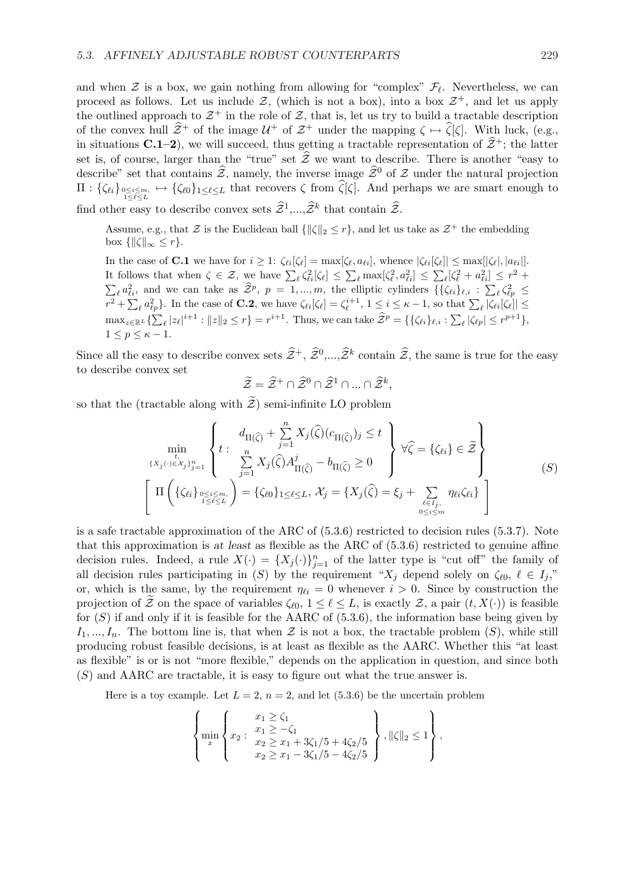and when  $\mathcal Z$  is a box, we gain nothing from allowing for "complex"  $\mathcal F_\ell$ . Nevertheless, we can proceed as follows. Let us include  $\mathcal{Z}$ , (which is not a box), into a box  $\mathcal{Z}^+$ , and let us apply the outlined approach to  $\mathcal{Z}^+$  in the role of  $\mathcal{Z}$ , that is, let us try to build a tractable description of the convex hull  $\hat{\mathcal{Z}}^+$  of the image  $\mathcal{U}^+$  of  $\mathcal{Z}^+$  under the mapping  $\zeta \mapsto \hat{\zeta}[\zeta]$ . With luck, (e.g., in situations C.1–2), we will succeed, thus getting a tractable representation of  $\hat{\mathcal{Z}}^+$ ; the latter set is, of course, larger than the "true" set  $\hat{\mathcal{Z}}$  we want to describe. There is another "easy to describe" set that contains  $\hat{z}$ , namely, the inverse image  $\hat{z}^0$  of Z under the natural projection  $\Pi: \{\zeta_{\ell i}\}_{0\leq i\leq m,\atop 1\leq \ell\leq L} \mapsto \{\zeta_{\ell 0}\}_{1\leq \ell\leq L}$  that recovers  $\zeta$  from  $\widehat{\zeta}[\zeta]$ . And perhaps we are smart enough to find other easy to describe convex sets  $\widehat{Z}^1,...,\widehat{Z}^k$  that contain  $\widehat{Z}$ .

Assume, e.g., that  $\mathcal Z$  is the Euclidean ball  $\{\|\zeta\|_2 \leq r\}$ , and let us take as  $\mathcal Z^+$  the embedding box  $\{\|\zeta\|_{\infty} \leq r\}.$ 

In the case of **C.1** we have for  $i \geq 1$ :  $\zeta_{\ell i}[\zeta_{\ell}] = \max[\zeta_{\ell}, a_{\ell i}]$ , whence  $|\zeta_{\ell i}[\zeta_{\ell}]| \leq \max[|\zeta_{\ell}|, |a_{\ell i}|]$ . It follows that when  $\zeta \in \mathcal{Z}$ , we have  $\sum_{\ell} \zeta_{\ell i}^2 [\zeta_{\ell}] \leq \sum_{\ell} \max[\zeta_{\ell}^2, a_{\ell i}^2] \leq \sum_{\ell} [\zeta_{\ell}^2 + a_{\ell i}^2] \leq r^2 +$  $\tilde{\Gamma}$ bolows that when  $\zeta \subset \mathcal{Z}$ , we have  $\mathcal{Z}_{\ell} s_{\ell i} |s_{\ell} \rangle \geq \mathcal{Z}_{\ell}$  max $|s_{\ell}, s_{\ell i}| \geq \mathcal{Z}_{\ell} s_{\ell} + a_{\ell i}$ <br>  $\ell_{\ell i}^2$ , and we can take as  $\hat{\mathcal{Z}}^p$ ,  $p = 1,...,m$ , the elliptic cylinders  $\{\{\zeta_{\ell i}\}_{\ell,i} : \sum_{$  $\ell \zeta_{\ell p}^2 \leq$  $\mathcal{L}_{\ell}^{\mu}$ <br> $r^2 + \sum$ and we can take as  $\mathcal{L}$ ,  $p = 1, ..., n$ , the emptie cynnects  $\iota(\mathcal{S}e_1)e_i \cdot \mathcal{L}_\ell \mathcal{S}_{\ell p} \ge$ <br>  $\iota a_{\ell p}^2$ . In the case of **C.2**, we have  $\zeta_{\ell i}[\zeta_{\ell}] = \zeta_{\ell}^{i+1}, 1 \le i \le \kappa - 1$ , so that  $\sum_{\ell} |\zeta_{\ell i}[\zeta_{\ell}]|$  $\max_{z \in \mathbb{R}^L} {\{\sum_{\ell} |z_{\ell}|^{i+1} : ||z||_2 \leq r\}} = r^{i+1}$ . Thus, we can take  $\widehat{Z}^p = {\{\{\zeta_{\ell i}\}_{\ell,i} : \sum_{\ell} |\zeta_{\ell p}| \leq r^{p+1}\}}$ ,  $1 \leq p \leq \kappa - 1$ .

Since all the easy to describe convex sets  $\widehat{Z}^+$ ,  $\widehat{Z}^0,...,\widehat{Z}^k$  contain  $\widehat{Z}$ , the same is true for the easy to describe convex set

$$
\widetilde{\mathcal{Z}} = \widehat{\mathcal{Z}}^+ \cap \widehat{\mathcal{Z}}^0 \cap \widehat{\mathcal{Z}}^1 \cap ... \cap \widehat{\mathcal{Z}}^k,
$$

so that the (tractable along with  $\widetilde{\mathcal{Z}}$ ) semi-infinite LO problem

$$
\min_{\{X_j(\cdot)\in\mathcal{X}_j\}_{j=1}^n} \left\{ t : \begin{array}{c} d_{\Pi(\widehat{\zeta})} + \sum\limits_{j=1}^n X_j(\widehat{\zeta})(c_{\Pi(\widehat{\zeta})})_j \leq t \\ \sum\limits_{j=1}^n X_j(\widehat{\zeta}) A_{\Pi(\widehat{\zeta})}^j - b_{\Pi(\widehat{\zeta})} \geq 0 \end{array} \right\} \forall \widehat{\zeta} = \{\zeta_{\ell i}\} \in \widetilde{\mathcal{Z}} \right\}
$$
\n
$$
\left[ \Pi \left( \{\zeta_{\ell i}\}_{0 \leq i \leq m, \atop 1 \leq \ell \leq L} \right) = \{\zeta_{\ell 0}\}_{1 \leq \ell \leq L}, \mathcal{X}_j = \{X_j(\widehat{\zeta}) = \xi_j + \sum_{\ell \in I_j, \atop 0 \leq i \leq m} \eta_{\ell i} \zeta_{\ell i} \} \right]
$$
\n(S)

is a safe tractable approximation of the ARC of (5.3.6) restricted to decision rules (5.3.7). Note that this approximation is at least as flexible as the ARC of (5.3.6) restricted to genuine affine decision rules. Indeed, a rule  $X(\cdot) = \{X_j(\cdot)\}_{j=1}^n$  of the latter type is "cut off" the family of all decision rules participating in (S) by the requirement " $X_j$  depend solely on  $\zeta_{\ell 0}, \ell \in I_j$ " or, which is the same, by the requirement  $\eta_{\ell i} = 0$  whenever  $i > 0$ . Since by construction the projection of  $\mathcal{\tilde{Z}}$  on the space of variables  $\zeta_{\ell 0}$ ,  $1 \leq \ell \leq L$ , is exactly  $\mathcal{Z}$ , a pair  $(t, X(\cdot))$  is feasible for  $(S)$  if and only if it is feasible for the AARC of  $(5.3.6)$ , the information base being given by  $I_1, ..., I_n$ . The bottom line is, that when  $\mathcal Z$  is not a box, the tractable problem  $(S)$ , while still producing robust feasible decisions, is at least as flexible as the AARC. Whether this "at least as flexible" is or is not "more flexible," depends on the application in question, and since both (S) and AARC are tractable, it is easy to figure out what the true answer is.

Here is a toy example. Let  $L = 2$ ,  $n = 2$ , and let (5.3.6) be the uncertain problem

$$
\left\{\min_{x} \left\{x_2 : \begin{array}{l} x_1 \geq \zeta_1 \\ x_1 \geq -\zeta_1 \\ x_2 \geq x_1 + 3\zeta_1/5 + 4\zeta_2/5 \\ x_2 \geq x_1 - 3\zeta_1/5 - 4\zeta_2/5 \end{array}\right\}, \|\zeta\|_2 \leq 1\right\},\right.
$$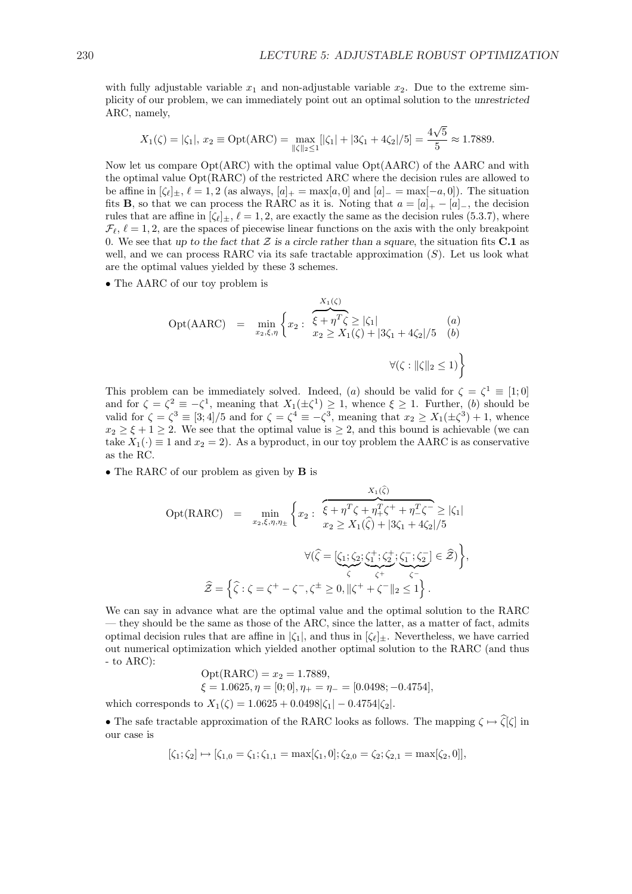with fully adjustable variable  $x_1$  and non-adjustable variable  $x_2$ . Due to the extreme simplicity of our problem, we can immediately point out an optimal solution to the unrestricted ARC, namely,

$$
X_1(\zeta) = |\zeta_1|, x_2 \equiv \text{Opt}(\text{ARC}) = \max_{\|\zeta\|_2 \le 1} [|\zeta_1| + |3\zeta_1 + 4\zeta_2|/5] = \frac{4\sqrt{5}}{5} \approx 1.7889.
$$

Now let us compare Opt(ARC) with the optimal value Opt(AARC) of the AARC and with the optimal value Opt(RARC) of the restricted ARC where the decision rules are allowed to be affine in  $[\zeta_\ell]_\pm$ ,  $\ell = 1, 2$  (as always,  $[a]_+ = \max[a, 0]$  and  $[a]_- = \max[-a, 0]$ ). The situation fits **B**, so that we can process the RARC as it is. Noting that  $a = [a]_+ - [a]_-,$  the decision rules that are affine in  $[\zeta_\ell]_+$ ,  $\ell = 1, 2$ , are exactly the same as the decision rules (5.3.7), where  $\mathcal{F}_{\ell}, \ell = 1, 2$ , are the spaces of piecewise linear functions on the axis with the only breakpoint 0. We see that up to the fact that  $Z$  is a circle rather than a square, the situation fits C.1 as well, and we can process RARC via its safe tractable approximation  $(S)$ . Let us look what are the optimal values yielded by these 3 schemes.

• The AARC of our toy problem is

Opt(AARC) = 
$$
\min_{x_2, \xi, \eta} \left\{ x_2 : \begin{array}{l} \overbrace{\xi + \eta^T \zeta}^{\overbrace{\xi + \eta^T \zeta}^{\overbrace{\xi}} \geq |\zeta_1| & (a) \\ x_2 \geq X_1(\zeta) + |3\zeta_1 + 4\zeta_2|/5 & (b) \end{array} \right.
$$

This problem can be immediately solved. Indeed, (a) should be valid for  $\zeta = \zeta^1 \equiv [1;0]$ and for  $\zeta = \zeta^2 \equiv -\zeta^1$ , meaning that  $X_1(\pm \zeta^1) \geq 1$ , whence  $\xi \geq 1$ . Further, (b) should be valid for  $\zeta = \zeta^3 \equiv [3, 4]/5$  and for  $\zeta = \zeta^4 \equiv -\zeta^3$ , meaning that  $x_2 \ge X_1(\pm \zeta^3) + 1$ , whence  $x_2 \geq \xi + 1 \geq 2$ . We see that the optimal value is  $\geq 2$ , and this bound is achievable (we can take  $X_1(\cdot) \equiv 1$  and  $x_2 = 2$ ). As a byproduct, in our toy problem the AARC is as conservative as the RC.

• The RARC of our problem as given by **B** is

$$
Opt(RARC) = \min_{x_2, \xi, \eta, \eta_{\pm}} \left\{ x_2 : \begin{array}{l} \overbrace{\xi + \eta^T \zeta + \eta_+^T \zeta^+ + \eta_-^T \zeta^-} \geq |\zeta_1| \\ x_2 \geq X_1(\widehat{\zeta}) + |3\zeta_1 + 4\zeta_2|/5 \end{array} \right.
$$

$$
\forall (\widehat{\zeta} = [\underline{\zeta_1}; \underline{\zeta_2}; \underline{\zeta_1^+}; \underline{\zeta_2^+}; \underline{\zeta_1^-}; \underline{\zeta_2^-}] \in \widehat{\mathcal{Z}}) \left\},
$$

$$
\widehat{\mathcal{Z}} = \left\{ \widehat{\zeta} : \zeta = \zeta^+ - \zeta^-, \zeta^{\pm} \geq 0, \|\zeta^+ + \zeta^- \|_2 \leq 1 \right\}.
$$

We can say in advance what are the optimal value and the optimal solution to the RARC — they should be the same as those of the ARC, since the latter, as a matter of fact, admits optimal decision rules that are affine in  $|\zeta_1|$ , and thus in  $[\zeta_\ell]_\pm$ . Nevertheless, we have carried out numerical optimization which yielded another optimal solution to the RARC (and thus - to ARC):

$$
\text{Opt}(\text{RARC}) = x_2 = 1.7889,
$$
  
\n
$$
\xi = 1.0625, \eta = [0; 0], \eta_+ = \eta_- = [0.0498; -0.4754],
$$
  
\nwhich corresponds to  $X_1(\zeta) = 1.0625 + 0.0498|\zeta_1| - 0.4754|\zeta_2|.$ 

• The safe tractable approximation of the RARC looks as follows. The mapping  $\zeta \mapsto \widehat{\zeta}[\zeta]$  in our case is

$$
[\zeta_1; \zeta_2] \mapsto [\zeta_{1,0} = \zeta_1; \zeta_{1,1} = \max[\zeta_1, 0]; \zeta_{2,0} = \zeta_2; \zeta_{2,1} = \max[\zeta_2, 0]],
$$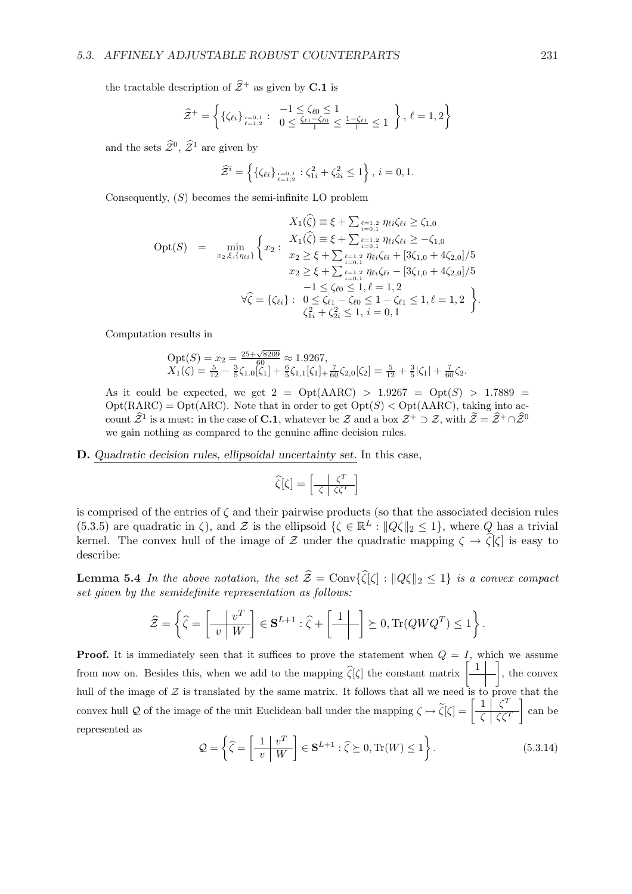the tractable description of  $\hat{\mathcal{Z}}^+$  as given by **C.1** is

$$
\widehat{\mathcal{Z}}^+ = \left\{ \{ \zeta_{\ell i} \}_{\ell=1,2}^{i=0,1} : \begin{array}{l} -1 \leq \zeta_{\ell 0} \leq 1 \\ 0 \leq \frac{\zeta_{\ell 1} - \zeta_{\ell 0}}{1} \leq \frac{1 - \zeta_{\ell 1}}{1} \leq 1 \end{array} \right\}, \, \ell=1,2 \right\}
$$

and the sets  $\hat{\mathcal{Z}}^0$ ,  $\hat{\mathcal{Z}}^1$  are given by

$$
\widehat{\mathcal{Z}}^i = \left\{ \{ \zeta_{\ell i} \}_{\ell=1,2}^{i=0,1} : \zeta_{1i}^2 + \zeta_{2i}^2 \le 1 \right\}, i = 0, 1.
$$

Consequently,  $(S)$  becomes the semi-infinite LO problem

$$
X_1(\widehat{\zeta}) \equiv \xi + \sum_{i=0,1}^{\ell=1,2} \eta_{\ell i} \zeta_{\ell i} \geq \zeta_{1,0}
$$
  
\n
$$
\text{Opt}(S) = \min_{x_2, \xi, \{\eta_{\ell i}\}} \left\{ x_2 : \begin{aligned} X_1(\widehat{\zeta}) &\equiv \xi + \sum_{i=0,1}^{\ell=1,2} \eta_{\ell i} \zeta_{\ell i} \geq -\zeta_{1,0} \\ x_2 &\geq \xi + \sum_{i=0,1}^{\ell=1,2} \eta_{\ell i} \zeta_{\ell i} + [3\zeta_{1,0} + 4\zeta_{2,0}]/5 \\ x_2 &\geq \xi + \sum_{i=0,1}^{\ell=1,2} \eta_{\ell i} \zeta_{\ell i} - [3\zeta_{1,0} + 4\zeta_{2,0}]/5 \\ &-1 \leq \zeta_{\ell 0} \leq 1, \ell = 1, 2 \\ \forall \widehat{\zeta} = \{\zeta_{\ell i}\} : \begin{aligned} 0 &\leq \zeta_{\ell 1} - \zeta_{\ell 0} \leq 1 - \zeta_{\ell 1} \leq 1, \ell = 1, 2 \\ \zeta_{1i}^2 + \zeta_{2i}^2 \leq 1, i = 0, 1 \end{aligned} \right\}.
$$

Computation results in

$$
Opt(S) = x_2 = \frac{25 + \sqrt{8209}}{60} \approx 1.9267,
$$
  
\n
$$
X_1(\zeta) = \frac{5}{12} - \frac{3}{5}\zeta_{1.0}[\zeta_1] + \frac{6}{5}\zeta_{1,1}[\zeta_1] + \frac{7}{60}\zeta_{2,0}[\zeta_2] = \frac{5}{12} + \frac{3}{5}|\zeta_1| + \frac{7}{60}\zeta_2.
$$

As it could be expected, we get  $2 = Opt(AARC) > 1.9267 = Opt(S) > 1.7889$  $Opt(RARC) = Opt(ARC)$ . Note that in order to get  $Opt(S) < Opt(AARC)$ , taking into account  $\hat{\mathcal{Z}}^1$  is a must: in the case of **C.1**, whatever be  $\mathcal Z$  and a box  $\mathcal{Z}^+ \supset \mathcal{Z}$ , with  $\tilde{\mathcal{Z}} = \hat{\mathcal{Z}}^+ \cap \hat{\mathcal{Z}}^0$ we gain nothing as compared to the genuine affine decision rules.

#### D. Quadratic decision rules, ellipsoidal uncertainty set. In this case,

$$
\widehat{\zeta}[\zeta] = \left[\frac{\zeta^T}{\zeta \mid \zeta \zeta^T}\right]
$$

is comprised of the entries of  $\zeta$  and their pairwise products (so that the associated decision rules (5.3.5) are quadratic in  $\zeta$ ), and  $\mathcal Z$  is the ellipsoid  $\{\zeta \in \mathbb R^L : ||Q\zeta||_2 \leq 1\}$ , where  $Q$  has a trivial kernel. The convex hull of the image of Z under the quadratic mapping  $\zeta \to \hat{\zeta}[\zeta]$  is easy to describe:

**Lemma 5.4** In the above notation, the set  $\hat{\mathcal{Z}} = \text{Conv}\{\hat{\zeta}[\zeta] : ||Q\zeta||_2 \leq 1\}$  is a convex compact set given by the semidefinite representation as follows:

$$
\widehat{\mathcal{Z}} = \left\{ \widehat{\zeta} = \left[ \frac{v^T}{v \mid W} \right] \in \mathbf{S}^{L+1} : \widehat{\zeta} + \left[ \frac{1}{v \mid W} \right] \succeq 0, \text{Tr}(QWQ^T) \le 1 \right\}.
$$

**Proof.** It is immediately seen that it suffices to prove the statement when  $Q = I$ , which we assume **Proof.** It is immediately seen that it sumes to prove the statement when  $Q = I$ , which we assume<br>from now on. Besides this, when we add to the mapping  $\hat{\zeta}[\zeta]$  the constant matrix  $\begin{bmatrix} 1 \\ - \end{bmatrix}$ , the convex hull of the image of  $Z$  is translated by the same matrix. It follows that all we need is to prove that the null of the image of  $\mathcal Z$  is translated by the same matrix. It follows that all we need is to prove convex hull Q of the image of the unit Euclidean ball under the mapping  $\zeta \mapsto \tilde{\zeta}[\zeta] = \left[\frac{1}{\zeta} \frac{\zeta^T \zeta}{\zeta \zeta$  $\frac{1}{\zeta} \frac{S}{\zeta \zeta^T}$  can be represented as ½ ·  $\overline{a}$  $\ddot{\phantom{0}}$ 

$$
\mathcal{Q} = \left\{ \hat{\zeta} = \left[ \frac{1}{v} \frac{v^T}{W} \right] \in \mathbf{S}^{L+1} : \hat{\zeta} \succeq 0, \text{Tr}(W) \le 1 \right\}. \tag{5.3.14}
$$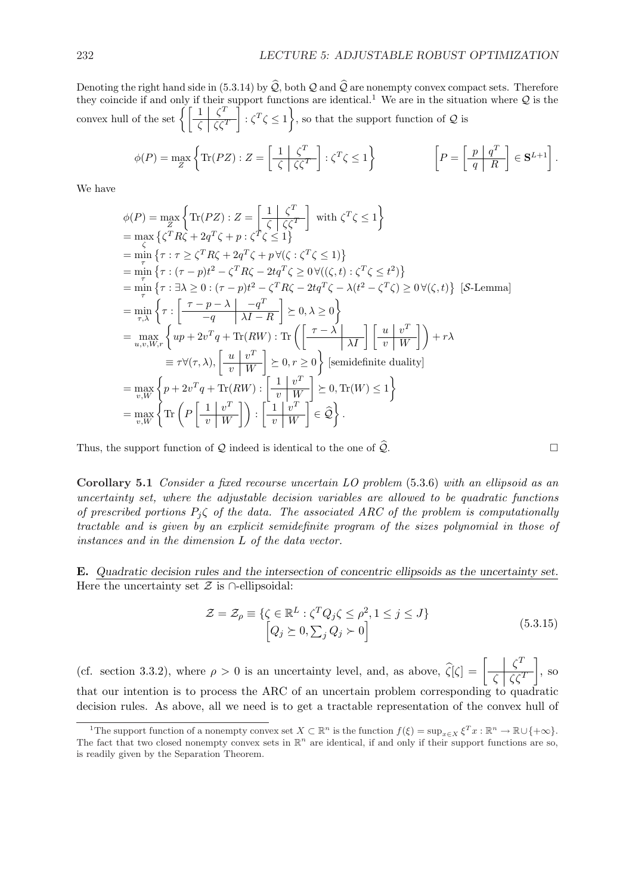Denoting the right hand side in (5.3.14) by  $\hat{Q}$ , both  $Q$  and  $\hat{Q}$  are nonempty convex compact sets. Therefore they coincide if and only if their support functions are identical.<sup>1</sup> We are in the situation where  $Q$  is the they coincide if and only if their<br>convex hull of the set  $\left\{\begin{array}{c} 1 \\ \sqrt{2} \end{array}\right.$  $\left|\frac{1}{\zeta}\right| \left|\frac{\zeta}{\zeta\zeta}\right|$  :  $\zeta^T \zeta \leq 1$ , so that the support function of Q is

$$
\phi(P) = \max_{Z} \left\{ \text{Tr}(PZ) : Z = \left[ \frac{1}{\zeta} \left| \frac{\zeta^T}{\zeta \zeta \zeta^T} \right| : \zeta^T \zeta \le 1 \right\} \right\} \qquad \left[ P = \left[ \frac{p \mid q^T}{q \mid R} \right] \in \mathbf{S}^{L+1} \right].
$$

We have

$$
\begin{split}\n\phi(P) &= \max_{Z} \left\{ \operatorname{Tr}(PZ) : Z = \left[ \frac{1}{\zeta} \right] \zeta^{T} \right\} \quad \text{with } \zeta^{T} \zeta \leq 1 \right\} \\
&= \max_{\zeta} \left\{ \zeta^{T} R \zeta + 2q^{T} \zeta + p : \zeta^{T} \zeta \leq 1 \right\} \\
&= \min_{\tau} \left\{ \tau : \tau \geq \zeta^{T} R \zeta + 2q^{T} \zeta + p \, \forall (\zeta : \zeta^{T} \zeta \leq 1) \right\} \\
&= \min_{\tau} \left\{ \tau : (\tau - p)t^{2} - \zeta^{T} R \zeta - 2t q^{T} \zeta \geq 0 \, \forall ((\zeta, t) : \zeta^{T} \zeta \leq t^{2}) \right\} \\
&= \min_{\tau} \left\{ \tau : \exists \lambda \geq 0 : (\tau - p)t^{2} - \zeta^{T} R \zeta - 2t q^{T} \zeta - \lambda (t^{2} - \zeta^{T} \zeta) \geq 0 \, \forall (\zeta, t) \right\} \quad [\text{S-Lemma}] \\
&= \min_{\tau, \lambda} \left\{ \tau : \left[ \frac{\tau - p - \lambda}{-q} \right] \frac{-q^{T}}{\lambda I - R} \right\} \geq 0, \lambda \geq 0 \right\} \\
&= \max_{u, v, W, r} \left\{ u p + 2v^{T} q + \text{Tr}(RW) : \text{Tr} \left( \left[ \frac{\tau - \lambda}{\lambda I} \right] \left[ \frac{u}{v} \frac{v^{T}}{W} \right] \right) + r \lambda \\
&= \tau \forall (\tau, \lambda), \left[ \frac{u}{v} \frac{v^{T}}{W} \right] \geq 0, r \geq 0 \right\} \quad [\text{semidefinite duality}] \\
&= \max_{v, W} \left\{ p + 2v^{T} q + \text{Tr}(RW) : \left[ \frac{1}{v} \frac{v^{T}}{W} \right] \geq 0, \text{Tr}(W) \leq 1 \right\} \\
&= \max_{v, W} \left\{ \text{Tr} \left( P \left[ \frac{1}{v} \frac{v^{T}}{W} \right] \right) :
$$

Thus, the support function of Q indeed is identical to the one of  $\widehat{\mathcal{Q}}$ .

Corollary 5.1 Consider a fixed recourse uncertain LO problem (5.3.6) with an ellipsoid as an uncertainty set, where the adjustable decision variables are allowed to be quadratic functions of prescribed portions  $P_j \zeta$  of the data. The associated ARC of the problem is computationally tractable and is given by an explicit semidefinite program of the sizes polynomial in those of instances and in the dimension L of the data vector.

E. Quadratic decision rules and the intersection of concentric ellipsoids as the uncertainty set. Here the uncertainty set  $\mathcal Z$  is ∩-ellipsoidal:

$$
\mathcal{Z} = \mathcal{Z}_{\rho} \equiv \{ \zeta \in \mathbb{R}^{L} : \zeta^{T} Q_{j} \zeta \leq \rho^{2}, 1 \leq j \leq J \}
$$
\n
$$
\left[ Q_{j} \succeq 0, \sum_{j} Q_{j} \succ 0 \right]
$$
\n(5.3.15)

(cf. section 3.3.2), where  $\rho > 0$  is an uncertainty level, and, as above,  $\hat{\zeta}[\zeta] = \begin{bmatrix} \zeta^T \\ \zeta & \zeta \end{bmatrix}$  $\zeta \mid \zeta \zeta^T$  $\overline{a}$ , so that our intention is to process the ARC of an uncertain problem corresponding to quadratic decision rules. As above, all we need is to get a tractable representation of the convex hull of

<sup>&</sup>lt;sup>1</sup>The support function of a nonempty convex set  $X \subset \mathbb{R}^n$  is the function  $f(\xi) = \sup_{x \in X} \xi^T x : \mathbb{R}^n \to \mathbb{R} \cup \{+\infty\}.$ The fact that two closed nonempty convex sets in  $\mathbb{R}^n$  are identical, if and only if their support functions are so, is readily given by the Separation Theorem.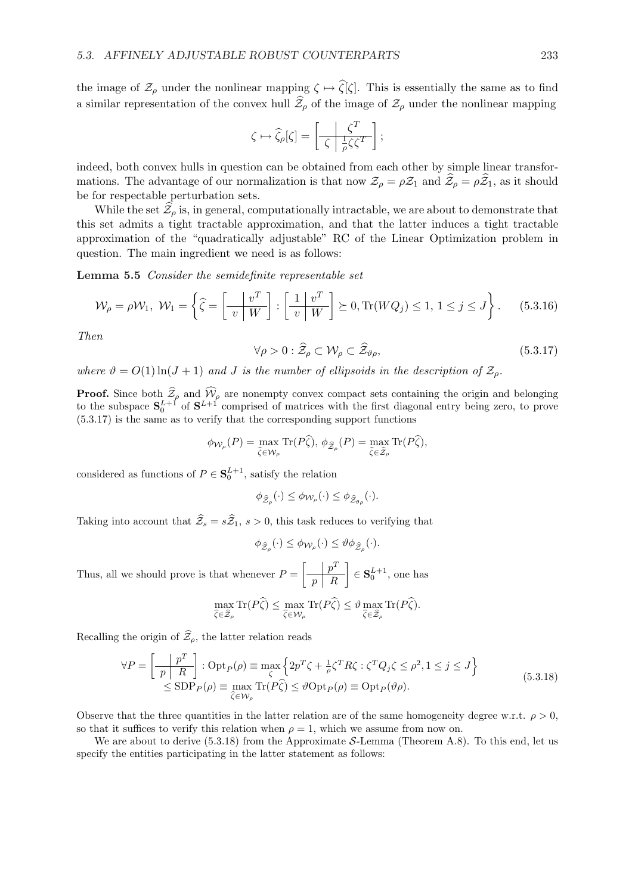the image of  $\mathcal{Z}_{\rho}$  under the nonlinear mapping  $\zeta \mapsto \widehat{\zeta}[\zeta]$ . This is essentially the same as to find a similar representation of the convex hull  $\hat{\mathcal{Z}}_{\rho}$  of the image of  $\mathcal{Z}_{\rho}$  under the nonlinear mapping

$$
\zeta \mapsto \widehat{\zeta}_{\rho}[\zeta] = \left[ \frac{\zeta^T}{\zeta \mid \frac{1}{\rho} \zeta \zeta^T} \right];
$$

indeed, both convex hulls in question can be obtained from each other by simple linear transformations. The advantage of our normalization is that now  $\mathcal{Z}_{\rho} = \rho \mathcal{Z}_1$  and  $\widehat{\mathcal{Z}}_{\rho} = \rho \widehat{\mathcal{Z}}_1$ , as it should be for respectable perturbation sets.

While the set  $\hat{\mathcal{Z}}_{\rho}$  is, in general, computationally intractable, we are about to demonstrate that this set admits a tight tractable approximation, and that the latter induces a tight tractable approximation of the "quadratically adjustable" RC of the Linear Optimization problem in question. The main ingredient we need is as follows:

Lemma 5.5 Consider the semidefinite representable set

$$
\mathcal{W}_{\rho} = \rho \mathcal{W}_1, \ \mathcal{W}_1 = \left\{ \widehat{\zeta} = \left[ \frac{v^T}{v \mid W} \right] : \left[ \frac{1}{v} \frac{v^T}{W} \right] \succeq 0, \text{Tr}(WQ_j) \le 1, \ 1 \le j \le J \right\}. \tag{5.3.16}
$$

Then

$$
\forall \rho > 0 : \hat{\mathcal{Z}}_{\rho} \subset \mathcal{W}_{\rho} \subset \hat{\mathcal{Z}}_{\vartheta \rho},\tag{5.3.17}
$$

where  $\vartheta = O(1) \ln(J+1)$  and J is the number of ellipsoids in the description of  $\mathcal{Z}_o$ .

**Proof.** Since both  $\widehat{Z}_{\rho}$  and  $\widehat{W}_{\rho}$  are nonempty convex compact sets containing the origin and belonging to the subspace  $S_0^{L+1}$  of  $S^{L+1}$  comprised of matrices with the first diagonal entry being zero, to prove (5.3.17) is the same as to verify that the corresponding support functions

$$
\phi_{\mathcal{W}_{\rho}}(P) = \max_{\widehat{\zeta} \in \mathcal{W}_{\rho}} \text{Tr}(P\widehat{\zeta}), \ \phi_{\widehat{\mathcal{Z}}_{\rho}}(P) = \max_{\widehat{\zeta} \in \widehat{\mathcal{Z}}_{\rho}} \text{Tr}(P\widehat{\zeta}),
$$

considered as functions of  $P \in \mathbf{S}_0^{L+1}$ , satisfy the relation

$$
\phi_{\widehat{\mathcal{Z}}_{\rho}}(\cdot) \leq \phi_{\mathcal{W}_{\rho}}(\cdot) \leq \phi_{\widehat{\mathcal{Z}}_{\theta_{\rho}}}(\cdot).
$$

Taking into account that  $\hat{Z}_s = s\hat{Z}_1$ ,  $s > 0$ , this task reduces to verifying that

$$
\phi_{\widehat{\mathcal{Z}}_{\rho}}(\cdot) \leq \phi_{\mathcal{W}_{\rho}}(\cdot) \leq \vartheta \phi_{\widehat{\mathcal{Z}}_{\rho}}(\cdot).
$$

Thus, all we should prove is that whenever  $P =$  $\lceil \quad \rceil p^T$  $p \mid R$  $\overline{a}$  $\in \mathbf{S}_0^{L+1}$ , one has

$$
\max_{\hat{\zeta}\in\hat{\mathcal{Z}}_{\rho}}\text{Tr}(P\hat{\zeta})\leq \max_{\hat{\zeta}\in\mathcal{W}_{\rho}}\text{Tr}(P\hat{\zeta})\leq \vartheta \max_{\hat{\zeta}\in\hat{\mathcal{Z}}_{\rho}}\text{Tr}(P\hat{\zeta}).
$$

Recalling the origin of  $\hat{\mathcal{Z}}_{\rho}$ , the latter relation reads

$$
\forall P = \left[\frac{p^T}{p \mid R}\right] : \text{Opt}_P(\rho) \equiv \max_{\zeta} \left\{ 2p^T \zeta + \frac{1}{\rho} \zeta^T R \zeta : \zeta^T Q_j \zeta \le \rho^2, 1 \le j \le J \right\}
$$
  
\n
$$
\le \text{SDP}_P(\rho) \equiv \max_{\widehat{\zeta} \in \mathcal{W}_\rho} \text{Tr}(P\widehat{\zeta}) \le \vartheta \text{Opt}_P(\rho) \equiv \text{Opt}_P(\vartheta \rho).
$$
\n(5.3.18)

Observe that the three quantities in the latter relation are of the same homogeneity degree w.r.t.  $\rho > 0$ , so that it suffices to verify this relation when  $\rho = 1$ , which we assume from now on.

We are about to derive  $(5.3.18)$  from the Approximate S-Lemma (Theorem A.8). To this end, let us specify the entities participating in the latter statement as follows: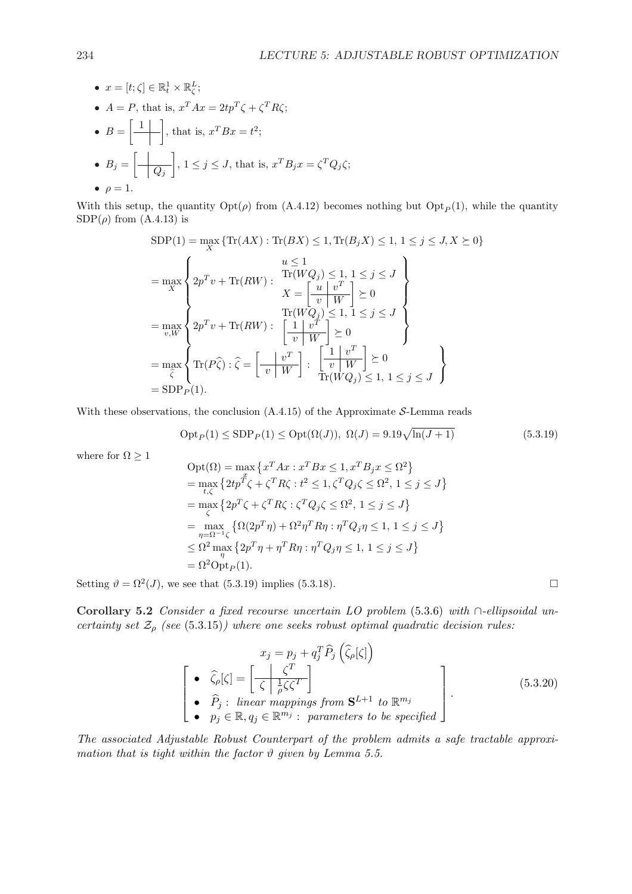\n- \n
$$
x = [t; \zeta] \in \mathbb{R}_t^1 \times \mathbb{R}_\zeta^L;
$$
\n
\n- \n $A = P$ , that is,  $x^T A x = 2tp^T \zeta + \zeta^T R \zeta;$ \n
\n- \n $B = \begin{bmatrix} 1 \\ -1 \end{bmatrix}$ , that is,  $x^T B x = t^2;$ \n
\n- \n $B_j = \begin{bmatrix} 1 \\ -Q_j \end{bmatrix}$ ,  $1 \leq j \leq J$ , that is,  $x^T B_j x = \zeta^T Q_j \zeta;$ \n
\n- \n $\rho = 1.$ \n
\n

With this setup, the quantity  $\mathrm{Opt}(\rho)$  from (A.4.12) becomes nothing but  $\mathrm{Opt}_P(1)$ , while the quantity  $SDP(\rho)$  from  $(A.4.13)$  is

$$
SDP(1) = \max_{X} \{ \text{Tr}(AX) : \text{Tr}(BX) \le 1, \text{Tr}(B_jX) \le 1, 1 \le j \le J, X \succeq 0 \}
$$
\n
$$
= \max_{X} \left\{ 2p^T v + \text{Tr}(RW) : \begin{array}{l} u \le 1 \\ \text{Tr}(WQ_j) \le 1, 1 \le j \le J \\ X = \begin{bmatrix} u & v^T \\ v & W \end{bmatrix} \succeq 0 \\ = \max_{v, W} \left\{ 2p^T v + \text{Tr}(RW) : \begin{bmatrix} 1 & v^T \\ v & W \end{bmatrix} \succeq 0 \\ = \max_{\hat{\zeta}} \left\{ \text{Tr}(P\hat{\zeta}) : \hat{\zeta} = \begin{bmatrix} v^T \\ v & W \end{bmatrix} : \begin{bmatrix} 1 & v^T \\ v & W \end{bmatrix} \succeq 0 \\ \text{Tr}(WQ_j) \le 1, 1 \le j \le J \\ \text{Tr}(WQ_j) \le 1, 1 \le j \le J \end{array} \right\}
$$
\n
$$
= SDP_P(1).
$$

With these observations, the conclusion  $(A.4.15)$  of the Approximate S-Lemma reads

$$
OptP(1) \leq SDPP(1) \leq Opt(\Omega(J)), \ \Omega(J) = 9.19\sqrt{\ln(J+1)}
$$
\n(5.3.19)

where for  $\Omega \geq 1$ 

$$
\begin{aligned} &\text{Opt}(\Omega) = \max\left\{x^T A x : x^T B x \leq 1, x^T B_j x \leq \Omega^2\right\} \\ &= \max_{t,\zeta}\left\{2tp^{\tilde{T}}\zeta + \zeta^T R\zeta : t^2 \leq 1, \zeta^T Q_j \zeta \leq \Omega^2, \ 1 \leq j \leq J\right\} \\ &= \max_{\zeta}\left\{2p^T\zeta + \zeta^T R\zeta : \zeta^T Q_j \zeta \leq \Omega^2, \ 1 \leq j \leq J\right\} \\ &= \max_{\eta = \Omega^{-1} \zeta}\left\{\Omega(2p^T\eta) + \Omega^2\eta^T R\eta : \eta^T Q_j \eta \leq 1, \ 1 \leq j \leq J\right\} \\ &\leq \Omega^2 \max_{\eta} \left\{2p^T\eta + \eta^T R\eta : \eta^T Q_j \eta \leq 1, \ 1 \leq j \leq J\right\} \\ &= \Omega^2 \text{Opt}_P(1). \end{aligned}
$$

Setting  $\vartheta = \Omega^2(J)$ , we see that (5.3.19) implies (5.3.18).

Corollary 5.2 Consider a fixed recourse uncertain LO problem (5.3.6) with ∩-ellipsoidal uncertainty set  $\mathcal{Z}_{\rho}$  (see (5.3.15)) where one seeks robust optimal quadratic decision rules:

$$
x_j = p_j + q_j^T \widehat{P}_j \left( \widehat{\zeta}_{\rho}[\zeta] \right)
$$
  
\n•  $\widehat{\zeta}_{\rho}[\zeta] = \left[ \frac{\zeta^T}{\zeta \left| \frac{1}{\rho} \zeta \zeta^T \right|} \right]$   
\n•  $\widehat{P}_j : \text{ linear mappings from } \mathbf{S}^{L+1} \text{ to } \mathbb{R}^{m_j}$   
\n•  $p_j \in \mathbb{R}, q_j \in \mathbb{R}^{m_j} : \text{ parameters to be specified}$  (5.3.20)

The associated Adjustable Robust Counterpart of the problem admits a safe tractable approximation that is tight within the factor  $\vartheta$  given by Lemma 5.5.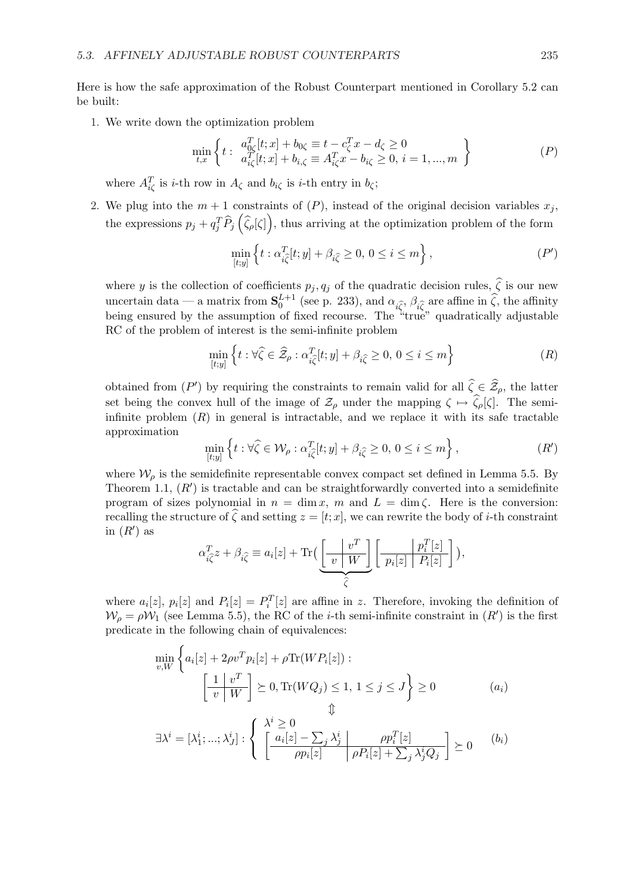Here is how the safe approximation of the Robust Counterpart mentioned in Corollary 5.2 can be built:

1. We write down the optimization problem

$$
\min_{t,x} \left\{ t : \begin{array}{l} a_{0\zeta}^T[t;x] + b_{0\zeta} \equiv t - c_{\zeta}^T x - d_{\zeta} \ge 0 \\ a_{i\zeta}^T[t;x] + b_{i,\zeta} \equiv A_{i\zeta}^T x - b_{i\zeta} \ge 0, \ i = 1,...,m \end{array} \right\}
$$
(P)

where  $A_{i\zeta}^T$  is *i*-th row in  $A_{\zeta}$  and  $b_{i\zeta}$  is *i*-th entry in  $b_{\zeta}$ ;

2. We plug into the  $m+1$  constraints of  $(P)$ , instead of the original decision variables  $x_j$ , the expressions  $p_j + q_j^T \widehat{P}_j(\widehat{\zeta}_p[\zeta])$ , thus arriving at the optimization problem of the form

$$
\min_{[t,y]} \left\{ t : \alpha_{i\widehat{\zeta}}^T[t;y] + \beta_{i\widehat{\zeta}} \ge 0, \ 0 \le i \le m \right\},\tag{P'}
$$

where y is the collection of coefficients  $p_j, q_j$  of the quadratic decision rules,  $\hat{\zeta}$  is our new uncertain data — a matrix from  $S_0^{L+1}$  (see p. 233), and  $\alpha_{i\hat{\zeta}}, \beta_{i\hat{\zeta}}$  are affine in  $\hat{\zeta}$ , the affinity being ensured by the assumption of fixed recourse. The "true" quadratically adjustable RC of the problem of interest is the semi-infinite problem

$$
\min_{[t,y]}\left\{t:\forall\widehat{\zeta}\in\widehat{\mathcal{Z}}_{\rho}:\alpha_{i\widehat{\zeta}}^{T}[t;y]+\beta_{i\widehat{\zeta}}\geq0,\,0\leq i\leq m\right\}\tag{R}
$$

obtained from  $(P')$  by requiring the constraints to remain valid for all  $\hat{\zeta} \in \hat{\mathcal{Z}}_{\rho}$ , the latter set being the convex hull of the image of  $\mathcal{Z}_{\rho}$  under the mapping  $\zeta \mapsto \widehat{\zeta}_{\rho}[\zeta]$ . The semiinfinite problem  $(R)$  in general is intractable, and we replace it with its safe tractable approximation n o

$$
\min_{[t,y]} \left\{ t : \forall \hat{\zeta} \in \mathcal{W}_{\rho} : \alpha_{i\hat{\zeta}}^T[t;y] + \beta_{i\hat{\zeta}} \ge 0, 0 \le i \le m \right\},\tag{R'}
$$

where  $\mathcal{W}_{\rho}$  is the semidefinite representable convex compact set defined in Lemma 5.5. By Theorem 1.1,  $(R')$  is tractable and can be straightforwardly converted into a semidefinite program of sizes polynomial in  $n = \dim x$ , m and  $L = \dim \zeta$ . Here is the conversion: recalling the structure of  $\hat{\zeta}$  and setting  $z = [t; x]$ , we can rewrite the body of *i*-th constraint in  $(R')$  as ·  $\overline{a}$ ·  $\overline{a}$ 

$$
\alpha_{i\hat{\zeta}}^T z + \beta_{i\hat{\zeta}} \equiv a_i[z] + \text{Tr}\Big(\underbrace{\begin{bmatrix} v^T \\ v \end{bmatrix} W}_{\hat{\zeta}} \left[ \frac{p_i^T[z]}{p_i[z]} \frac{p_i^T[z]}{P_i[z]} \right] \Big),
$$

where  $a_i[z]$ ,  $p_i[z]$  and  $P_i[z] = P_i^T[z]$  are affine in z. Therefore, invoking the definition of  $W_{\rho} = \rho W_1$  (see Lemma 5.5), the RC of the *i*-th semi-infinite constraint in  $(R')$  is the first predicate in the following chain of equivalences:

$$
\min_{v,W} \left\{ a_i[z] + 2\rho v^T p_i[z] + \rho \text{Tr}(WP_i[z]) : \left[ \frac{1}{v} \bigg| \frac{v^T}{W} \right] \succeq 0, \text{Tr}(WQ_j) \le 1, 1 \le j \le J \right\} \ge 0 \tag{a_i}
$$

$$
\exists \lambda^{i} = [\lambda_{1}^{i};...;\lambda_{J}^{i}]: \begin{cases} \lambda^{i} \geq 0 & \text{if } \lambda^{i} = \lambda_{j}^{i} \\ \left[\frac{a_{i}[z] - \sum_{j} \lambda_{j}^{i}}{\rho p_{i}[z]} \mid \rho P_{i}[z] + \sum_{j} \lambda_{j}^{i} Q_{j}\right] \geq 0 & (b_{i}) \end{cases}
$$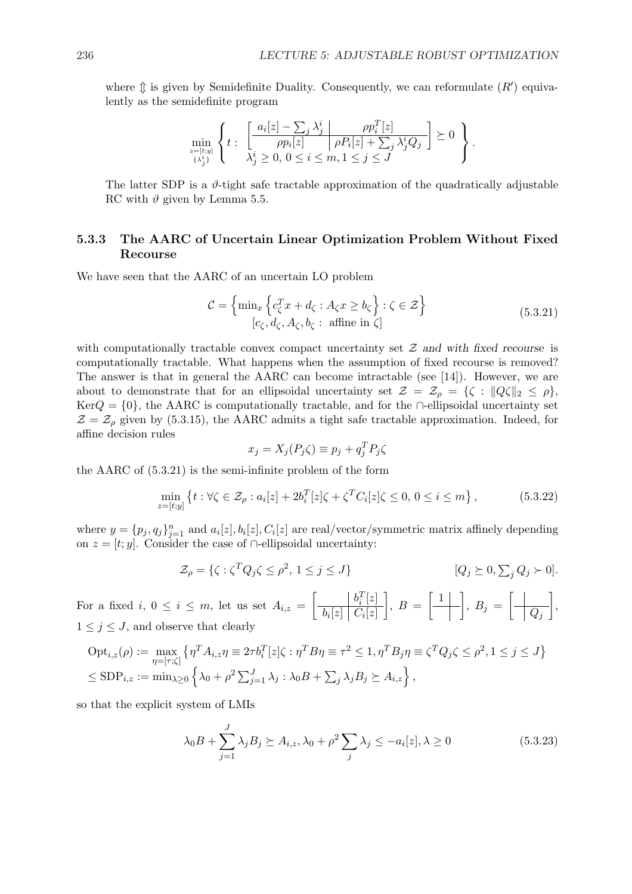where  $\hat{\psi}$  is given by Semidefinite Duality. Consequently, we can reformulate  $(R')$  equivalently as the semidefinite program

$$
\min_{\substack{z=[t;y]\\ \{\lambda_j^i\}}}\left\{t:\begin{array}{c}\left\lfloor\frac{a_i[z]-\sum_j\lambda_j^i}{\rho p_i[z]}\Big|\frac{\rho p_i^T[z]}{\rho P_i[z]+\sum_j\lambda_j^iQ_j}\right\}\succeq 0\\ \lambda_j^i\geq 0,\,0\leq i\leq m,1\leq j\leq J\end{array}\right\}.
$$

The latter SDP is a  $\vartheta$ -tight safe tractable approximation of the quadratically adjustable RC with  $\vartheta$  given by Lemma 5.5.

#### 5.3.3 The AARC of Uncertain Linear Optimization Problem Without Fixed Recourse

We have seen that the AARC of an uncertain LO problem

$$
\mathcal{C} = \left\{ \min_{x} \left\{ c_{\zeta}^T x + d_{\zeta} : A_{\zeta} x \ge b_{\zeta} \right\} : \zeta \in \mathcal{Z} \right\}
$$
\n
$$
[c_{\zeta}, d_{\zeta}, A_{\zeta}, b_{\zeta} : \text{affine in } \zeta] \tag{5.3.21}
$$

with computationally tractable convex compact uncertainty set  $Z$  and with fixed recourse is computationally tractable. What happens when the assumption of fixed recourse is removed? The answer is that in general the AARC can become intractable (see [14]). However, we are about to demonstrate that for an ellipsoidal uncertainty set  $\mathcal{Z} = \mathcal{Z}_{\rho} = \{\zeta : ||Q\zeta||_2 \leq \rho\},\$ Ker $Q = \{0\}$ , the AARC is computationally tractable, and for the ∩-ellipsoidal uncertainty set  $\mathcal{Z} = \mathcal{Z}_o$  given by (5.3.15), the AARC admits a tight safe tractable approximation. Indeed, for affine decision rules

$$
x_j = X_j(P_j\zeta) \equiv p_j + q_j^T P_j\zeta
$$

the AARC of (5.3.21) is the semi-infinite problem of the form

$$
\min_{z=[t,y]} \left\{ t : \forall \zeta \in \mathcal{Z}_{\rho} : a_i[z] + 2b_i^T[z] \zeta + \zeta^T C_i[z] \zeta \le 0, 0 \le i \le m \right\},\tag{5.3.22}
$$

where  $y = \{p_j, q_j\}_{j=1}^n$  and  $a_i[z], b_i[z], C_i[z]$  are real/vector/symmetric matrix affinely depending on  $z = [t; y]$ . Consider the case of ∩-ellipsoidal uncertainty:

$$
\mathcal{Z}_{\rho} = \{ \zeta : \zeta^T Q_j \zeta \le \rho^2, 1 \le j \le J \} \qquad [Q_j \succeq 0, \sum_j Q_j \succ 0].
$$

For a fixed i,  $0 \leq i \leq m$ , let us set  $A_{i,z} =$ ·  $b_i^T[z]$  $b_i[z] \mathbin| C_i[z]$  $\overline{a}$  $, B =$ · 1  $\overline{a}$ ,  $B_j =$ ·  $\overline{Q_j}$  $\overline{a}$ ,  $1 \leq j \leq J$ , and observe that clearly

$$
Opt_{i,z}(\rho) := \max_{\eta = [\tau;\zeta]} \left\{ \eta^T A_{i,z} \eta \equiv 2\tau b_i^T [z] \zeta : \eta^T B \eta \equiv \tau^2 \le 1, \eta^T B_j \eta \equiv \zeta^T Q_j \zeta \le \rho^2, 1 \le j \le J \right\}
$$
  

$$
\le SDP_{i,z} := \min_{\lambda \ge 0} \left\{ \lambda_0 + \rho^2 \sum_{j=1}^J \lambda_j : \lambda_0 B + \sum_j \lambda_j B_j \succeq A_{i,z} \right\},
$$

so that the explicit system of LMIs

$$
\lambda_0 B + \sum_{j=1}^J \lambda_j B_j \succeq A_{i,z}, \lambda_0 + \rho^2 \sum_j \lambda_j \le -a_i[z], \lambda \ge 0
$$
\n(5.3.23)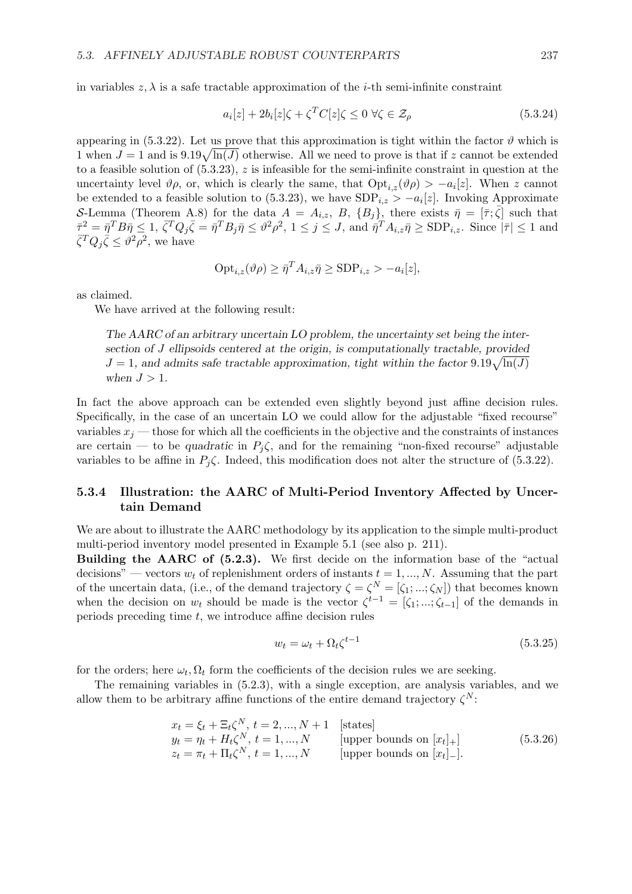in variables  $z, \lambda$  is a safe tractable approximation of the *i*-th semi-infinite constraint

$$
a_i[z] + 2b_i[z]\zeta + \zeta^T C[z]\zeta \le 0 \,\forall \zeta \in \mathcal{Z}_\rho \tag{5.3.24}
$$

appearing in (5.3.22). Let us prove that this approximation is tight within the factor  $\vartheta$  which is appearing in (5.3.22). Let us prove that this approximation is tight within the factor  $v$  which is<br>1 when  $J = 1$  and is  $9.19\sqrt{\ln(J)}$  otherwise. All we need to prove is that if z cannot be extended to a feasible solution of  $(5.3.23)$ , z is infeasible for the semi-infinite constraint in question at the uncertainty level  $\vartheta_{\rho}$ , or, which is clearly the same, that  $\text{Opt}_{i,z}(\vartheta_{\rho}) > -a_i[z]$ . When z cannot be extended to a feasible solution to (5.3.23), we have  $SDP_{i,z} > -a_i[z]$ . Invoking Approximate S-Lemma (Theorem A.8) for the data  $A = A_{i,z}$ , B,  $\{B_j\}$ , there exists  $\bar{\eta} = [\bar{\tau}; \bar{\zeta}]$  such that  $\bar{\tau}^2 = \bar{\eta}^T B \bar{\eta} \leq 1$ ,  $\bar{\zeta}^T Q_j \bar{\zeta} = \bar{\eta}^T B_j \bar{\eta} \leq \vartheta^2 \rho^2$ ,  $1 \leq j \leq J$ , and  $\bar{\eta}^T A_{i,z} \bar{\eta} \geq \text{SDP}_{i,z}$ . Since  $|\bar{\tau}| \leq 1$  and  $\bar{\zeta}^T Q_j \bar{\zeta} \leq \vartheta^2 \rho^2$ , we have

$$
Opt_{i,z}(\vartheta \rho) \geq \bar{\eta}^T A_{i,z} \bar{\eta} \geq \text{SDP}_{i,z} > -a_i[z],
$$

as claimed.

We have arrived at the following result:

The AARC of an arbitrary uncertain LO problem, the uncertainty set being the intersection of J ellipsoids centered at the origin, is computationally tractable, provided section of J empsoids centered at the origin, is computationally tractable, provided  $J = 1$ , and admits safe tractable approximation, tight within the factor  $9.19\sqrt{\ln(J)}$ when  $J > 1$ .

In fact the above approach can be extended even slightly beyond just affine decision rules. Specifically, in the case of an uncertain LO we could allow for the adjustable "fixed recourse" variables  $x_j$  — those for which all the coefficients in the objective and the constraints of instances are certain — to be quadratic in  $P_j \zeta$ , and for the remaining "non-fixed recourse" adjustable variables to be affine in  $P_i\zeta$ . Indeed, this modification does not alter the structure of (5.3.22).

#### 5.3.4 Illustration: the AARC of Multi-Period Inventory Affected by Uncertain Demand

We are about to illustrate the AARC methodology by its application to the simple multi-product multi-period inventory model presented in Example 5.1 (see also p. 211).

Building the AARC of (5.2.3). We first decide on the information base of the "actual decisions" — vectors  $w_t$  of replenishment orders of instants  $t = 1, ..., N$ . Assuming that the part of the uncertain data, (i.e., of the demand trajectory  $\zeta = \zeta^N = [\zeta_1; \dots; \zeta_N]$ ) that becomes known when the decision on  $w_t$  should be made is the vector  $\zeta^{t-1} = [\zeta_1; ...; \zeta_{t-1}]$  of the demands in periods preceding time  $t$ , we introduce affine decision rules

$$
w_t = \omega_t + \Omega_t \zeta^{t-1} \tag{5.3.25}
$$

for the orders; here  $\omega_t, \Omega_t$  form the coefficients of the decision rules we are seeking.

The remaining variables in (5.2.3), with a single exception, are analysis variables, and we allow them to be arbitrary affine functions of the entire demand trajectory  $\zeta^N$ :

$$
x_t = \xi_t + \Xi_t \zeta^N, \ t = 2, ..., N + 1 \quad \text{[states]}
$$
  
\n
$$
y_t = \eta_t + H_t \zeta^N, \ t = 1, ..., N \quad \text{[upper bounds on } [x_t]_+]
$$
  
\n
$$
z_t = \pi_t + \Pi_t \zeta^N, \ t = 1, ..., N \quad \text{[upper bounds on } [x_t]_-].
$$
\n(5.3.26)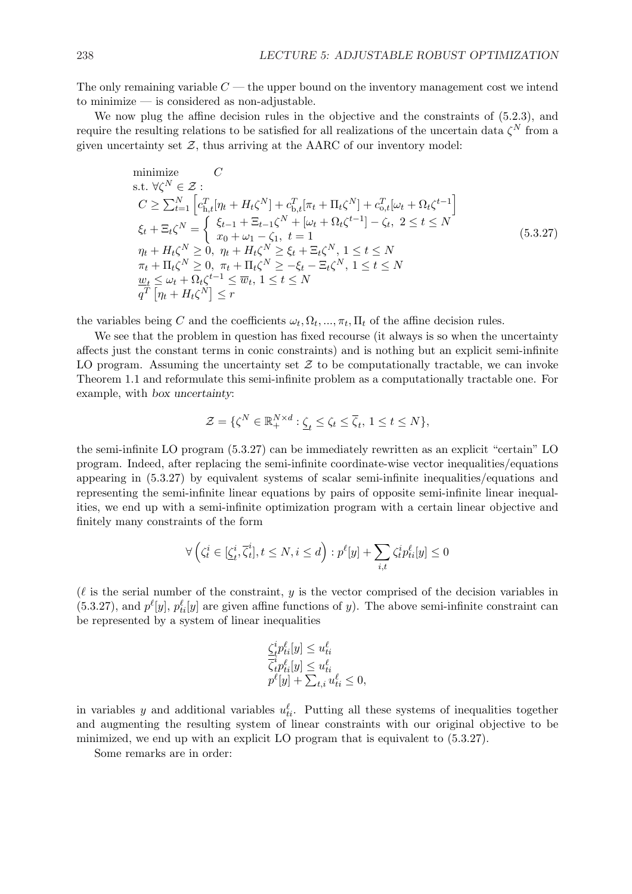The only remaining variable  $C$  — the upper bound on the inventory management cost we intend to minimize — is considered as non-adjustable.

We now plug the affine decision rules in the objective and the constraints of (5.2.3), and require the resulting relations to be satisfied for all realizations of the uncertain data  $\zeta^N$  from a given uncertainty set  $Z$ , thus arriving at the AARC of our inventory model:

minimize 
$$
C
$$
  
\ns.t.  $\forall \zeta^{N} \in \mathcal{Z}$ :  
\n
$$
C \ge \sum_{t=1}^{N} \left[ c_{h,t}^{T} [\eta_{t} + H_{t} \zeta^{N}] + c_{b,t}^{T} [\pi_{t} + \Pi_{t} \zeta^{N}] + c_{o,t}^{T} [\omega_{t} + \Omega_{t} \zeta^{t-1}] \right]
$$
\n
$$
\xi_{t} + \Xi_{t} \zeta^{N} = \begin{cases} \xi_{t-1} + \Xi_{t-1} \zeta^{N} + [\omega_{t} + \Omega_{t} \zeta^{t-1}] - \zeta_{t}, \ 2 \le t \le N \end{cases}
$$
\n
$$
\eta_{t} + H_{t} \zeta^{N} \ge 0, \ \eta_{t} + H_{t} \zeta^{N} \ge \xi_{t} + \Xi_{t} \zeta^{N}, \ 1 \le t \le N
$$
\n
$$
\pi_{t} + \Pi_{t} \zeta^{N} \ge 0, \ \pi_{t} + \Pi_{t} \zeta^{N} \ge -\xi_{t} - \Xi_{t} \zeta^{N}, \ 1 \le t \le N
$$
\n
$$
\frac{\omega_{t}}{q^{T}} \le \omega_{t} + \Omega_{t} \zeta^{t-1} \le \overline{w}_{t}, \ 1 \le t \le N
$$
\n
$$
\frac{q^{T}}{q^{T}} [\eta_{t} + H_{t} \zeta^{N}] \le r
$$
\n(5.3.27)

the variables being C and the coefficients  $\omega_t, \Omega_t, ..., \pi_t, \Pi_t$  of the affine decision rules.

We see that the problem in question has fixed recourse (it always is so when the uncertainty affects just the constant terms in conic constraints) and is nothing but an explicit semi-infinite LO program. Assuming the uncertainty set  $\mathcal Z$  to be computationally tractable, we can invoke Theorem 1.1 and reformulate this semi-infinite problem as a computationally tractable one. For example, with box uncertainty:

$$
\mathcal{Z} = \{ \zeta^N \in \mathbb{R}_+^{N \times d} : \underline{\zeta}_t \le \zeta_t \le \overline{\zeta}_t, \ 1 \le t \le N \},\
$$

the semi-infinite LO program (5.3.27) can be immediately rewritten as an explicit "certain" LO program. Indeed, after replacing the semi-infinite coordinate-wise vector inequalities/equations appearing in (5.3.27) by equivalent systems of scalar semi-infinite inequalities/equations and representing the semi-infinite linear equations by pairs of opposite semi-infinite linear inequalities, we end up with a semi-infinite optimization program with a certain linear objective and finitely many constraints of the form

$$
\forall \left(\zeta_t^i \in [\underline{\zeta}_t^i, \overline{\zeta}_t^i], t \le N, i \le d\right) : p^{\ell}[y] + \sum_{i,t} \zeta_t^i p_{ti}^{\ell}[y] \le 0
$$

 $(\ell$  is the serial number of the constraint, y is the vector comprised of the decision variables in (5.3.27), and  $p^{\ell}[y]$ ,  $p^{\ell}_{ti}[y]$  are given affine functions of y). The above semi-infinite constraint can be represented by a system of linear inequalities

$$
\frac{\zeta_t^i p_{ti}^\ell[y] \le u_{ti}^\ell}{\overline{\zeta}_t^i p_{ti}^\ell[y] \le u_{ti}^\ell} p^\ell[y] + \sum_{t,i} u_{ti}^\ell \le 0,
$$

in variables y and additional variables  $u_{ti}^{\ell}$ . Putting all these systems of inequalities together and augmenting the resulting system of linear constraints with our original objective to be minimized, we end up with an explicit LO program that is equivalent to (5.3.27).

Some remarks are in order: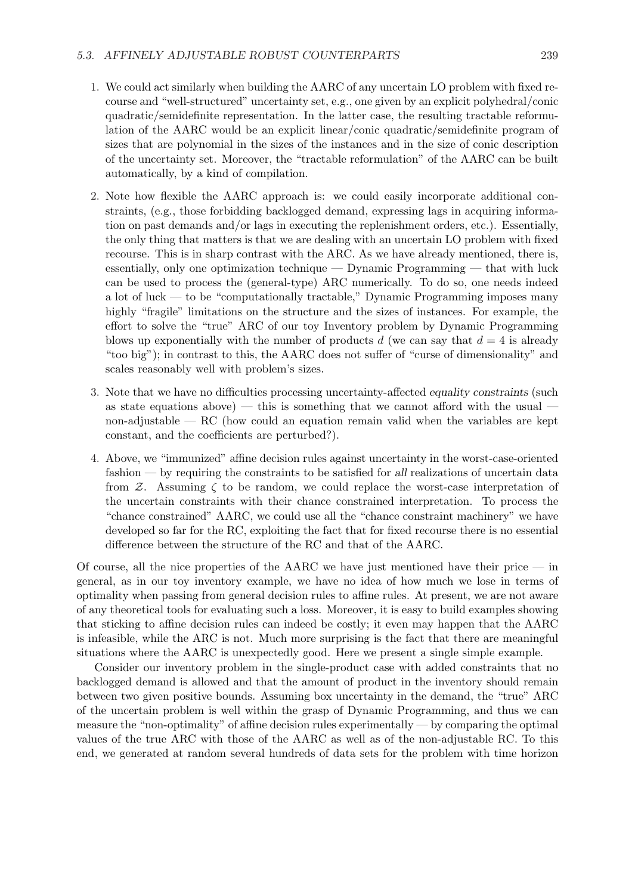- 1. We could act similarly when building the AARC of any uncertain LO problem with fixed recourse and "well-structured" uncertainty set, e.g., one given by an explicit polyhedral/conic quadratic/semidefinite representation. In the latter case, the resulting tractable reformulation of the AARC would be an explicit linear/conic quadratic/semidefinite program of sizes that are polynomial in the sizes of the instances and in the size of conic description of the uncertainty set. Moreover, the "tractable reformulation" of the AARC can be built automatically, by a kind of compilation.
- 2. Note how flexible the AARC approach is: we could easily incorporate additional constraints, (e.g., those forbidding backlogged demand, expressing lags in acquiring information on past demands and/or lags in executing the replenishment orders, etc.). Essentially, the only thing that matters is that we are dealing with an uncertain LO problem with fixed recourse. This is in sharp contrast with the ARC. As we have already mentioned, there is, essentially, only one optimization technique — Dynamic Programming — that with luck can be used to process the (general-type) ARC numerically. To do so, one needs indeed a lot of luck — to be "computationally tractable," Dynamic Programming imposes many highly "fragile" limitations on the structure and the sizes of instances. For example, the effort to solve the "true" ARC of our toy Inventory problem by Dynamic Programming blows up exponentially with the number of products d (we can say that  $d = 4$  is already "too big"); in contrast to this, the AARC does not suffer of "curse of dimensionality" and scales reasonably well with problem's sizes.
- 3. Note that we have no difficulties processing uncertainty-affected equality constraints (such as state equations above) — this is something that we cannot afford with the usual non-adjustable  $-RC$  (how could an equation remain valid when the variables are kept constant, and the coefficients are perturbed?).
- 4. Above, we "immunized" affine decision rules against uncertainty in the worst-case-oriented fashion — by requiring the constraints to be satisfied for all realizations of uncertain data from  $\mathcal{Z}$ . Assuming  $\zeta$  to be random, we could replace the worst-case interpretation of the uncertain constraints with their chance constrained interpretation. To process the "chance constrained" AARC, we could use all the "chance constraint machinery" we have developed so far for the RC, exploiting the fact that for fixed recourse there is no essential difference between the structure of the RC and that of the AARC.

Of course, all the nice properties of the AARC we have just mentioned have their price — in general, as in our toy inventory example, we have no idea of how much we lose in terms of optimality when passing from general decision rules to affine rules. At present, we are not aware of any theoretical tools for evaluating such a loss. Moreover, it is easy to build examples showing that sticking to affine decision rules can indeed be costly; it even may happen that the AARC is infeasible, while the ARC is not. Much more surprising is the fact that there are meaningful situations where the AARC is unexpectedly good. Here we present a single simple example.

Consider our inventory problem in the single-product case with added constraints that no backlogged demand is allowed and that the amount of product in the inventory should remain between two given positive bounds. Assuming box uncertainty in the demand, the "true" ARC of the uncertain problem is well within the grasp of Dynamic Programming, and thus we can measure the "non-optimality" of affine decision rules experimentally — by comparing the optimal values of the true ARC with those of the AARC as well as of the non-adjustable RC. To this end, we generated at random several hundreds of data sets for the problem with time horizon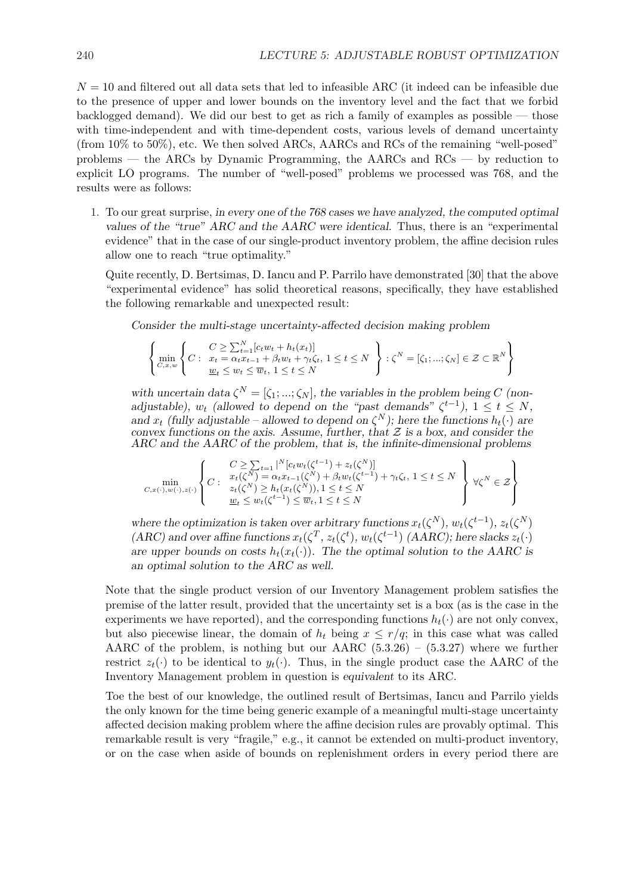$N = 10$  and filtered out all data sets that led to infeasible ARC (it indeed can be infeasible due to the presence of upper and lower bounds on the inventory level and the fact that we forbid backlogged demand). We did our best to get as rich a family of examples as possible  $-$  those with time-independent and with time-dependent costs, various levels of demand uncertainty (from 10% to 50%), etc. We then solved ARCs, AARCs and RCs of the remaining "well-posed" problems — the ARCs by Dynamic Programming, the AARCs and RCs — by reduction to explicit LO programs. The number of "well-posed" problems we processed was 768, and the results were as follows:

1. To our great surprise, in every one of the 768 cases we have analyzed, the computed optimal values of the "true" ARC and the AARC were identical. Thus, there is an "experimental evidence" that in the case of our single-product inventory problem, the affine decision rules allow one to reach "true optimality."

Quite recently, D. Bertsimas, D. Iancu and P. Parrilo have demonstrated [30] that the above "experimental evidence" has solid theoretical reasons, specifically, they have established the following remarkable and unexpected result:

Consider the multi-stage uncertainty-affected decision making problem

$$
\left\{\min_{C,x,w}\left\{C:\begin{array}{l}C\geq\sum_{t=1}^N[c_t w_t + h_t(x_t)]\\x_t=\alpha_t x_{t-1}+\beta_t w_t+\gamma_t\zeta_t,\ 1\leq t\leq N\end{array}\right\}: \zeta^N=[\zeta_1,...;\zeta_N]\in\mathcal{Z}\subset\mathbb{R}^N\right\}
$$

with uncertain data  $\zeta^N = [\zeta_1; \dots; \zeta_N]$ , the variables in the problem being C (nonadjustable),  $w_t$  (allowed to depend on the "past demands"  $\zeta^{t-1}$ ),  $1 \le t \le N$ , and  $x_t$  (fully adjustable – allowed to depend on  $\zeta^N$ ); here the functions  $h_t(\cdot)$  are convex functions on the axis. Assume, further, that  $\mathcal Z$  is a box, and consider the ARC and the AARC of the problem, that is, the infinite-dimensional problems

$$
\min_{C,x(\cdot),w(\cdot),z(\cdot)} \left\{C:\begin{array}{l} C\geq \sum_{t=1}|^N[c_t w_t(\zeta^{t-1})+z_t(\zeta^N)]\\ x_t(\zeta^N)=\alpha_t x_{t-1}(\zeta^N)+\beta_t w_t(\zeta^{t-1})+\gamma_t \zeta_t,\ 1\leq t\leq N\\ z_t(\zeta^N)\geq h_t(x_t(\zeta^N)), 1\leq t\leq N\\ \underline{w}_t\leq w_t(\zeta^{t-1})\leq \overline{w}_t, 1\leq t\leq N \end{array}\right\}\;\forall \zeta^N\in\mathcal{Z}\right\}
$$

where the optimization is taken over arbitrary functions  $x_t(\zeta^N)$ ,  $w_t(\zeta^{t-1})$ ,  $z_t(\zeta^N)$ (ARC) and over affine functions  $x_t(\zeta^T, z_t(\zeta^t), w_t(\zeta^{t-1})$  (AARC); here slacks  $z_t(\cdot)$ are upper bounds on costs  $h_t(x_t(\cdot))$ . The the optimal solution to the AARC is an optimal solution to the ARC as well.

Note that the single product version of our Inventory Management problem satisfies the premise of the latter result, provided that the uncertainty set is a box (as is the case in the experiments we have reported), and the corresponding functions  $h_t(\cdot)$  are not only convex, but also piecewise linear, the domain of  $h_t$  being  $x \leq r/q$ ; in this case what was called AARC of the problem, is nothing but our AARC  $(5.3.26) - (5.3.27)$  where we further restrict  $z_t(\cdot)$  to be identical to  $y_t(\cdot)$ . Thus, in the single product case the AARC of the Inventory Management problem in question is equivalent to its ARC.

Toe the best of our knowledge, the outlined result of Bertsimas, Iancu and Parrilo yields the only known for the time being generic example of a meaningful multi-stage uncertainty affected decision making problem where the affine decision rules are provably optimal. This remarkable result is very "fragile," e.g., it cannot be extended on multi-product inventory, or on the case when aside of bounds on replenishment orders in every period there are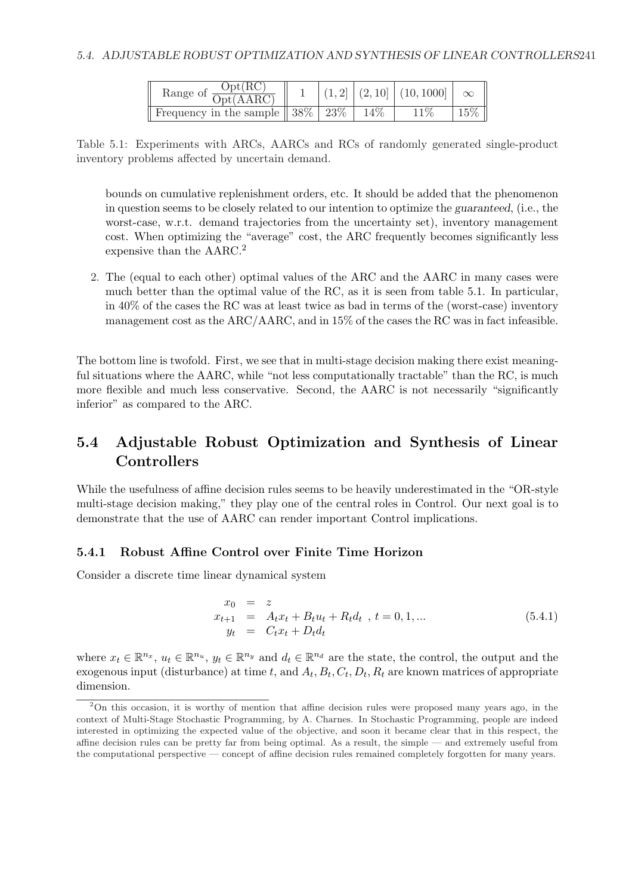| Range of $\frac{\text{Opt}(RC)}{\text{Opt}(AARC)}$                               |  | $(1,2    (2,10    (10,1000   \infty )$ |        |
|----------------------------------------------------------------------------------|--|----------------------------------------|--------|
| Frequency in the sample $\parallel 38\% \parallel 23\% \parallel 14\% \parallel$ |  | 11%                                    | $15\%$ |

Table 5.1: Experiments with ARCs, AARCs and RCs of randomly generated single-product inventory problems affected by uncertain demand.

bounds on cumulative replenishment orders, etc. It should be added that the phenomenon in question seems to be closely related to our intention to optimize the guaranteed, (i.e., the worst-case, w.r.t. demand trajectories from the uncertainty set), inventory management cost. When optimizing the "average" cost, the ARC frequently becomes significantly less expensive than the AARC.<sup>2</sup>

2. The (equal to each other) optimal values of the ARC and the AARC in many cases were much better than the optimal value of the RC, as it is seen from table 5.1. In particular, in 40% of the cases the RC was at least twice as bad in terms of the (worst-case) inventory management cost as the ARC/AARC, and in 15% of the cases the RC was in fact infeasible.

The bottom line is twofold. First, we see that in multi-stage decision making there exist meaningful situations where the AARC, while "not less computationally tractable" than the RC, is much more flexible and much less conservative. Second, the AARC is not necessarily "significantly inferior" as compared to the ARC.

# 5.4 Adjustable Robust Optimization and Synthesis of Linear **Controllers**

While the usefulness of affine decision rules seems to be heavily underestimated in the "OR-style multi-stage decision making," they play one of the central roles in Control. Our next goal is to demonstrate that the use of AARC can render important Control implications.

#### 5.4.1 Robust Affine Control over Finite Time Horizon

Consider a discrete time linear dynamical system

$$
x_0 = z
$$
  
\n
$$
x_{t+1} = A_t x_t + B_t u_t + R_t d_t , t = 0, 1, ...
$$
  
\n
$$
y_t = C_t x_t + D_t d_t
$$
\n(5.4.1)

where  $x_t \in \mathbb{R}^{n_x}$ ,  $u_t \in \mathbb{R}^{n_u}$ ,  $y_t \in \mathbb{R}^{n_y}$  and  $d_t \in \mathbb{R}^{n_d}$  are the state, the control, the output and the exogenous input (disturbance) at time t, and  $A_t$ ,  $B_t$ ,  $C_t$ ,  $D_t$ ,  $R_t$  are known matrices of appropriate dimension.

<sup>2</sup>On this occasion, it is worthy of mention that affine decision rules were proposed many years ago, in the context of Multi-Stage Stochastic Programming, by A. Charnes. In Stochastic Programming, people are indeed interested in optimizing the expected value of the objective, and soon it became clear that in this respect, the affine decision rules can be pretty far from being optimal. As a result, the simple — and extremely useful from the computational perspective — concept of affine decision rules remained completely forgotten for many years.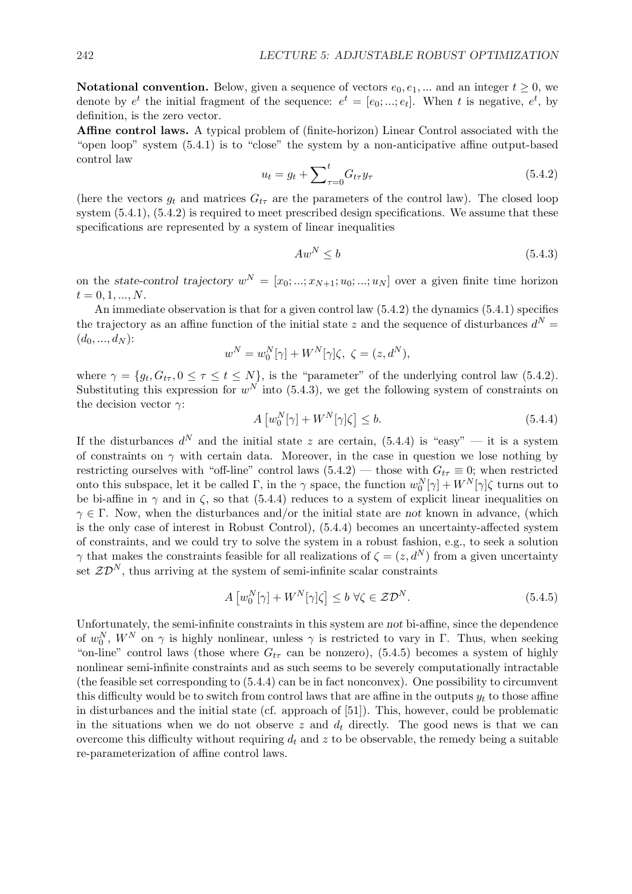**Notational convention.** Below, given a sequence of vectors  $e_0, e_1, ...$  and an integer  $t \ge 0$ , we denote by  $e^t$  the initial fragment of the sequence:  $e^t = [e_0; ...; e_t]$ . When t is negative,  $e^t$ , by definition, is the zero vector.

Affine control laws. A typical problem of (finite-horizon) Linear Control associated with the "open loop" system (5.4.1) is to "close" the system by a non-anticipative affine output-based control law  $\overline{\mathbf{t}}$ 

$$
u_t = g_t + \sum_{\tau=0}^t G_{t\tau} y_\tau
$$
\n(5.4.2)

(here the vectors  $g_t$  and matrices  $G_{t\tau}$  are the parameters of the control law). The closed loop system  $(5.4.1)$ ,  $(5.4.2)$  is required to meet prescribed design specifications. We assume that these specifications are represented by a system of linear inequalities

$$
Aw^N \le b \tag{5.4.3}
$$

on the state-control trajectory  $w^N = [x_0; ...; x_{N+1}; u_0; ...; u_N]$  over a given finite time horizon  $t = 0, 1, ..., N$ .

An immediate observation is that for a given control law (5.4.2) the dynamics (5.4.1) specifies the trajectory as an affine function of the initial state z and the sequence of disturbances  $d^N =$  $(d_0, ..., d_N)$ :

$$
w^N = w_0^N[\gamma] + W^N[\gamma]\zeta, \ \zeta = (z, d^N),
$$

where  $\gamma = \{g_t, G_{t\tau}, 0 \leq \tau \leq t \leq N\}$ , is the "parameter" of the underlying control law (5.4.2). Substituting this expression for  $w^N$  into (5.4.3), we get the following system of constraints on the decision vector  $\gamma:$ £ ¤

$$
A\left[w_0^N[\gamma] + W^N[\gamma]\zeta\right] \le b. \tag{5.4.4}
$$

If the disturbances  $d^N$  and the initial state z are certain, (5.4.4) is "easy" — it is a system of constraints on  $\gamma$  with certain data. Moreover, in the case in question we lose nothing by restricting ourselves with "off-line" control laws  $(5.4.2)$  — those with  $G_{t\tau} \equiv 0$ ; when restricted onto this subspace, let it be called  $\Gamma$ , in the  $\gamma$  space, the function  $w_0^N[\gamma] + W^N[\gamma]\zeta$  turns out to be bi-affine in  $\gamma$  and in  $\zeta$ , so that (5.4.4) reduces to a system of explicit linear inequalities on  $\gamma \in \Gamma$ . Now, when the disturbances and/or the initial state are not known in advance, (which is the only case of interest in Robust Control), (5.4.4) becomes an uncertainty-affected system of constraints, and we could try to solve the system in a robust fashion, e.g., to seek a solution  $\gamma$  that makes the constraints feasible for all realizations of  $\zeta = (z, d^N)$  from a given uncertainty set  $\mathcal{ZD}^{N}$ , thus arriving at the system of semi-infinite scalar constraints

$$
A\left[w_0^N[\gamma] + W^N[\gamma]\zeta\right] \le b \,\forall \zeta \in \mathcal{ZD}^N. \tag{5.4.5}
$$

Unfortunately, the semi-infinite constraints in this system are not bi-affine, since the dependence of  $w_0^N$ ,  $W^N$  on  $\gamma$  is highly nonlinear, unless  $\gamma$  is restricted to vary in  $\Gamma$ . Thus, when seeking "on-line" control laws (those where  $G_{t\tau}$  can be nonzero), (5.4.5) becomes a system of highly nonlinear semi-infinite constraints and as such seems to be severely computationally intractable (the feasible set corresponding to (5.4.4) can be in fact nonconvex). One possibility to circumvent this difficulty would be to switch from control laws that are affine in the outputs  $y_t$  to those affine in disturbances and the initial state (cf. approach of [51]). This, however, could be problematic in the situations when we do not observe z and  $d_t$  directly. The good news is that we can overcome this difficulty without requiring  $d_t$  and z to be observable, the remedy being a suitable re-parameterization of affine control laws.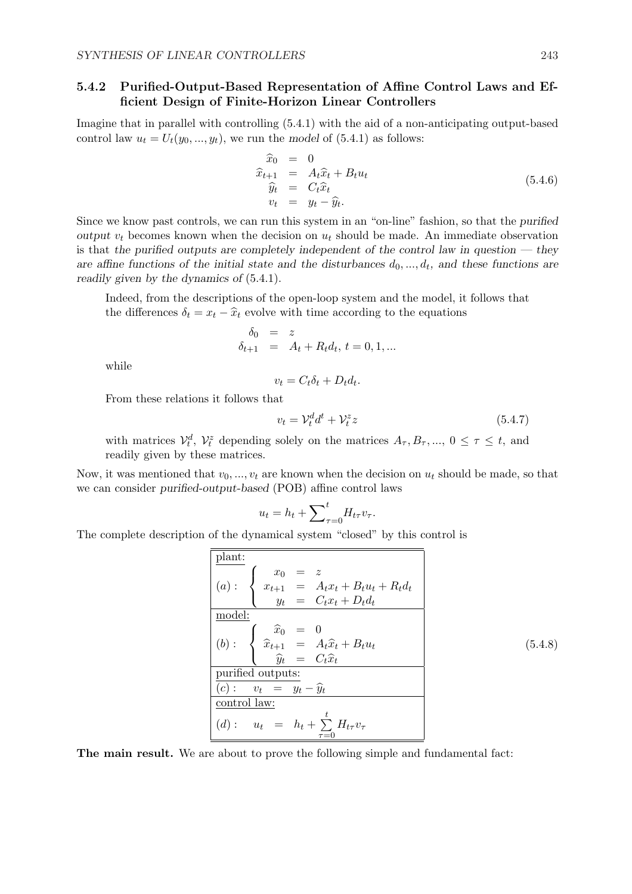#### 5.4.2 Purified-Output-Based Representation of Affine Control Laws and Efficient Design of Finite-Horizon Linear Controllers

Imagine that in parallel with controlling (5.4.1) with the aid of a non-anticipating output-based control law  $u_t = U_t(y_0, ..., y_t)$ , we run the model of (5.4.1) as follows:

$$
\begin{array}{rcl}\n\widehat{x}_0 & = & 0 \\
\widehat{x}_{t+1} & = & A_t \widehat{x}_t + B_t u_t \\
\widehat{y}_t & = & C_t \widehat{x}_t \\
v_t & = & y_t - \widehat{y}_t.\n\end{array} \tag{5.4.6}
$$

Since we know past controls, we can run this system in an "on-line" fashion, so that the purified output  $v_t$  becomes known when the decision on  $u_t$  should be made. An immediate observation is that the purified outputs are completely independent of the control law in question  $-$  they are affine functions of the initial state and the disturbances  $d_0, \ldots, d_t$ , and these functions are readily given by the dynamics of (5.4.1).

Indeed, from the descriptions of the open-loop system and the model, it follows that the differences  $\delta_t = x_t - \hat{x}_t$  evolve with time according to the equations

$$
\begin{array}{rcl}\n\delta_0 & = & z \\
\delta_{t+1} & = & A_t + R_t d_t, \ t = 0, 1, \dots\n\end{array}
$$

while

$$
v_t = C_t \delta_t + D_t d_t.
$$

From these relations it follows that

$$
v_t = \mathcal{V}_t^d d^t + \mathcal{V}_t^z z \tag{5.4.7}
$$

with matrices  $\mathcal{V}_t^d$ ,  $\mathcal{V}_t^z$  depending solely on the matrices  $A_{\tau}, B_{\tau}, ..., 0 \leq \tau \leq t$ , and readily given by these matrices.

Now, it was mentioned that  $v_0, ..., v_t$  are known when the decision on  $u_t$  should be made, so that we can consider purified-output-based (POB) affine control laws

$$
u_t = h_t + \sum_{\tau=0}^t H_{t\tau} v_\tau.
$$

The complete description of the dynamical system "closed" by this control is

| plant:            |                                                                                                                                             |
|-------------------|---------------------------------------------------------------------------------------------------------------------------------------------|
| $(a)$ :           | $\begin{cases}\n x_0 = z \\  x_{t+1} = A_t x_t + B_t u_t + R_t d_t \\  y_t = C_t x_t + D_t d_t\n \end{cases}$                               |
| model:            |                                                                                                                                             |
| $(b)$ :           | $\begin{cases}\n \widehat{x}_0 = 0 \\  \widehat{x}_{t+1} = A_t \widehat{x}_t + B_t u_t \\  \widehat{y}_t = C_t \widehat{x}_t\n \end{cases}$ |
| purified outputs: |                                                                                                                                             |
| $(c)$ :           | $v_t = y_t - \widehat{y}_t$                                                                                                                 |
| control law:      |                                                                                                                                             |
| $(d)$ :           | $u_t = h_t + \sum_{\tau=0}^t H_{t\tau} v_\tau$                                                                                              |

The main result. We are about to prove the following simple and fundamental fact: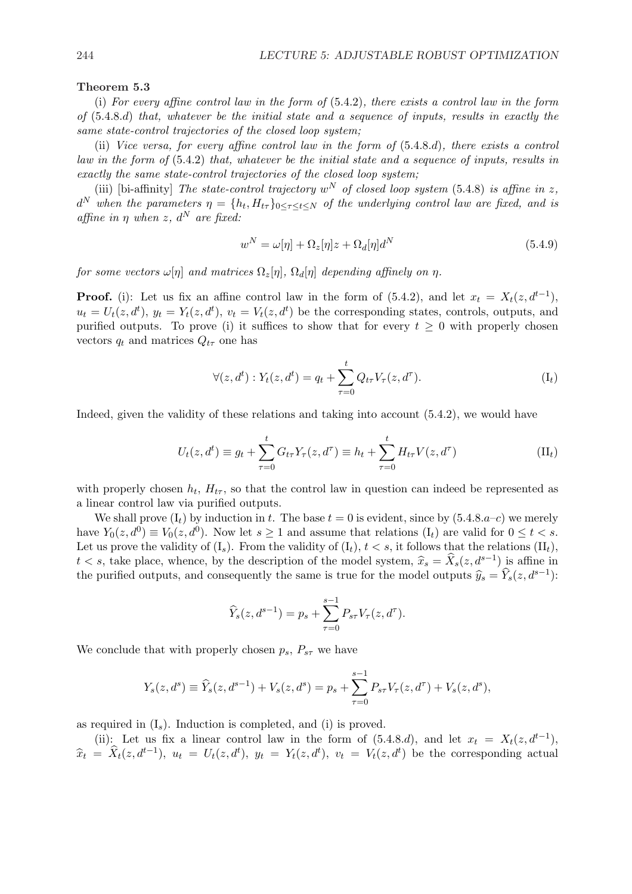#### Theorem 5.3

(i) For every affine control law in the form of (5.4.2), there exists a control law in the form of (5.4.8.d) that, whatever be the initial state and a sequence of inputs, results in exactly the same state-control trajectories of the closed loop system;

(ii) Vice versa, for every affine control law in the form of (5.4.8.d), there exists a control law in the form of  $(5.4.2)$  that, whatever be the initial state and a sequence of inputs, results in exactly the same state-control trajectories of the closed loop system;

(iii) [bi-affinity] The state-control trajectory  $w^N$  of closed loop system (5.4.8) is affine in z,  $d^N$  when the parameters  $\eta = \{h_t, H_{t\tau}\}_{0\leq \tau \leq t \leq N}$  of the underlying control law are fixed, and is affine in  $\eta$  when z,  $d^N$  are fixed:

$$
w^N = \omega[\eta] + \Omega_z[\eta]z + \Omega_d[\eta]d^N \tag{5.4.9}
$$

for some vectors  $\omega[\eta]$  and matrices  $\Omega_z[\eta], \Omega_d[\eta]$  depending affinely on  $\eta$ .

**Proof.** (i): Let us fix an affine control law in the form of  $(5.4.2)$ , and let  $x_t = X_t(z, d^{t-1})$ ,  $u_t = U_t(z, d^t), y_t = Y_t(z, d^t), v_t = V_t(z, d^t)$  be the corresponding states, controls, outputs, and purified outputs. To prove (i) it suffices to show that for every  $t \geq 0$  with properly chosen vectors  $q_t$  and matrices  $Q_{t\tau}$  one has

$$
\forall (z, d^t) : Y_t(z, d^t) = q_t + \sum_{\tau=0}^t Q_{t\tau} V_\tau(z, d^\tau).
$$
 (I<sub>t</sub>)

Indeed, given the validity of these relations and taking into account (5.4.2), we would have

$$
U_t(z, d^t) \equiv g_t + \sum_{\tau=0}^t G_{t\tau} Y_\tau(z, d^\tau) \equiv h_t + \sum_{\tau=0}^t H_{t\tau} V(z, d^\tau)
$$
 (II<sub>t</sub>)

with properly chosen  $h_t$ ,  $H_{t\tau}$ , so that the control law in question can indeed be represented as a linear control law via purified outputs.

We shall prove  $(I_t)$  by induction in t. The base  $t = 0$  is evident, since by  $(5.4.8.a-c)$  we merely have  $Y_0(z, d^0) \equiv V_0(z, d^0)$ . Now let  $s \ge 1$  and assume that relations  $(I_t)$  are valid for  $0 \le t < s$ . Let us prove the validity of  $(I_s)$ . From the validity of  $(I_t)$ ,  $t < s$ , it follows that the relations  $(II_t)$ ,  $t < s$ , take place, whence, by the description of the model system,  $\hat{x}_s = \hat{X}_s(z, d^{s-1})$  is affine in the purified outputs, and consequently the same is true for the model outputs  $\hat{y}_s = \hat{Y}_s(z, d^{s-1})$ :

$$
\widehat{Y}_s(z, d^{s-1}) = p_s + \sum_{\tau=0}^{s-1} P_{s\tau} V_\tau(z, d^\tau).
$$

We conclude that with properly chosen  $p_s$ ,  $P_{s\tau}$  we have

$$
Y_s(z, d^s) \equiv \widehat{Y}_s(z, d^{s-1}) + V_s(z, d^s) = p_s + \sum_{\tau=0}^{s-1} P_{s\tau} V_\tau(z, d^\tau) + V_s(z, d^s),
$$

as required in  $(I_s)$ . Induction is completed, and (i) is proved.

(ii): Let us fix a linear control law in the form of  $(5.4.8.d)$ , and let  $x_t = X_t(z, d^{t-1})$ ,  $\hat{x}_t = \hat{X}_t(z, d^{t-1}), u_t = U_t(z, d^t), y_t = Y_t(z, d^t), v_t = V_t(z, d^t)$  be the corresponding actual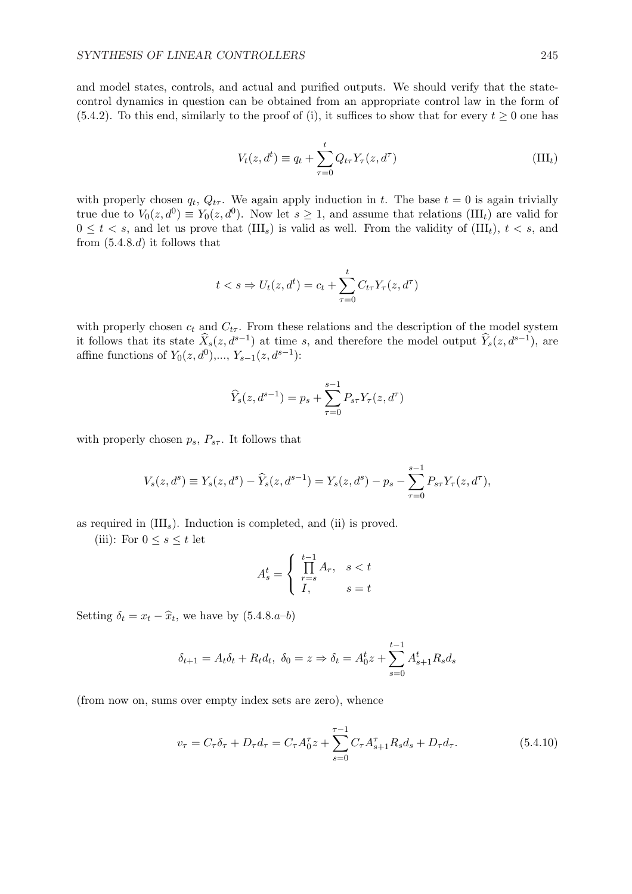and model states, controls, and actual and purified outputs. We should verify that the statecontrol dynamics in question can be obtained from an appropriate control law in the form of (5.4.2). To this end, similarly to the proof of (i), it suffices to show that for every  $t \geq 0$  one has

$$
V_t(z, d^t) \equiv q_t + \sum_{\tau=0}^t Q_{t\tau} Y_\tau(z, d^\tau)
$$
\n(III<sub>t</sub>)

with properly chosen  $q_t$ ,  $Q_{t\tau}$ . We again apply induction in t. The base  $t = 0$  is again trivially true due to  $V_0(z, d^0) \equiv Y_0(z, d^0)$ . Now let  $s \geq 1$ , and assume that relations (III<sub>t</sub>) are valid for  $0 \leq t < s$ , and let us prove that  $(III_s)$  is valid as well. From the validity of  $(III_t)$ ,  $t < s$ , and from  $(5.4.8.d)$  it follows that

$$
t < s \Rightarrow U_t(z, d^t) = c_t + \sum_{\tau=0}^t C_{t\tau} Y_\tau(z, d^\tau)
$$

with properly chosen  $c_t$  and  $C_{t\tau}$ . From these relations and the description of the model system it follows that its state  $\widehat{X}_s(z, d^{s-1})$  at time s, and therefore the model output  $\widehat{Y}_s(z, d^{s-1})$ , are affine functions of  $Y_0(z, d^0), \ldots, Y_{s-1}(z, d^{s-1})$ :

$$
\widehat{Y}_s(z, d^{s-1}) = p_s + \sum_{\tau=0}^{s-1} P_{s\tau} Y_\tau(z, d^\tau)
$$

with properly chosen  $p_s$ ,  $P_{s\tau}$ . It follows that

$$
V_s(z, d^s) \equiv Y_s(z, d^s) - \widehat{Y}_s(z, d^{s-1}) = Y_s(z, d^s) - p_s - \sum_{\tau=0}^{s-1} P_{s\tau} Y_\tau(z, d^\tau),
$$

as required in  $(III_s)$ . Induction is completed, and (ii) is proved.

(iii): For  $0 \leq s \leq t$  let

$$
A_s^t = \begin{cases} \prod_{r=s}^{t-1} A_r, & s < t \\ I, & s = t \end{cases}
$$

Setting  $\delta_t = x_t - \hat{x}_t$ , we have by  $(5.4.8.a-b)$ 

$$
\delta_{t+1} = A_t \delta_t + R_t d_t, \ \delta_0 = z \Rightarrow \delta_t = A_0^t z + \sum_{s=0}^{t-1} A_{s+1}^t R_s d_s
$$

(from now on, sums over empty index sets are zero), whence

$$
v_{\tau} = C_{\tau} \delta_{\tau} + D_{\tau} d_{\tau} = C_{\tau} A_0^{\tau} z + \sum_{s=0}^{\tau-1} C_{\tau} A_{s+1}^{\tau} R_s d_s + D_{\tau} d_{\tau}.
$$
 (5.4.10)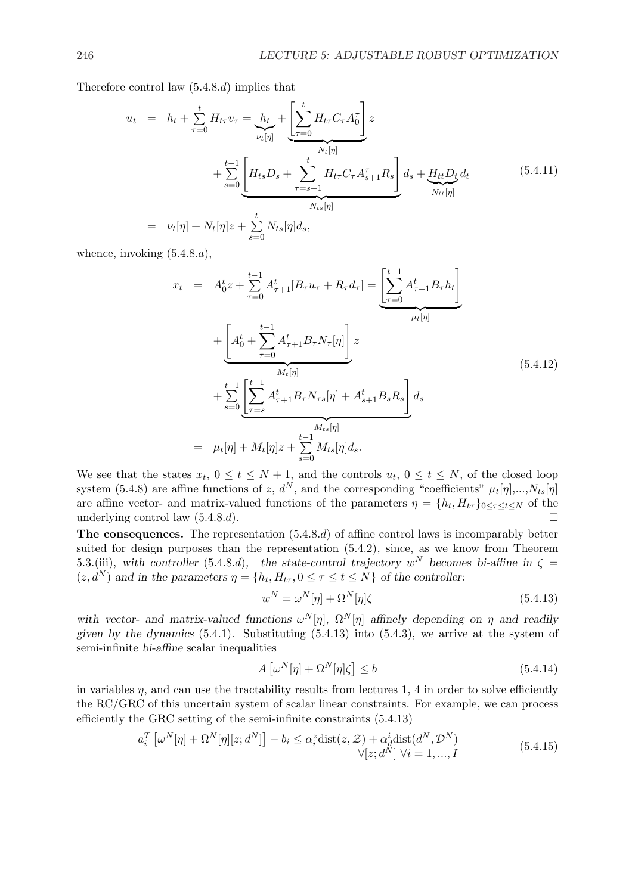Therefore control law (5.4.8.d) implies that

$$
u_{t} = h_{t} + \sum_{\tau=0}^{t} H_{t\tau} v_{\tau} = h_{t} + \left[ \sum_{\tau=0}^{t} H_{t\tau} C_{\tau} A_{0}^{\tau} \right] z + \sum_{s=0}^{t-1} \left[ H_{ts} D_{s} + \sum_{\tau=s+1}^{t} H_{t\tau} C_{\tau} A_{s+1}^{\tau} R_{s} \right] d_{s} + \underbrace{H_{tt} D_{t}}_{N_{tt}[\eta]} d_{t}
$$
\n
$$
= \nu_{t}[\eta] + N_{t}[\eta] z + \sum_{s=0}^{t} N_{ts}[\eta] d_{s}, \qquad (5.4.11)
$$

whence, invoking  $(5.4.8.a)$ ,

$$
x_{t} = A_{0}^{t}z + \sum_{\tau=0}^{t-1} A_{\tau+1}^{t}[B_{\tau}u_{\tau} + R_{\tau}d_{\tau}] = \underbrace{\left[\sum_{\tau=0}^{t-1} A_{\tau+1}^{t} B_{\tau}h_{t}\right]}_{\mu_{t}[\eta]}
$$
  
+ 
$$
\underbrace{\left[A_{0}^{t} + \sum_{\tau=0}^{t-1} A_{\tau+1}^{t} B_{\tau} N_{\tau}[\eta]\right]z}_{M_{t}[\eta]} z
$$
  
+ 
$$
\sum_{s=0}^{t-1} \underbrace{\left[\sum_{\tau=s}^{t-1} A_{\tau+1}^{t} B_{\tau} N_{\tau s}[\eta] + A_{s+1}^{t} B_{s} R_{s}\right] d_{s}}_{M_{t s}[\eta]}
$$
  
= 
$$
\mu_{t}[\eta] + M_{t}[\eta]z + \sum_{s=0}^{t-1} M_{t s}[\eta] d_{s}.
$$
 (5.4.12)

We see that the states  $x_t$ ,  $0 \le t \le N+1$ , and the controls  $u_t$ ,  $0 \le t \le N$ , of the closed loop system (5.4.8) are affine functions of z,  $d^N$ , and the corresponding "coefficients"  $\mu_t[\eta],...,N_{ts}[\eta]$ are affine vector- and matrix-valued functions of the parameters  $\eta = \{h_t, H_{t\tau}\}_{0 \leq \tau \leq t \leq N}$  of the underlying control law  $(5.4.8.d)$ .

The consequences. The representation (5.4.8.d) of affine control laws is incomparably better suited for design purposes than the representation (5.4.2), since, as we know from Theorem 5.3.(iii), with controller (5.4.8.d), the state-control trajectory  $w^N$  becomes bi-affine in  $\zeta =$  $(z, d^N)$  and in the parameters  $\eta = \{h_t, H_{t\tau}, 0 \leq \tau \leq t \leq N\}$  of the controller:

$$
w^N = \omega^N[\eta] + \Omega^N[\eta]\zeta \tag{5.4.13}
$$

with vector- and matrix-valued functions  $\omega^N[\eta]$ ,  $\Omega^N[\eta]$  affinely depending on  $\eta$  and readily given by the dynamics  $(5.4.1)$ . Substituting  $(5.4.13)$  into  $(5.4.3)$ , we arrive at the system of semi-infinite bi-affine scalar inequalities

$$
A\left[\omega^N[\eta] + \Omega^N[\eta]\zeta\right] \le b \tag{5.4.14}
$$

in variables  $\eta$ , and can use the tractability results from lectures 1, 4 in order to solve efficiently the RC/GRC of this uncertain system of scalar linear constraints. For example, we can process efficiently the GRC setting of the semi-infinite constraints (5.4.13)

$$
a_i^T \left[ \omega^N[\eta] + \Omega^N[\eta][z; d^N] \right] - b_i \leq \alpha_i^z \text{dist}(z, \mathcal{Z}) + \alpha_d^i \text{dist}(d^N, \mathcal{D}^N) \forall [z; d^N] \ \forall i = 1, ..., I
$$
\n(5.4.15)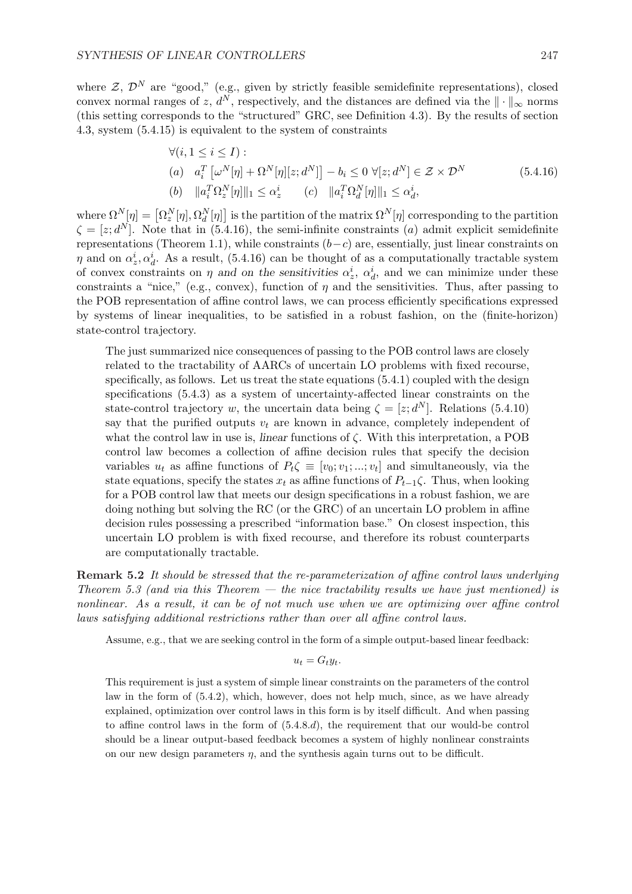where  $\mathcal{Z}, \mathcal{D}^{N}$  are "good," (e.g., given by strictly feasible semidefinite representations), closed convex normal ranges of z,  $d^N$ , respectively, and the distances are defined via the  $\|\cdot\|_{\infty}$  norms (this setting corresponds to the "structured" GRC, see Definition 4.3). By the results of section 4.3, system (5.4.15) is equivalent to the system of constraints

$$
\forall (i, 1 \le i \le I):(a) \quad a_i^T \left[\omega^N[\eta] + \Omega^N[\eta][z; d^N]\right] - b_i \le 0 \quad \forall [z; d^N] \in \mathcal{Z} \times \mathcal{D}^N(b) \quad \|a_i^T \Omega_z^N[\eta]\|_1 \le \alpha_z^i \qquad (c) \quad \|a_i^T \Omega_d^N[\eta]\|_1 \le \alpha_d^i,
$$
(5.4.16)

where  $\Omega^N[\eta] = [\Omega_z^N[\eta], \Omega_d^N[\eta]$ ¤ is the partition of the matrix  $\Omega^N[\eta]$  corresponding to the partition  $\zeta = [z; d^N]$ . Note that in (5.4.16), the semi-infinite constraints (a) admit explicit semidefinite representations (Theorem 1.1), while constraints  $(b-c)$  are, essentially, just linear constraints on  $\eta$  and on  $\alpha_z^i, \alpha_d^i$ . As a result, (5.4.16) can be thought of as a computationally tractable system of convex constraints on  $\eta$  and on the sensitivities  $\alpha_z^i$ ,  $\alpha_d^i$ , and we can minimize under these constraints a "nice," (e.g., convex), function of  $\eta$  and the sensitivities. Thus, after passing to the POB representation of affine control laws, we can process efficiently specifications expressed by systems of linear inequalities, to be satisfied in a robust fashion, on the (finite-horizon) state-control trajectory.

The just summarized nice consequences of passing to the POB control laws are closely related to the tractability of AARCs of uncertain LO problems with fixed recourse, specifically, as follows. Let us treat the state equations (5.4.1) coupled with the design specifications (5.4.3) as a system of uncertainty-affected linear constraints on the state-control trajectory w, the uncertain data being  $\zeta = [z; d^N]$ . Relations (5.4.10) say that the purified outputs  $v_t$  are known in advance, completely independent of what the control law in use is, *linear* functions of  $\zeta$ . With this interpretation, a POB control law becomes a collection of affine decision rules that specify the decision variables  $u_t$  as affine functions of  $P_t \zeta \equiv [v_0; v_1; ...; v_t]$  and simultaneously, via the state equations, specify the states  $x_t$  as affine functions of  $P_{t-1}\zeta$ . Thus, when looking for a POB control law that meets our design specifications in a robust fashion, we are doing nothing but solving the RC (or the GRC) of an uncertain LO problem in affine decision rules possessing a prescribed "information base." On closest inspection, this uncertain LO problem is with fixed recourse, and therefore its robust counterparts are computationally tractable.

Remark 5.2 It should be stressed that the re-parameterization of affine control laws underlying Theorem 5.3 (and via this Theorem  $-$  the nice tractability results we have just mentioned) is nonlinear. As a result, it can be of not much use when we are optimizing over affine control laws satisfying additional restrictions rather than over all affine control laws.

Assume, e.g., that we are seeking control in the form of a simple output-based linear feedback:

$$
u_t = G_t y_t.
$$

This requirement is just a system of simple linear constraints on the parameters of the control law in the form of (5.4.2), which, however, does not help much, since, as we have already explained, optimization over control laws in this form is by itself difficult. And when passing to affine control laws in the form of (5.4.8.d), the requirement that our would-be control should be a linear output-based feedback becomes a system of highly nonlinear constraints on our new design parameters  $n$ , and the synthesis again turns out to be difficult.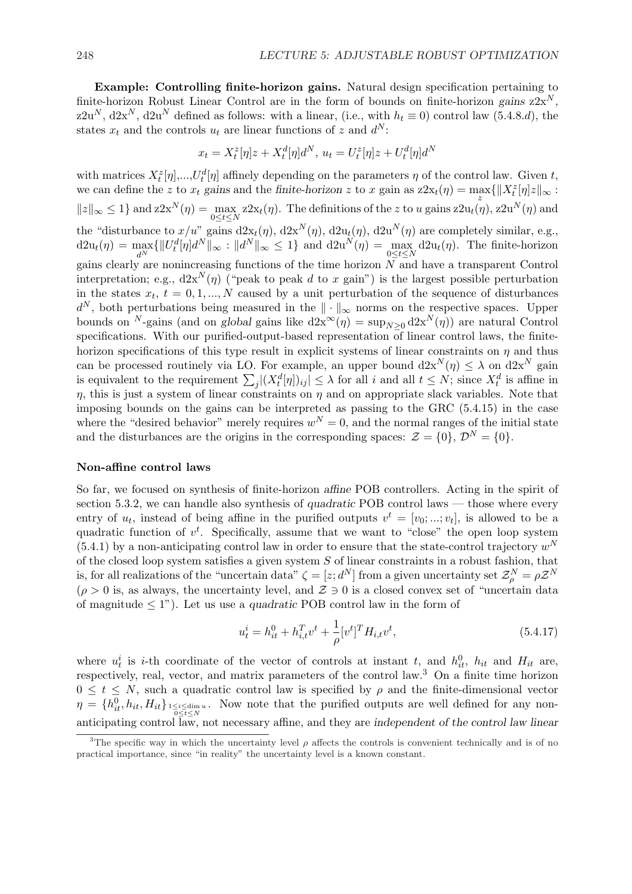Example: Controlling finite-horizon gains. Natural design specification pertaining to finite-horizon Robust Linear Control are in the form of bounds on finite-horizon gains  $z2x^N$ , z2u<sup>N</sup>, d2x<sup>N</sup>, d2u<sup>N</sup> defined as follows: with a linear, (i.e., with  $h_t \equiv 0$ ) control law (5.4.8.d), the states  $x_t$  and the controls  $u_t$  are linear functions of z and  $d^N$ :

$$
x_t = X_t^z[\eta]z + X_t^d[\eta]d^N, \ u_t = U_t^z[\eta]z + U_t^d[\eta]d^N
$$

with matrices  $X_t^z[\eta],...,U_t^d[\eta]$  affinely depending on the parameters  $\eta$  of the control law. Given t, we can define the z to  $x_t$  gains and the finite-horizon z to x gain as  $z2x_t(\eta) = \max\{||X_t^z[\eta]z||_{\infty} :$  $||z||_{\infty} \leq 1$  and  $z2x^{N}(\eta) = \max_{0 \leq t \leq N} z2x_{t}(\eta)$ . The definitions of the z to u gains  $z2u_{t}(\eta)$ ,  $z2u^{N}(\eta)$  and the "disturbance to  $x/u$ " gains  $d2x_t(\eta)$ ,  $d2x^N(\eta)$ ,  $d2u_t(\eta)$ ,  $d2u^N(\eta)$  are completely similar, e.g.,  $d2u_t(\eta) = \max_{d^N} \{ ||U_t^d[\eta]d^N||_{\infty} : ||d^N||_{\infty} \leq 1 \}$  and  $d2u^N(\eta) = \max_{0 \leq t \leq N} d2u_t(\eta)$ . The finite-horizon gains clearly are nonincreasing functions of the time horizon N and have a transparent Control interpretation; e.g.,  $d2x^N(\eta)$  ("peak to peak d to x gain") is the largest possible perturbation in the states  $x_t$ ,  $t = 0, 1, ..., N$  caused by a unit perturbation of the sequence of disturbances  $d^N$ , both perturbations being measured in the  $\|\cdot\|_{\infty}$  norms on the respective spaces. Upper bounds on <sup>N</sup>-gains (and on global gains like  $d2x^{\infty}(\eta) = \sup_{N>0} d2x^N(\eta)$ ) are natural Control specifications. With our purified-output-based representation of linear control laws, the finitehorizon specifications of this type result in explicit systems of linear constraints on  $\eta$  and thus can be processed routinely via LO. For example, an upper bound  $d2x^N(\eta) \leq \lambda$  on  $d2x^N$  gain can be processed routinely via LO. For example, an upper bound  $dzX$  ( $\eta$ )  $\leq \lambda$  on  $dzX$  gain<br>is equivalent to the requirement  $\sum_{j} |(X_t^d[\eta])_{ij}| \leq \lambda$  for all i and all  $t \leq N$ ; since  $X_t^d$  is affine in  $\eta$ , this is just a system of linear constraints on  $\eta$  and on appropriate slack variables. Note that imposing bounds on the gains can be interpreted as passing to the GRC (5.4.15) in the case where the "desired behavior" merely requires  $w^N = 0$ , and the normal ranges of the initial state and the disturbances are the origins in the corresponding spaces:  $\mathcal{Z} = \{0\}, \mathcal{D}^N = \{0\}.$ 

#### Non-affine control laws

So far, we focused on synthesis of finite-horizon affine POB controllers. Acting in the spirit of section 5.3.2, we can handle also synthesis of quadratic POB control laws — those where every entry of  $u_t$ , instead of being affine in the purified outputs  $v^t = [v_0; \dots; v_t]$ , is allowed to be a quadratic function of  $v^t$ . Specifically, assume that we want to "close" the open loop system  $(5.4.1)$  by a non-anticipating control law in order to ensure that the state-control trajectory  $w<sup>N</sup>$ of the closed loop system satisfies a given system  $S$  of linear constraints in a robust fashion, that is, for all realizations of the "uncertain data"  $\zeta = [z; d^N]$  from a given uncertainty set  $\mathcal{Z}_{\rho}^N = \rho \mathcal{Z}^N$  $(\rho > 0$  is, as always, the uncertainty level, and  $\mathcal{Z} \ni 0$  is a closed convex set of "uncertain data of magnitude  $\leq 1$ "). Let us use a *quadratic* POB control law in the form of

$$
u_t^i = h_{it}^0 + h_{i,t}^T v^t + \frac{1}{\rho} [v^t]^T H_{i,t} v^t,
$$
\n(5.4.17)

where  $u_t^i$  is *i*-th coordinate of the vector of controls at instant t, and  $h_{it}^0$ ,  $h_{it}$  and  $H_{it}$  are, respectively, real, vector, and matrix parameters of the control law.<sup>3</sup> On a finite time horizon  $0 \leq t \leq N$ , such a quadratic control law is specified by  $\rho$  and the finite-dimensional vector  $\eta = \{h_{it}^0, h_{it}, H_{it}\}_{1 \leq i \leq \text{dim } u}$ . Now note that the purified outputs are well defined for any non- $0 \leq t \leq N$ anticipating control law, not necessary affine, and they are independent of the control law linear

<sup>&</sup>lt;sup>3</sup>The specific way in which the uncertainty level  $\rho$  affects the controls is convenient technically and is of no practical importance, since "in reality" the uncertainty level is a known constant.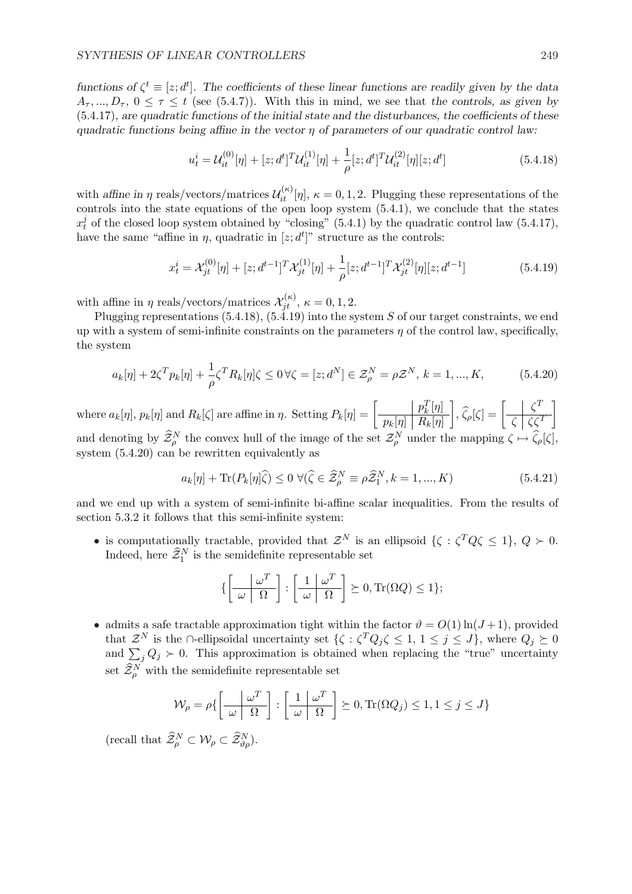functions of  $\zeta^t \equiv [z; d^t]$ . The coefficients of these linear functions are readily given by the data  $A_{\tau_1},...,D_{\tau_n}, 0 \leq \tau \leq t$  (see (5.4.7)). With this in mind, we see that the controls, as given by  $(5.4.17)$ , are quadratic functions of the initial state and the disturbances, the coefficients of these quadratic functions being affine in the vector  $\eta$  of parameters of our quadratic control law:

$$
u_t^i = \mathcal{U}_{it}^{(0)}[\eta] + [z; d^t]^T \mathcal{U}_{it}^{(1)}[\eta] + \frac{1}{\rho} [z; d^t]^T \mathcal{U}_{it}^{(2)}[\eta][z; d^t]
$$
(5.4.18)

with affine in  $\eta$  reals/vectors/matrices  $\mathcal{U}_{it}^{(\kappa)}[\eta], \kappa = 0, 1, 2$ . Plugging these representations of the controls into the state equations of the open loop system (5.4.1), we conclude that the states  $x_t^j$  $t<sub>t</sub><sup>j</sup>$  of the closed loop system obtained by "closing" (5.4.1) by the quadratic control law (5.4.17), have the same "affine in  $\eta$ , quadratic in  $[z; d^t]$ " structure as the controls:

$$
x_t^i = \mathcal{X}_{jt}^{(0)}[\eta] + [z; d^{t-1}]^T \mathcal{X}_{jt}^{(1)}[\eta] + \frac{1}{\rho} [z; d^{t-1}]^T \mathcal{X}_{jt}^{(2)}[\eta][z; d^{t-1}]
$$
\n(5.4.19)

with affine in  $\eta$  reals/vectors/matrices  $\mathcal{X}_{jt}^{(\kappa)}$ ,  $\kappa = 0, 1, 2$ .

Plugging representations  $(5.4.18), (5.4.19)$  into the system S of our target constraints, we end up with a system of semi-infinite constraints on the parameters  $\eta$  of the control law, specifically, the system

$$
a_k[\eta] + 2\zeta^T p_k[\eta] + \frac{1}{\rho} \zeta^T R_k[\eta] \zeta \le 0 \,\forall \zeta = [z; d^N] \in \mathcal{Z}_\rho^N = \rho \mathcal{Z}^N, \, k = 1, ..., K,
$$
 (5.4.20)

where  $a_k[\eta], p_k[\eta]$  and  $R_k[\zeta]$  are affine in  $\eta$ . Setting  $P_k[\eta] = \begin{bmatrix} 1 & 0 & 0 \\ 0 & 1 & 0 \\ 0 & 0 & 0 \end{bmatrix}$  $p_k^T[\eta]$  $p_k[\eta] \bigm| R_k[\eta]$  $\Big], \widehat{\zeta}_{\rho}[\zeta] = \Big[$  $\zeta^T$  $\zeta \mid \zeta \zeta^T$  $\overline{a}$ and denoting by  $\widehat{\mathcal{Z}}_{\rho}^N$  the convex hull of the image of the set  $\mathcal{Z}_{\rho}^N$  under the mapping  $\zeta \mapsto \widehat{\zeta}_{\rho}[\zeta],$ system (5.4.20) can be rewritten equivalently as

$$
a_k[\eta] + \text{Tr}(P_k[\eta]\widehat{\zeta}) \le 0 \ \forall (\widehat{\zeta} \in \widehat{\mathcal{Z}}_\rho^N \equiv \rho \widehat{\mathcal{Z}}_1^N, k = 1, ..., K)
$$
 (5.4.21)

and we end up with a system of semi-infinite bi-affine scalar inequalities. From the results of section 5.3.2 it follows that this semi-infinite system:

• is computationally tractable, provided that  $\mathcal{Z}^N$  is an ellipsoid  $\{\zeta : \zeta^T Q \zeta \leq 1\}, Q \succ 0$ . Indeed, here  $\widehat{\mathcal{Z}}_1^N$  is the semidefinite representable set

$$
\left\{ \left[ \frac{\omega^T}{\omega \mid \Omega} \right] : \left[ \frac{1}{\omega \mid \Omega} \right] \succeq 0, \text{Tr}(\Omega Q) \le 1 \right\};
$$

• admits a safe tractable approximation tight within the factor  $\vartheta = O(1) \ln(J+1)$ , provided that  $\mathcal{Z}^N$  is the ∩-ellipsoidal uncertainty set  $\{\zeta: \zeta^T Q_j \zeta \leq 1, 1 \leq j \leq J\}$ , where  $Q_j \succeq 0$ and  $\sum_j Q_j \succ 0$ . This approximation is obtained when replacing the "true" uncertainty set  $\widehat{\mathcal{Z}}_{\rho}^N$  with the semidefinite representable set

$$
\mathcal{W}_{\rho} = \rho \{ \left[ \frac{\omega^T}{\omega \mid \Omega} \right] : \left[ \frac{1}{\omega \mid \Omega} \right] \geq 0, \text{Tr}(\Omega Q_j) \leq 1, 1 \leq j \leq J \}
$$

(recall that  $\widehat{\mathcal{Z}}_{\rho}^N \subset \mathcal{W}_{\rho} \subset \widehat{\mathcal{Z}}_{\vartheta \rho}^N$ ).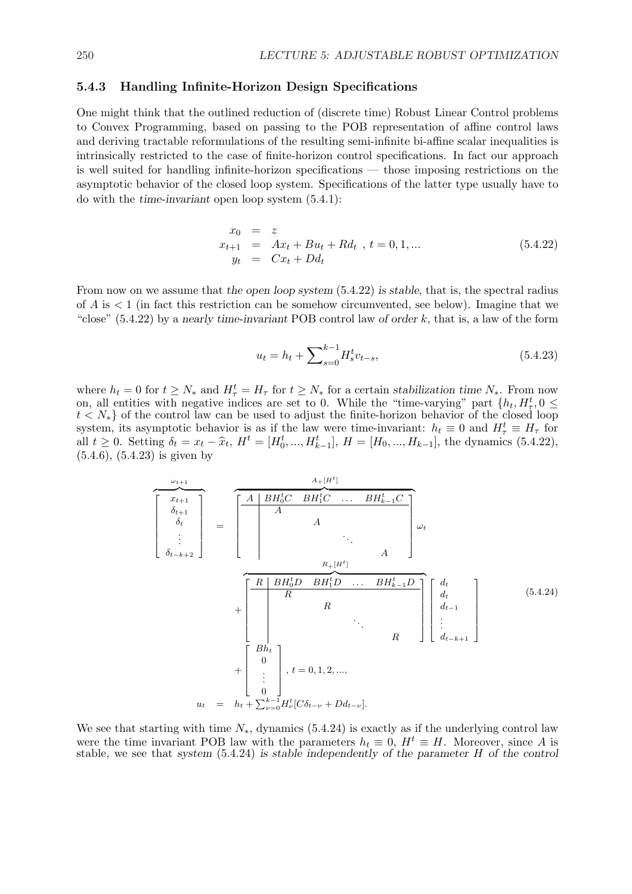#### 5.4.3 Handling Infinite-Horizon Design Specifications

One might think that the outlined reduction of (discrete time) Robust Linear Control problems to Convex Programming, based on passing to the POB representation of affine control laws and deriving tractable reformulations of the resulting semi-infinite bi-affine scalar inequalities is intrinsically restricted to the case of finite-horizon control specifications. In fact our approach is well suited for handling infinite-horizon specifications — those imposing restrictions on the asymptotic behavior of the closed loop system. Specifications of the latter type usually have to do with the time-invariant open loop system (5.4.1):

$$
x_0 = z
$$
  
\n
$$
x_{t+1} = Ax_t + Bu_t + Rd_t , t = 0, 1, ...
$$
  
\n
$$
y_t = Cx_t + Dd_t
$$
\n(5.4.22)

From now on we assume that the open loop system  $(5.4.22)$  is stable, that is, the spectral radius of  $A$  is  $\lt 1$  (in fact this restriction can be somehow circumvented, see below). Imagine that we "close"  $(5.4.22)$  by a nearly time-invariant POB control law of order k, that is, a law of the form

$$
u_t = h_t + \sum_{s=0}^{k-1} H_s^t v_{t-s},
$$
\n(5.4.23)

where  $h_t = 0$  for  $t \geq N_*$  and  $H_\tau^t = H_\tau$  for  $t \geq N_*$  for a certain stabilization time  $N_*$ . From now on, all entities with negative indices are set to 0. While the "time-varying" part  $\{h_t, H^t_\tau, 0 \leq$  $t \lt N_*$  of the control law can be used to adjust the finite-horizon behavior of the closed loop system, its asymptotic behavior is as if the law were time-invariant:  $h_t \equiv 0$  and  $H_\tau^t \equiv H_\tau$  for all  $t \geq 0$ . Setting  $\delta_t = x_t - \hat{x}_t$ ,  $H^t = [H_0^t, ..., H_{k-1}^t]$ ,  $H = [H_0, ..., H_{k-1}]$ , the dynamics (5.4.22), (5.4.6), (5.4.23) is given by

$$
\begin{bmatrix}\n\begin{array}{c}\n\omega_{t+1} \\
\delta_{t+1} \\
\delta_t \\
\vdots \\
\delta_{t-k+2}\n\end{array}\n\end{bmatrix} = \n\begin{bmatrix}\nA \mid BH_0^t C \quad BH_1^t C \quad \dots \quad BH_{k-1}^t C \\
A \\
\vdots \\
A \\
\delta_{t-k+2}\n\end{bmatrix} =\n\begin{bmatrix}\nA \mid BH_0^t C \quad BH_1^t C \quad \dots \quad BH_{k-1}^t C \\
\vdots \\
\delta_{t-k+2}\n\end{bmatrix}\n\begin{bmatrix}\n\omega_t \\
\omega_t \\
\vdots \\
\omega_{t-1} \\
\vdots \\
\omega_{t-1}\n\end{bmatrix}\n\begin{bmatrix}\n\frac{d_t}{dt} \\
\frac{d_{t-1}}{dt} \\
\vdots \\
\frac{d_{t-k+1}}{dt} \\
\vdots \\
\delta_{t-k+1}\n\end{bmatrix} \n\begin{bmatrix}\nBh_t \\
\vdots \\
\vdots \\
\delta_{t-k+1}\n\end{bmatrix} (5.4.24)
$$
\n
$$
u_t = h_t + \sum_{\nu=0}^{k-1} H_{\nu}^t [C\delta_{t-\nu} + Dd_{t-\nu}].
$$

We see that starting with time  $N_{*}$ , dynamics (5.4.24) is exactly as if the underlying control law were the time invariant POB law with the parameters  $h_t \equiv 0$ ,  $H^t \equiv H$ . Moreover, since A is stable, we see that system (5.4.24) is stable independently of the parameter H of the control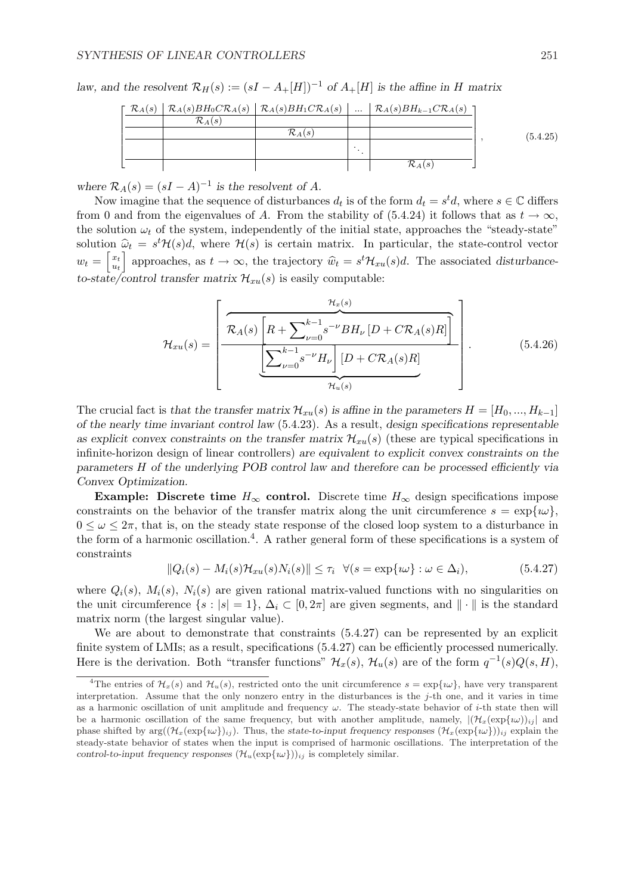law, and the resolvent  $\mathcal{R}_H(s) := (sI - A_+[H])^{-1}$  of  $A_+[H]$  is the affine in H matrix

|  |                    |                    | $\lceil \mathcal{R}_A(s)   \mathcal{R}_A(s) BH_0 C \mathcal{R}_A(s)   \mathcal{R}_A(s) BH_1 C \mathcal{R}_A(s)      \mathcal{R}_A(s) BH_{k-1} C \mathcal{R}_A(s) \rceil$ |          |
|--|--------------------|--------------------|--------------------------------------------------------------------------------------------------------------------------------------------------------------------------|----------|
|  | $\mathcal{R}_A(s)$ |                    |                                                                                                                                                                          |          |
|  |                    | $\mathcal{R}_A(s)$ |                                                                                                                                                                          | (5.4.25) |
|  |                    |                    |                                                                                                                                                                          |          |
|  |                    |                    | $\mathcal{R}_A(s)$                                                                                                                                                       |          |

where  $\mathcal{R}_A(s) = (sI - A)^{-1}$  is the resolvent of A.

Now imagine that the sequence of disturbances  $d_t$  is of the form  $d_t = s^t d$ , where  $s \in \mathbb{C}$  differs from 0 and from the eigenvalues of A. From the stability of (5.4.24) it follows that as  $t \to \infty$ , the solution  $\omega_t$  of the system, independently of the initial state, approaches the "steady-state" solution  $\hat{\omega}_t = s^t \mathcal{H}(s) d$ , where  $\mathcal{H}(s)$  is certain matrix. In particular, the state-control vector  $w_t = \left| \frac{x_t}{u_t} \right|$  $\begin{aligned} \mathbf{x}_t \vert_{u_t} \end{aligned}$  approaches, as  $t \to \infty$ , the trajectory  $\hat{w}_t = s^t \mathcal{H}_{xu}(s)d$ . The associated disturbanceto-state/control transfer matrix  $\mathcal{H}_{xu}(s)$  is easily computable:

$$
\mathcal{H}_{xu}(s) = \left[ \frac{\mathcal{R}_{A}(s) \left[ R + \sum_{\nu=0}^{k-1} s^{-\nu} B H_{\nu} \left[ D + C \mathcal{R}_{A}(s) R \right] \right]}{\left[ \sum_{\nu=0}^{k-1} s^{-\nu} H_{\nu} \right] \left[ D + C \mathcal{R}_{A}(s) R \right]} \right].
$$
\n(5.4.26)

The crucial fact is that the transfer matrix  $\mathcal{H}_{x}u(s)$  is affine in the parameters  $H = [H_0, ..., H_{k-1}]$ of the nearly time invariant control law (5.4.23). As a result, design specifications representable as explicit convex constraints on the transfer matrix  $\mathcal{H}_{xu}(s)$  (these are typical specifications in infinite-horizon design of linear controllers) are equivalent to explicit convex constraints on the parameters H of the underlying POB control law and therefore can be processed efficiently via Convex Optimization.

Example: Discrete time  $H_{\infty}$  control. Discrete time  $H_{\infty}$  design specifications impose constraints on the behavior of the transfer matrix along the unit circumference  $s = \exp{\{\omega\}}$ .  $0 \leq \omega \leq 2\pi$ , that is, on the steady state response of the closed loop system to a disturbance in the form of a harmonic oscillation.<sup>4</sup>. A rather general form of these specifications is a system of constraints

$$
||Q_i(s) - M_i(s)\mathcal{H}_{xu}(s)N_i(s)|| \leq \tau_i \quad \forall (s = \exp\{i\omega\} : \omega \in \Delta_i), \tag{5.4.27}
$$

where  $Q_i(s)$ ,  $M_i(s)$ ,  $N_i(s)$  are given rational matrix-valued functions with no singularities on the unit circumference  $\{s : |s| = 1\}, \Delta_i \subset [0, 2\pi]$  are given segments, and  $\|\cdot\|$  is the standard matrix norm (the largest singular value).

We are about to demonstrate that constraints (5.4.27) can be represented by an explicit finite system of LMIs; as a result, specifications  $(5.4.27)$  can be efficiently processed numerically. Here is the derivation. Both "transfer functions"  $\mathcal{H}_x(s)$ ,  $\mathcal{H}_u(s)$  are of the form  $q^{-1}(s)Q(s,H)$ ,

<sup>&</sup>lt;sup>4</sup>The entries of  $\mathcal{H}_x(s)$  and  $\mathcal{H}_u(s)$ , restricted onto the unit circumference  $s = \exp{\{\omega\}}$ , have very transparent interpretation. Assume that the only nonzero entry in the disturbances is the j-th one, and it varies in time as a harmonic oscillation of unit amplitude and frequency  $\omega$ . The steady-state behavior of *i*-th state then will be a harmonic oscillation of the same frequency, but with another amplitude, namely,  $|(\mathcal{H}_x(\exp{\omega}))_{ij}|$  and phase shifted by  $\arg((\mathcal{H}_x(\exp{\{w\}})_{ij})$ . Thus, the state-to-input frequency responses  $(\mathcal{H}_x(\exp{\{w\}}))_{ij}$  explain the steady-state behavior of states when the input is comprised of harmonic oscillations. The interpretation of the control-to-input frequency responses  $(\mathcal{H}_u(\exp\{i\omega\}))_{ij}$  is completely similar.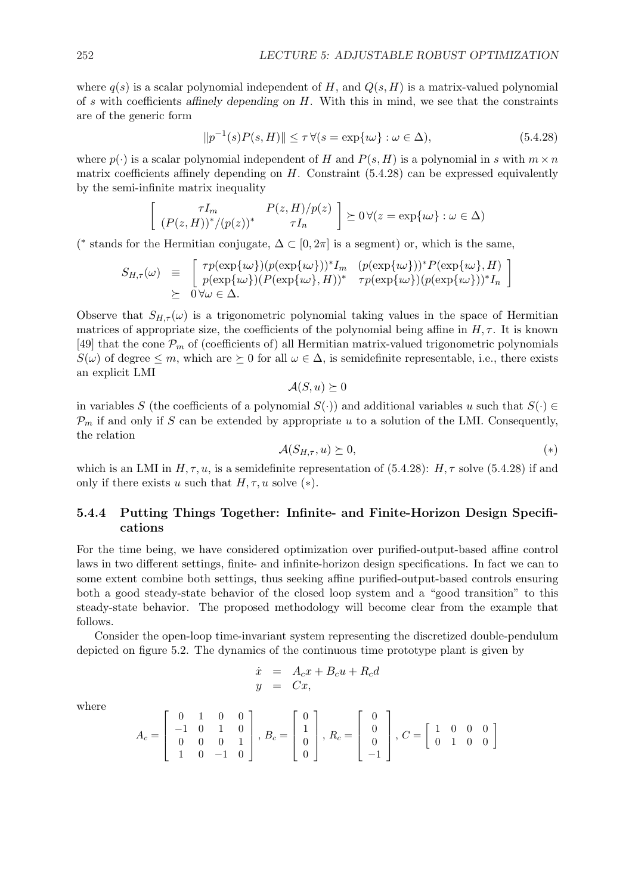where  $q(s)$  is a scalar polynomial independent of H, and  $Q(s, H)$  is a matrix-valued polynomial of s with coefficients affinely depending on  $H$ . With this in mind, we see that the constraints are of the generic form

$$
||p^{-1}(s)P(s,H)|| \le \tau \,\forall (s = \exp\{i\omega\} : \omega \in \Delta),\tag{5.4.28}
$$

where  $p(\cdot)$  is a scalar polynomial independent of H and  $P(s, H)$  is a polynomial in s with  $m \times n$ matrix coefficients affinely depending on  $H$ . Constraint (5.4.28) can be expressed equivalently by the semi-infinite matrix inequality

$$
\begin{bmatrix}\n\tau I_m & P(z,H)/p(z) \\
(P(z,H))^*/(p(z))^* & \tau I_n\n\end{bmatrix} \succeq 0 \,\forall (z = \exp\{i\omega\} : \omega \in \Delta)
$$

(\* stands for the Hermitian conjugate,  $\Delta \subset [0, 2\pi]$  is a segment) or, which is the same,

$$
S_{H,\tau}(\omega) \equiv \begin{bmatrix} \tau p(\exp\{i\omega\}) (p(\exp\{i\omega\}))^* I_m & (p(\exp\{i\omega\}))^* P(\exp\{i\omega\}, H) \\ p(\exp\{i\omega\}) (P(\exp\{i\omega\}, H))^* & \tau p(\exp\{i\omega\}) (p(\exp\{i\omega\}))^* I_n \end{bmatrix}
$$
  
 
$$
\succeq 0 \forall \omega \in \Delta.
$$

Observe that  $S_{H,\tau}(\omega)$  is a trigonometric polynomial taking values in the space of Hermitian matrices of appropriate size, the coefficients of the polynomial being affine in  $H, \tau$ . It is known [49] that the cone  $\mathcal{P}_m$  of (coefficients of) all Hermitian matrix-valued trigonometric polynomials  $S(\omega)$  of degree  $\leq m$ , which are  $\succeq 0$  for all  $\omega \in \Delta$ , is semidefinite representable, i.e., there exists an explicit LMI

 $\mathcal{A}(S, u) \succeq 0$ 

in variables S (the coefficients of a polynomial  $S(.)$ ) and additional variables u such that  $S(.) \in$  $\mathcal{P}_m$  if and only if S can be extended by appropriate u to a solution of the LMI. Consequently, the relation

$$
\mathcal{A}(S_{H,\tau},u) \succeq 0,\tag{*}
$$

which is an LMI in  $H, \tau, u$ , is a semidefinite representation of (5.4.28):  $H, \tau$  solve (5.4.28) if and only if there exists u such that  $H, \tau, u$  solve  $(*)$ .

#### 5.4.4 Putting Things Together: Infinite- and Finite-Horizon Design Specifications

For the time being, we have considered optimization over purified-output-based affine control laws in two different settings, finite- and infinite-horizon design specifications. In fact we can to some extent combine both settings, thus seeking affine purified-output-based controls ensuring both a good steady-state behavior of the closed loop system and a "good transition" to this steady-state behavior. The proposed methodology will become clear from the example that follows.

Consider the open-loop time-invariant system representing the discretized double-pendulum depicted on figure 5.2. The dynamics of the continuous time prototype plant is given by

$$
\dot{x} = A_c x + B_c u + R_c d
$$
  

$$
y = Cx,
$$

where

$$
A_c = \begin{bmatrix} 0 & 1 & 0 & 0 \\ -1 & 0 & 1 & 0 \\ 0 & 0 & 0 & 1 \\ 1 & 0 & -1 & 0 \end{bmatrix}, B_c = \begin{bmatrix} 0 \\ 1 \\ 0 \\ 0 \end{bmatrix}, R_c = \begin{bmatrix} 0 \\ 0 \\ 0 \\ -1 \end{bmatrix}, C = \begin{bmatrix} 1 & 0 & 0 & 0 \\ 0 & 1 & 0 & 0 \\ 0 & 1 & 0 & 0 \end{bmatrix}
$$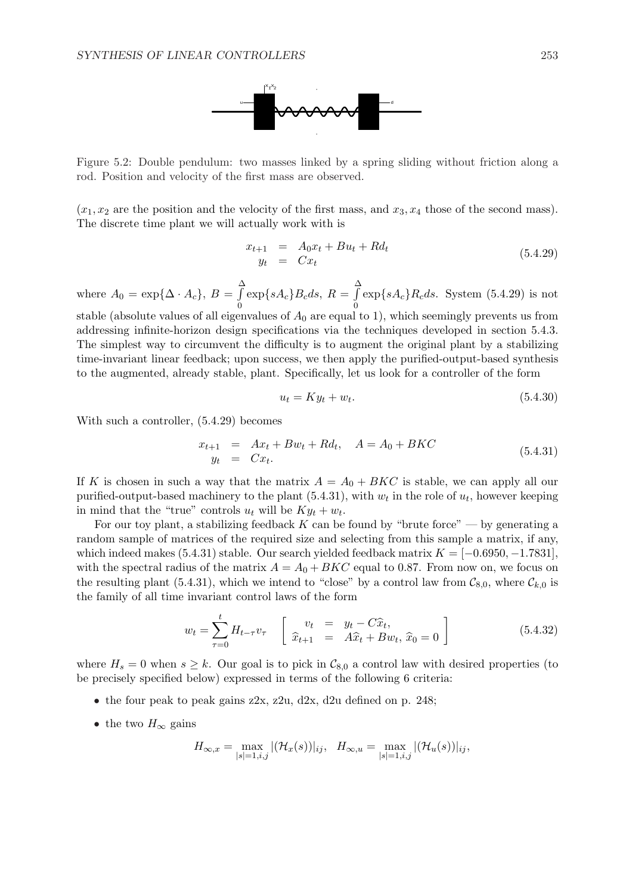

Figure 5.2: Double pendulum: two masses linked by a spring sliding without friction along a rod. Position and velocity of the first mass are observed.

 $(x_1, x_2)$  are the position and the velocity of the first mass, and  $x_3, x_4$  those of the second mass). The discrete time plant we will actually work with is

$$
\begin{array}{rcl}\nx_{t+1} & = & A_0 x_t + B u_t + R d_t \\
y_t & = & C x_t\n\end{array} \n\tag{5.4.29}
$$

where  $A_0 = \exp{\{\Delta \cdot A_c\}}, B =$  $\frac{\Delta}{c}$ 0  $\exp\{sA_c\}B_cds, R=$  $\frac{\Delta}{c}$ 0  $\exp\{sA_c\}R_cds.$  System (5.4.29) is not stable (absolute values of all eigenvalues of  $A_0$  are equal to 1), which seemingly prevents us from addressing infinite-horizon design specifications via the techniques developed in section 5.4.3.

The simplest way to circumvent the difficulty is to augment the original plant by a stabilizing time-invariant linear feedback; upon success, we then apply the purified-output-based synthesis to the augmented, already stable, plant. Specifically, let us look for a controller of the form

$$
u_t = Ky_t + w_t. \tag{5.4.30}
$$

With such a controller, (5.4.29) becomes

$$
x_{t+1} = Ax_t + Bw_t + Rd_t, \quad A = A_0 + BKC
$$
  
\n
$$
y_t = Cx_t.
$$
\n(5.4.31)

If K is chosen in such a way that the matrix  $A = A_0 + BKC$  is stable, we can apply all our purified-output-based machinery to the plant  $(5.4.31)$ , with  $w_t$  in the role of  $u_t$ , however keeping in mind that the "true" controls  $u_t$  will be  $Ky_t + w_t$ .

For our toy plant, a stabilizing feedback  $K$  can be found by "brute force" — by generating a random sample of matrices of the required size and selecting from this sample a matrix, if any, which indeed makes (5.4.31) stable. Our search yielded feedback matrix  $K = [-0.6950, -1.7831]$ , with the spectral radius of the matrix  $A = A_0 + BKC$  equal to 0.87. From now on, we focus on the resulting plant (5.4.31), which we intend to "close" by a control law from  $\mathcal{C}_{8,0}$ , where  $\mathcal{C}_{k,0}$  is the family of all time invariant control laws of the form

$$
w_t = \sum_{\tau=0}^t H_{t-\tau} v_{\tau} \quad \begin{bmatrix} v_t & = & y_t - C\hat{x}_t, \\ \hat{x}_{t+1} & = & A\hat{x}_t + Bw_t, \ \hat{x}_0 = 0 \end{bmatrix}
$$
 (5.4.32)

where  $H_s = 0$  when  $s \geq k$ . Our goal is to pick in  $\mathcal{C}_{8,0}$  a control law with desired properties (to be precisely specified below) expressed in terms of the following 6 criteria:

- the four peak to peak gains z2x, z2u, d2x, d2u defined on p. 248;
- the two  $H_{\infty}$  gains

$$
H_{\infty,x} = \max_{|s|=1,i,j} |(\mathcal{H}_x(s))|_{ij}, \quad H_{\infty,u} = \max_{|s|=1,i,j} |(\mathcal{H}_u(s))|_{ij},
$$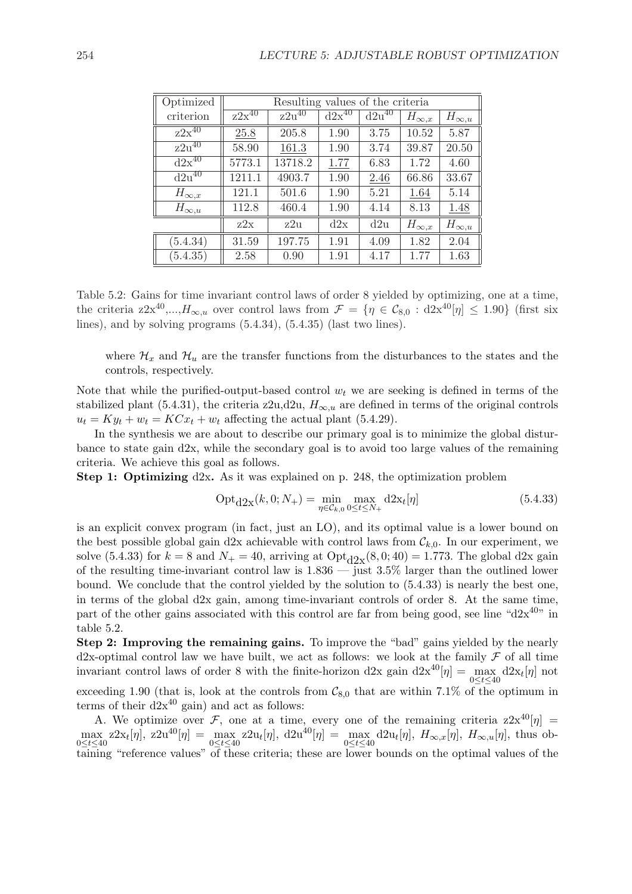| Optimized                    | Resulting values of the criteria |                       |                              |            |                |                |  |
|------------------------------|----------------------------------|-----------------------|------------------------------|------------|----------------|----------------|--|
| criterion                    | $z2x^{40}$                       | $z\overline{2u}^{40}$ | $\mathrm{d}2\mathrm{x}^{40}$ | $d2u^{40}$ | $H_{\infty,x}$ | $H_{\infty,u}$ |  |
| $z\overline{2x^{40}}$        | $25.8\,$                         | 205.8                 | 1.90                         | 3.75       | 10.52          | 5.87           |  |
| $z2u^{40}$                   | 58.90                            | 161.3                 | 1.90                         | 3.74       | 39.87          | 20.50          |  |
| $\mathrm{d}2\mathrm{x}^{40}$ | 5773.1                           | 13718.2               | 1.77                         | 6.83       | 1.72           | 4.60           |  |
| $\overline{d2u^{40}}$        | 1211.1                           | 4903.7                | 1.90                         | 2.46       | 66.86          | 33.67          |  |
| $H_{\infty,x}$               | 121.1                            | 501.6                 | 1.90                         | 5.21       | 1.64           | 5.14           |  |
| $H_{\infty,u}$               | 112.8                            | 460.4                 | 1.90                         | 4.14       | 8.13           | 1.48           |  |
|                              | z2x                              | z2u                   | d2x                          | d2u        | $H_{\infty,x}$ | $H_{\infty,u}$ |  |
| (5.4.34)                     | 31.59                            | 197.75                | 1.91                         | 4.09       | 1.82           | 2.04           |  |
| (5.4.35)                     | 2.58                             | 0.90                  | 1.91                         | 4.17       | 1.77           | 1.63           |  |

Table 5.2: Gains for time invariant control laws of order 8 yielded by optimizing, one at a time, the criteria  $z 2x^{40}$ ,..., $H_{\infty,u}$  over control laws from  $\mathcal{F} = \{\eta \in \mathcal{C}_{8,0} : d2x^{40}[\eta] \leq 1.90\}$  (first six lines), and by solving programs (5.4.34), (5.4.35) (last two lines).

where  $\mathcal{H}_x$  and  $\mathcal{H}_u$  are the transfer functions from the disturbances to the states and the controls, respectively.

Note that while the purified-output-based control  $w_t$  we are seeking is defined in terms of the stabilized plant (5.4.31), the criteria z2u,d2u,  $H_{\infty,u}$  are defined in terms of the original controls  $u_t = Ky_t + w_t = KCx_t + w_t$  affecting the actual plant (5.4.29).

In the synthesis we are about to describe our primary goal is to minimize the global disturbance to state gain d2x, while the secondary goal is to avoid too large values of the remaining criteria. We achieve this goal as follows.

Step 1: Optimizing d2x. As it was explained on p. 248, the optimization problem

$$
Opt_{d2x}(k, 0; N_{+}) = \min_{\eta \in \mathcal{C}_{k,0}} \max_{0 \le t \le N_{+}} d2x_{t}[\eta]
$$
(5.4.33)

is an explicit convex program (in fact, just an LO), and its optimal value is a lower bound on the best possible global gain d2x achievable with control laws from  $\mathcal{C}_{k,0}$ . In our experiment, we solve (5.4.33) for  $k = 8$  and  $N_+ = 40$ , arriving at  $Opt_{d2x}(8, 0; 40) = 1.773$ . The global d2x gain of the resulting time-invariant control law is 1.836 — just 3.5% larger than the outlined lower bound. We conclude that the control yielded by the solution to (5.4.33) is nearly the best one, in terms of the global d2x gain, among time-invariant controls of order 8. At the same time, part of the other gains associated with this control are far from being good, see line " $d2x^{40}$ " in table 5.2.

Step 2: Improving the remaining gains. To improve the "bad" gains yielded by the nearly d2x-optimal control law we have built, we act as follows: we look at the family  $\mathcal F$  of all time invariant control laws of order 8 with the finite-horizon d2x gain  $d2x^{40}[\eta] = \max_{0 \le t \le 40} d2x_t[\eta]$  not exceeding 1.90 (that is, look at the controls from  $\mathcal{C}_{8,0}$  that are within 7.1% of the optimum in terms of their  $d2x^{40}$  gain) and act as follows:

A. We optimize over F, one at a time, every one of the remaining criteria  $z2x^{40}[\eta] =$  $\max_{0 \le t \le 40} z2x_t[\eta], z2u^{40}[\eta] = \max_{0 \le t \le 40} z2u_t[\eta], d2u^{40}[\eta] = \max_{0 \le t \le 40} d2u_t[\eta], H_{\infty,x}[\eta], H_{\infty,u}[\eta]$ , thus obtaining "reference values" of these criteria; these are lower bounds on the optimal values of the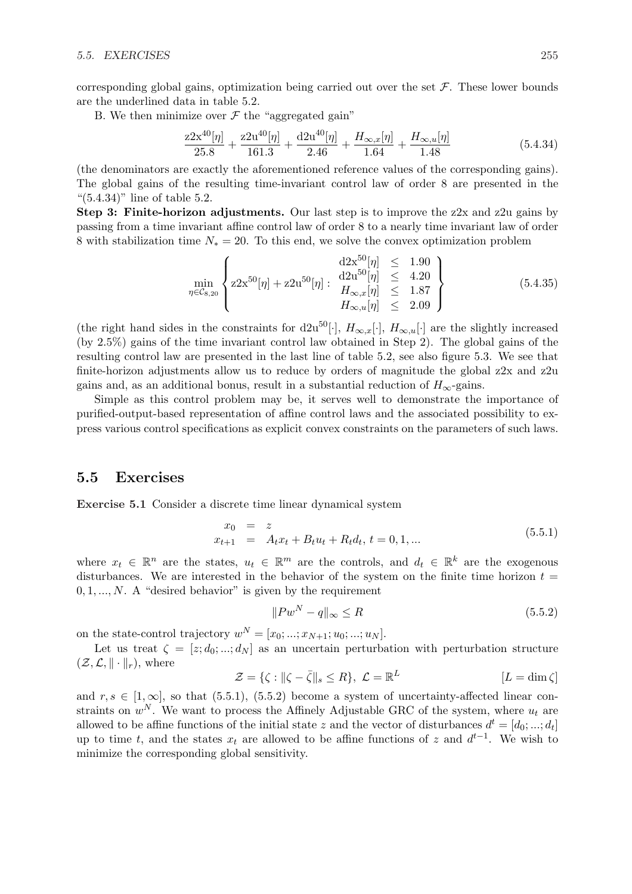corresponding global gains, optimization being carried out over the set  $\mathcal F$ . These lower bounds are the underlined data in table 5.2.

B. We then minimize over  $\mathcal F$  the "aggregated gain"

$$
\frac{z2x^{40}[\eta]}{25.8} + \frac{z2u^{40}[\eta]}{161.3} + \frac{d2u^{40}[\eta]}{2.46} + \frac{H_{\infty,x}[\eta]}{1.64} + \frac{H_{\infty,u}[\eta]}{1.48}
$$
(5.4.34)

(the denominators are exactly the aforementioned reference values of the corresponding gains). The global gains of the resulting time-invariant control law of order 8 are presented in the " $(5.4.34)$ " line of table 5.2.

Step 3: Finite-horizon adjustments. Our last step is to improve the  $z2x$  and  $z2u$  gains by passing from a time invariant affine control law of order 8 to a nearly time invariant law of order 8 with stabilization time  $N_* = 20$ . To this end, we solve the convex optimization problem

$$
\min_{\eta \in \mathcal{C}_{8,20}} \left\{ 22x^{50}[\eta] + z2u^{50}[\eta] : \begin{array}{l} d2x^{50}[\eta] \leq 1.90 \\ d2u^{50}[\eta] \leq 4.20 \\ H_{\infty,x}[\eta] \leq 1.87 \\ H_{\infty,u}[\eta] \leq 2.09 \end{array} \right\}
$$
(5.4.35)

(the right hand sides in the constraints for d2u<sup>50</sup>[·],  $H_{\infty,x}[\cdot]$ ,  $H_{\infty,u}[\cdot]$  are the slightly increased (by 2.5%) gains of the time invariant control law obtained in Step 2). The global gains of the resulting control law are presented in the last line of table 5.2, see also figure 5.3. We see that finite-horizon adjustments allow us to reduce by orders of magnitude the global z2x and z2u gains and, as an additional bonus, result in a substantial reduction of  $H_{\infty}$ -gains.

Simple as this control problem may be, it serves well to demonstrate the importance of purified-output-based representation of affine control laws and the associated possibility to express various control specifications as explicit convex constraints on the parameters of such laws.

#### 5.5 Exercises

Exercise 5.1 Consider a discrete time linear dynamical system

$$
x_0 = z
$$
  
\n
$$
x_{t+1} = A_t x_t + B_t u_t + R_t d_t, t = 0, 1, ...
$$
\n(5.5.1)

where  $x_t \in \mathbb{R}^n$  are the states,  $u_t \in \mathbb{R}^m$  are the controls, and  $d_t \in \mathbb{R}^k$  are the exogenous disturbances. We are interested in the behavior of the system on the finite time horizon  $t =$  $0, 1, \ldots, N$ . A "desired behavior" is given by the requirement

$$
||Pw^N - q||_{\infty} \le R \tag{5.5.2}
$$

on the state-control trajectory  $w^N = [x_0; ...; x_{N+1}; u_0; ...; u_N]$ .

Let us treat  $\zeta = [z; d_0; ...; d_N]$  as an uncertain perturbation with perturbation structure  $(\mathcal{Z}, \mathcal{L}, \|\cdot\|_r)$ , where

$$
\mathcal{Z} = \{ \zeta : ||\zeta - \bar{\zeta}||_s \le R \}, \ \mathcal{L} = \mathbb{R}^L \qquad [L = \dim \zeta]
$$

and  $r, s \in [1, \infty]$ , so that (5.5.1), (5.5.2) become a system of uncertainty-affected linear constraints on  $w^N$ . We want to process the Affinely Adjustable GRC of the system, where  $u_t$  are allowed to be affine functions of the initial state z and the vector of disturbances  $d^t = [d_0; ...; d_t]$ up to time t, and the states  $x_t$  are allowed to be affine functions of z and  $d^{t-1}$ . We wish to minimize the corresponding global sensitivity.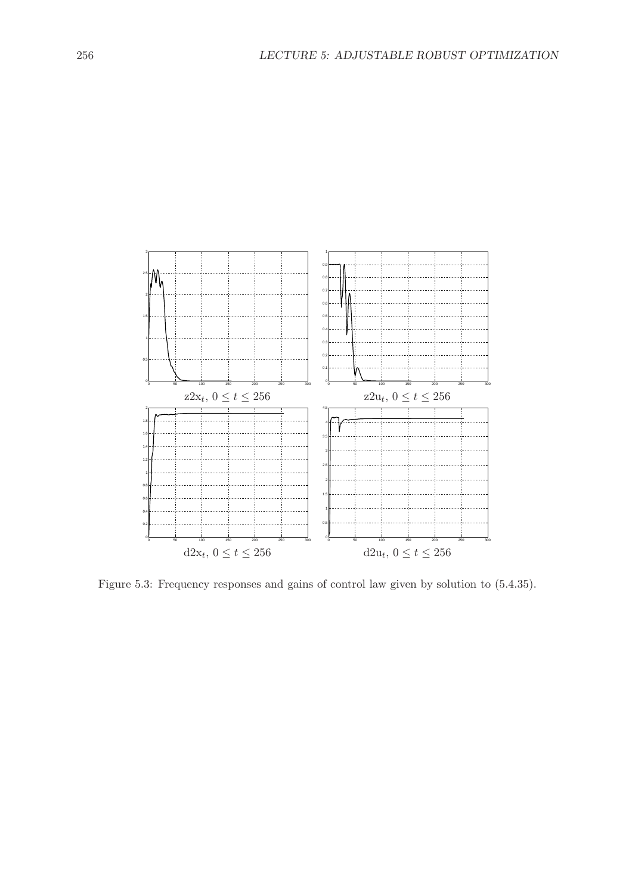

Figure 5.3: Frequency responses and gains of control law given by solution to (5.4.35).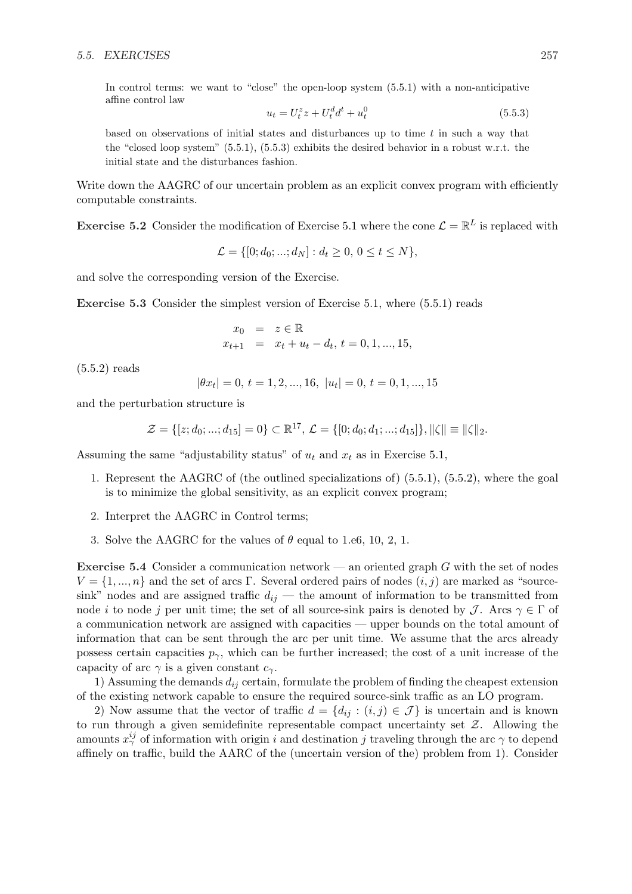In control terms: we want to "close" the open-loop system (5.5.1) with a non-anticipative affine control law

$$
u_t = U_t^z z + U_t^d d^t + u_t^0
$$
\n(5.5.3)

based on observations of initial states and disturbances up to time  $t$  in such a way that the "closed loop system"  $(5.5.1)$ ,  $(5.5.3)$  exhibits the desired behavior in a robust w.r.t. the initial state and the disturbances fashion.

Write down the AAGRC of our uncertain problem as an explicit convex program with efficiently computable constraints.

**Exercise 5.2** Consider the modification of Exercise 5.1 where the cone  $\mathcal{L} = \mathbb{R}^L$  is replaced with

$$
\mathcal{L} = \{ [0; d_0; ...; d_N] : d_t \ge 0, 0 \le t \le N \},\
$$

and solve the corresponding version of the Exercise.

Exercise 5.3 Consider the simplest version of Exercise 5.1, where (5.5.1) reads

$$
x_0 = z \in \mathbb{R}
$$
  

$$
x_{t+1} = x_t + u_t - d_t, t = 0, 1, ..., 15,
$$

(5.5.2) reads

$$
|\theta x_t| = 0, t = 1, 2, ..., 16, |u_t| = 0, t = 0, 1, ..., 15
$$

and the perturbation structure is

$$
\mathcal{Z} = \{ [z; d_0; ...; d_{15}] = 0 \} \subset \mathbb{R}^{17}, \mathcal{L} = \{ [0; d_0; d_1; ...; d_{15}] \}, ||\zeta|| \equiv ||\zeta||_2.
$$

Assuming the same "adjustability status" of  $u_t$  and  $x_t$  as in Exercise 5.1,

- 1. Represent the AAGRC of (the outlined specializations of) (5.5.1), (5.5.2), where the goal is to minimize the global sensitivity, as an explicit convex program;
- 2. Interpret the AAGRC in Control terms;
- 3. Solve the AAGRC for the values of  $\theta$  equal to 1.e6, 10, 2, 1.

**Exercise 5.4** Consider a communication network — an oriented graph  $G$  with the set of nodes  $V = \{1, ..., n\}$  and the set of arcs Γ. Several ordered pairs of nodes  $(i, j)$  are marked as "sourcesink" nodes and are assigned traffic  $d_{ij}$  — the amount of information to be transmitted from node *i* to node *j* per unit time; the set of all source-sink pairs is denoted by J. Arcs  $\gamma \in \Gamma$  of a communication network are assigned with capacities — upper bounds on the total amount of information that can be sent through the arc per unit time. We assume that the arcs already possess certain capacities  $p_{\gamma}$ , which can be further increased; the cost of a unit increase of the capacity of arc  $\gamma$  is a given constant  $c_{\gamma}$ .

1) Assuming the demands  $d_{ij}$  certain, formulate the problem of finding the cheapest extension of the existing network capable to ensure the required source-sink traffic as an LO program.

2) Now assume that the vector of traffic  $d = \{d_{ij} : (i,j) \in \mathcal{J}\}\$ is uncertain and is known to run through a given semidefinite representable compact uncertainty set  $Z$ . Allowing the amounts  $x_{\gamma}^{ij}$  of information with origin i and destination j traveling through the arc  $\gamma$  to depend affinely on traffic, build the AARC of the (uncertain version of the) problem from 1). Consider